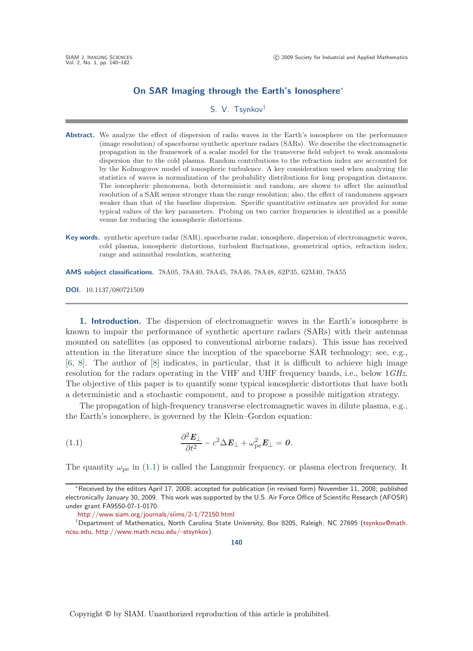## **On SAR Imaging through the Earth's Ionosphere**<sup>∗</sup>

## S. V. Tsynkov†

- Abstract. We analyze the effect of dispersion of radio waves in the Earth's ionosphere on the performance (image resolution) of spaceborne synthetic aperture radars (SARs). We describe the electromagnetic propagation in the framework of a scalar model for the transverse field subject to weak anomalous dispersion due to the cold plasma. Random contributions to the refraction index are accounted for by the Kolmogorov model of ionospheric turbulence. A key consideration used when analyzing the statistics of waves is normalization of the probability distributions for long propagation distances. The ionospheric phenomena, both deterministic and random, are shown to affect the azimuthal resolution of a SAR sensor stronger than the range resolution; also, the effect of randomness appears weaker than that of the baseline dispersion. Specific quantitative estimates are provided for some typical values of the key parameters. Probing on two carrier frequencies is identified as a possible venue for reducing the ionospheric distortions.
- **Key words.** synthetic aperture radar (SAR), spaceborne radar, ionosphere, dispersion of electromagnetic waves, cold plasma, ionospheric distortions, turbulent fluctuations, geometrical optics, refraction index, range and azimuthal resolution, scattering

**AMS subject classifications.** 78A05, 78A40, 78A45, 78A46, 78A48, 62P35, 62M40, 78A55

**DOI.** 10.1137/080721509

<span id="page-0-1"></span>**1.** Introduction. The dispersion of electromagnetic waves in the Earth's ionosphere is known to impair the performance of synthetic aperture radars (SARs) with their antennas mounted on satellites (as opposed to conventional airborne radars). This issue has received attention in the literature since the inception of the spaceborne SAR technology; see, e.g., [\[6,](#page-41-0) [8\]](#page-41-1). The author of [\[8\]](#page-41-1) indicates, in particular, that it is difficult to achieve high image resolution for the radars operating in the VHF and UHF frequency bands, i.e., below 1*GHz*. The objective of this paper is to quantify some typical ionospheric distortions that have both a deterministic and a stochastic component, and to propose a possible mitigation strategy.

The propagation of high-frequency transverse electromagnetic waves in dilute plasma, e.g., the Earth's ionosphere, is governed by the Klein–Gordon equation:

(1.1) 
$$
\frac{\partial^2 \boldsymbol{E}_{\perp}}{\partial t^2} - c^2 \Delta \boldsymbol{E}_{\perp} + \omega_{\text{pe}}^2 \boldsymbol{E}_{\perp} = \boldsymbol{0}.
$$

The quantity  $\omega_{\rm pe}$  in [\(1.1\)](#page-0-0) is called the Langmuir frequency, or plasma electron frequency. It

<span id="page-0-0"></span>**140**

<sup>∗</sup>Received by the editors April 17, 2008; accepted for publication (in revised form) November 11, 2008; published electronically January 30, 2009. This work was supported by the U.S. Air Force Office of Scientific Research (AFOSR) under grant FA9550-07-1-0170.

<http://www.siam.org/journals/siims/2-1/72150.html>

<sup>†</sup>Department of Mathematics, North Carolina State University, Box 8205, Raleigh, NC 27695 [\(tsynkov@math.](mailto:tsynkov@math.ncsu.edu) [ncsu.edu,](mailto:tsynkov@math.ncsu.edu) [http://www.math.ncsu.edu/](http://www.math.ncsu.edu/~stsynkov)∼stsynkov).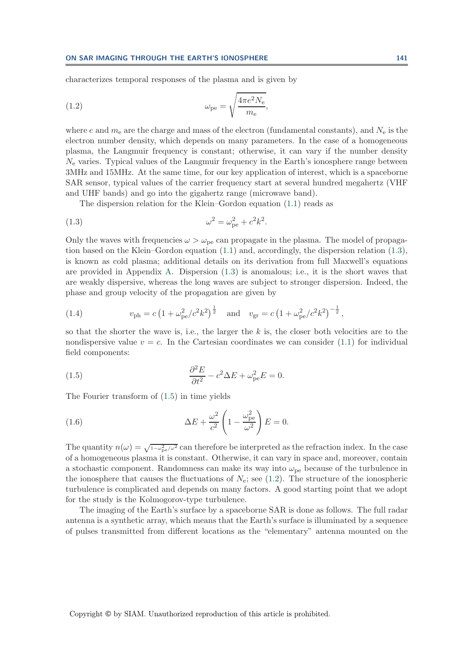<span id="page-1-2"></span>characterizes temporal responses of the plasma and is given by

(1.2) 
$$
\omega_{\rm pe} = \sqrt{\frac{4\pi e^2 N_{\rm e}}{m_{\rm e}}},
$$

where e and  $m_e$  are the charge and mass of the electron (fundamental constants), and  $N_e$  is the electron number density, which depends on many parameters. In the case of a homogeneous plasma, the Langmuir frequency is constant; otherwise, it can vary if the number density  $N_e$  varies. Typical values of the Langmuir frequency in the Earth's ionosphere range between 3MHz and 15MHz. At the same time, for our key application of interest, which is a spaceborne SAR sensor, typical values of the carrier frequency start at several hundred megahertz (VHF and UHF bands) and go into the gigahertz range (microwave band).

<span id="page-1-0"></span>The dispersion relation for the Klein–Gordon equation [\(1.1\)](#page-0-0) reads as

(1.3) 
$$
\omega^2 = \omega_{\rm pe}^2 + c^2 k^2.
$$

Only the waves with frequencies  $\omega > \omega_{\text{pe}}$  can propagate in the plasma. The model of propagation based on the Klein–Gordon equation [\(1.1\)](#page-0-0) and, accordingly, the dispersion relation [\(1.3\)](#page-1-0), is known as cold plasma; additional details on its derivation from full Maxwell's equations are provided in Appendix [A.](#page-31-0) Dispersion [\(1.3\)](#page-1-0) is anomalous; i.e., it is the short waves that are weakly dispersive, whereas the long waves are subject to stronger dispersion. Indeed, the phase and group velocity of the propagation are given by

<span id="page-1-4"></span>(1.4) 
$$
v_{\text{ph}} = c \left( 1 + \omega_{\text{pe}}^2 / c^2 k^2 \right)^{\frac{1}{2}} \quad \text{and} \quad v_{\text{gr}} = c \left( 1 + \omega_{\text{pe}}^2 / c^2 k^2 \right)^{-\frac{1}{2}},
$$

so that the shorter the wave is, i.e., the larger the  $k$  is, the closer both velocities are to the nondispersive value  $v = c$ . In the Cartesian coordinates we can consider [\(1.1\)](#page-0-0) for individual field components:

<span id="page-1-1"></span>(1.5) 
$$
\frac{\partial^2 E}{\partial t^2} - c^2 \Delta E + \omega_{\text{pe}}^2 E = 0.
$$

<span id="page-1-3"></span>The Fourier transform of [\(1.5\)](#page-1-1) in time yields

(1.6) 
$$
\Delta E + \frac{\omega^2}{c^2} \left( 1 - \frac{\omega_{\text{pe}}^2}{\omega^2} \right) E = 0.
$$

The quantity  $n(\omega) = \sqrt{1-\omega_{\rm pe}^2/\omega^2}$  can therefore be interpreted as the refraction index. In the case of a homogeneous plasma it is constant. Otherwise, it can vary in space and, moreover, contain a stochastic component. Randomness can make its way into  $\omega_{pe}$  because of the turbulence in the ionosphere that causes the fluctuations of  $N_e$ ; see [\(1.2\)](#page-1-2). The structure of the ionospheric turbulence is complicated and depends on many factors. A good starting point that we adopt for the study is the Kolmogorov-type turbulence.

The imaging of the Earth's surface by a spaceborne SAR is done as follows. The full radar antenna is a synthetic array, which means that the Earth's surface is illuminated by a sequence of pulses transmitted from different locations as the "elementary" antenna mounted on the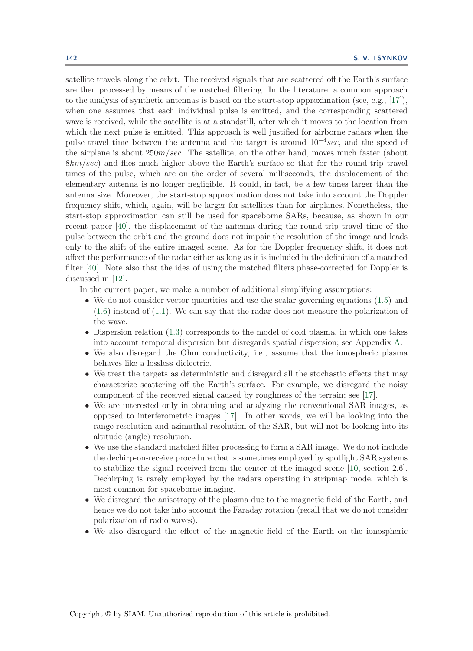satellite travels along the orbit. The received signals that are scattered off the Earth's surface are then processed by means of the matched filtering. In the literature, a common approach to the analysis of synthetic antennas is based on the start-stop approximation (see, e.g., [\[17\]](#page-41-2)), when one assumes that each individual pulse is emitted, and the corresponding scattered wave is received, while the satellite is at a standstill, after which it moves to the location from which the next pulse is emitted. This approach is well justified for airborne radars when the pulse travel time between the antenna and the target is around  $10^{-4}$ sec, and the speed of the airplane is about  $250m/sec$ . The satellite, on the other hand, moves much faster (about 8km/sec) and flies much higher above the Earth's surface so that for the round-trip travel times of the pulse, which are on the order of several milliseconds, the displacement of the elementary antenna is no longer negligible. It could, in fact, be a few times larger than the antenna size. Moreover, the start-stop approximation does not take into account the Doppler frequency shift, which, again, will be larger for satellites than for airplanes. Nonetheless, the start-stop approximation can still be used for spaceborne SARs, because, as shown in our recent paper [\[40\]](#page-42-0), the displacement of the antenna during the round-trip travel time of the pulse between the orbit and the ground does not impair the resolution of the image and leads only to the shift of the entire imaged scene. As for the Doppler frequency shift, it does not affect the performance of the radar either as long as it is included in the definition of a matched filter [\[40\]](#page-42-0). Note also that the idea of using the matched filters phase-corrected for Doppler is discussed in [\[12\]](#page-41-3).

In the current paper, we make a number of additional simplifying assumptions:

- We do not consider vector quantities and use the scalar governing equations  $(1.5)$  and [\(1.6\)](#page-1-3) instead of [\(1.1\)](#page-0-0). We can say that the radar does not measure the polarization of the wave.
- Dispersion relation [\(1.3\)](#page-1-0) corresponds to the model of cold plasma, in which one takes into account temporal dispersion but disregards spatial dispersion; see Appendix [A.](#page-31-0)
- We also disregard the Ohm conductivity, i.e., assume that the ionospheric plasma behaves like a lossless dielectric.
- We treat the targets as deterministic and disregard all the stochastic effects that may characterize scattering off the Earth's surface. For example, we disregard the noisy component of the received signal caused by roughness of the terrain; see [\[17\]](#page-41-2).
- We are interested only in obtaining and analyzing the conventional SAR images, as opposed to interferometric images [\[17\]](#page-41-2). In other words, we will be looking into the range resolution and azimuthal resolution of the SAR, but will not be looking into its altitude (angle) resolution.
- We use the standard matched filter processing to form a SAR image. We do not include the dechirp-on-receive procedure that is sometimes employed by spotlight SAR systems to stabilize the signal received from the center of the imaged scene [\[10,](#page-41-4) section 2.6]. Dechirping is rarely employed by the radars operating in stripmap mode, which is most common for spaceborne imaging.
- We disregard the anisotropy of the plasma due to the magnetic field of the Earth, and hence we do not take into account the Faraday rotation (recall that we do not consider polarization of radio waves).
- We also disregard the effect of the magnetic field of the Earth on the ionospheric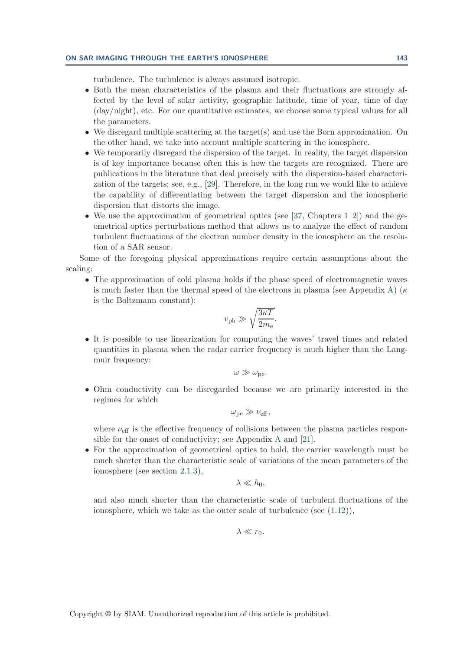## **ON SAR IMAGING THROUGH THE EARTH'S IONOSPHERE 143**

turbulence. The turbulence is always assumed isotropic.

- Both the mean characteristics of the plasma and their fluctuations are strongly affected by the level of solar activity, geographic latitude, time of year, time of day (day/night), etc. For our quantitative estimates, we choose some typical values for all the parameters.
- We disregard multiple scattering at the target(s) and use the Born approximation. On the other hand, we take into account multiple scattering in the ionosphere.
- We temporarily disregard the dispersion of the target. In reality, the target dispersion is of key importance because often this is how the targets are recognized. There are publications in the literature that deal precisely with the dispersion-based characterization of the targets; see, e.g., [\[29\]](#page-42-1). Therefore, in the long run we would like to achieve the capability of differentiating between the target dispersion and the ionospheric dispersion that distorts the image.
- We use the approximation of geometrical optics (see [\[37,](#page-42-2) Chapters  $1-2$ ]) and the geometrical optics perturbations method that allows us to analyze the effect of random turbulent fluctuations of the electron number density in the ionosphere on the resolution of a SAR sensor.

Some of the foregoing physical approximations require certain assumptions about the scaling:

• The approximation of cold plasma holds if the phase speed of electromagnetic waves is much faster than the thermal speed of the electrons in plasma (see Appendix [A\)](#page-31-0) ( $\kappa$ is the Boltzmann constant):

$$
v_{\rm ph} \gg \sqrt{\frac{3\kappa T}{2m_{\rm e}}}.
$$

• It is possible to use linearization for computing the waves' travel times and related quantities in plasma when the radar carrier frequency is much higher than the Langmuir frequency:

$$
\omega\gg\omega_{\rm pe}.
$$

• Ohm conductivity can be disregarded because we are primarily interested in the regimes for which

$$
\omega_{\rm pe} \gg \nu_{\rm eff},
$$

where  $\nu_{\text{eff}}$  is the effective frequency of collisions between the plasma particles responsible for the onset of conductivity; see Appendix [A](#page-31-0) and [\[21\]](#page-42-3).

• For the approximation of geometrical optics to hold, the carrier wavelength must be much shorter than the characteristic scale of variations of the mean parameters of the ionosphere (see section [2.1.3\)](#page-14-0),

$$
\lambda \ll h_0,
$$

and also much shorter than the characteristic scale of turbulent fluctuations of the ionosphere, which we take as the outer scale of turbulence (see  $(1.12)$ ),

$$
\lambda \ll r_0.
$$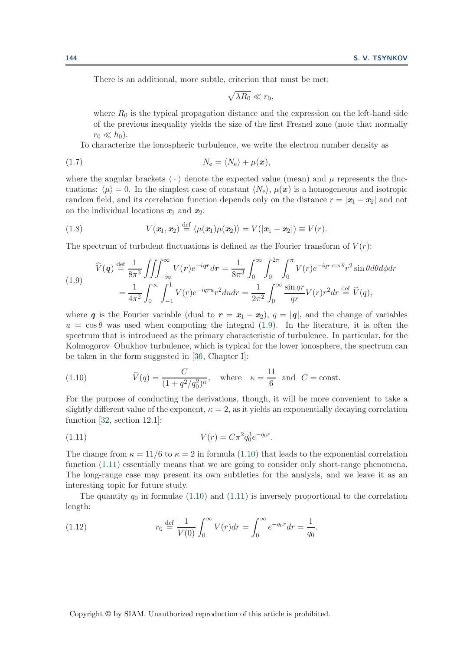There is an additional, more subtle, criterion that must be met:

<span id="page-4-5"></span><span id="page-4-4"></span><span id="page-4-1"></span>
$$
\sqrt{\lambda R_0} \ll r_0,
$$

where  $R_0$  is the typical propagation distance and the expression on the left-hand side of the previous inequality yields the size of the first Fresnel zone (note that normally  $r_0 \ll h_0$ ).

To characterize the ionospheric turbulence, we write the electron number density as

$$
N_{\rm e} = \langle N_{\rm e} \rangle + \mu(\boldsymbol{x}),
$$

where the angular brackets  $\langle \cdot \rangle$  denote the expected value (mean) and  $\mu$  represents the fluctuations:  $\langle \mu \rangle = 0$ . In the simplest case of constant  $\langle N_e \rangle$ ,  $\mu(\mathbf{x})$  is a homogeneous and isotropic random field, and its correlation function depends only on the distance  $r = |\mathbf{x}_1 - \mathbf{x}_2|$  and not on the individual locations  $x_1$  and  $x_2$ :

(1.8) 
$$
V(\boldsymbol{x}_1,\boldsymbol{x}_2) \stackrel{\text{def}}{=} \langle \mu(\boldsymbol{x}_1)\mu(\boldsymbol{x}_2) \rangle = V(|\boldsymbol{x}_1-\boldsymbol{x}_2|) \equiv V(r).
$$

The spectrum of turbulent fluctuations is defined as the Fourier transform of  $V(r)$ :

(1.9) 
$$
\widehat{V}(\boldsymbol{q}) \stackrel{\text{def}}{=} \frac{1}{8\pi^3} \iiint_{-\infty}^{\infty} V(\boldsymbol{r}) e^{-i\boldsymbol{q}\boldsymbol{r}} d\boldsymbol{r} = \frac{1}{8\pi^3} \int_0^{\infty} \int_0^{2\pi} \int_0^{\pi} V(r) e^{-i\boldsymbol{q}\boldsymbol{r}\cos\theta} r^2 \sin\theta d\theta d\phi dr
$$

$$
= \frac{1}{4\pi^2} \int_0^{\infty} \int_{-1}^1 V(r) e^{-i\boldsymbol{q}\boldsymbol{r}u} r^2 du dr = \frac{1}{2\pi^2} \int_0^{\infty} \frac{\sin\boldsymbol{q}\boldsymbol{r}}{\boldsymbol{q}\boldsymbol{r}} V(r) r^2 dr \stackrel{\text{def}}{=} \widehat{V}(\boldsymbol{q}),
$$

where *q* is the Fourier variable (dual to  $r = x_1 - x_2$ ),  $q = |q|$ , and the change of variables  $u = \cos \theta$  was used when computing the integral [\(1.9\)](#page-4-1). In the literature, it is often the spectrum that is introduced as the primary characteristic of turbulence. In particular, for the Kolmogorov–Obukhov turbulence, which is typical for the lower ionosphere, the spectrum can be taken in the form suggested in [\[36,](#page-42-4) Chapter I]:

<span id="page-4-2"></span>(1.10) 
$$
\widehat{V}(q) = \frac{C}{(1+q^2/q_0^2)^{\kappa}}, \text{ where } \kappa = \frac{11}{6} \text{ and } C = \text{const.}
$$

For the purpose of conducting the derivations, though, it will be more convenient to take a slightly different value of the exponent,  $\kappa = 2$ , as it yields an exponentially decaying correlation function [\[32,](#page-42-5) section 12.1]:

<span id="page-4-3"></span>(1.11) 
$$
V(r) = C\pi^2 q_0^3 e^{-q_0 r}.
$$

The change from  $\kappa = 11/6$  to  $\kappa = 2$  in formula [\(1.10\)](#page-4-2) that leads to the exponential correlation function [\(1.11\)](#page-4-3) essentially means that we are going to consider only short-range phenomena. The long-range case may present its own subtleties for the analysis, and we leave it as an interesting topic for future study.

<span id="page-4-0"></span>The quantity  $q_0$  in formulae [\(1.10\)](#page-4-2) and [\(1.11\)](#page-4-3) is inversely proportional to the correlation length:

(1.12) 
$$
r_0 \stackrel{\text{def}}{=} \frac{1}{V(0)} \int_0^\infty V(r) dr = \int_0^\infty e^{-q_0 r} dr = \frac{1}{q_0}.
$$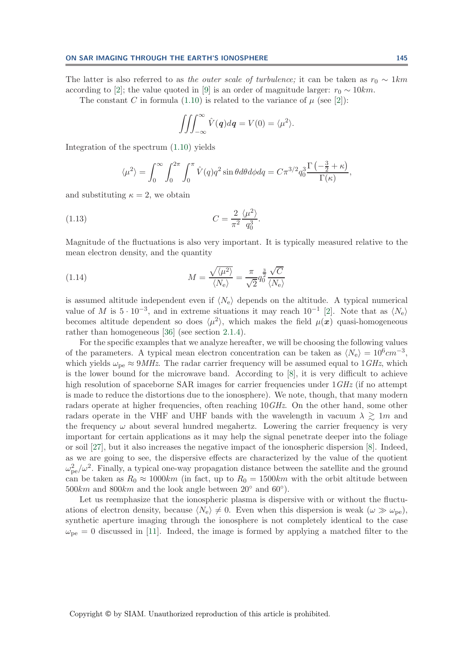The latter is also referred to as *the outer scale of turbulence;* it can be taken as  $r_0 \sim 1km$ according to [\[2\]](#page-41-5); the value quoted in [\[9\]](#page-41-6) is an order of magnitude larger:  $r_0 \sim 10km$ .

The constant C in formula [\(1.10\)](#page-4-2) is related to the variance of  $\mu$  (see [\[2\]](#page-41-5)):

$$
\iiint_{-\infty}^{\infty} \hat{V}(\mathbf{q}) d\mathbf{q} = V(0) = \langle \mu^2 \rangle.
$$

Integration of the spectrum [\(1.10\)](#page-4-2) yields

$$
\langle \mu^2 \rangle = \int_0^\infty \int_0^{2\pi} \int_0^{\pi} \hat{V}(q) q^2 \sin \theta d\theta d\phi dq = C \pi^{3/2} q_0^3 \frac{\Gamma(-\frac{3}{2} + \kappa)}{\Gamma(\kappa)},
$$

and substituting  $\kappa = 2$ , we obtain

(1.13) 
$$
C = \frac{2}{\pi^2} \frac{\langle \mu^2 \rangle}{q_0^3}
$$

Magnitude of the fluctuations is also very important. It is typically measured relative to the mean electron density, and the quantity

<span id="page-5-1"></span><span id="page-5-0"></span>.

(1.14) 
$$
M = \frac{\sqrt{\langle \mu^2 \rangle}}{\langle N_e \rangle} = \frac{\pi}{\sqrt{2}} q_0^{\frac{3}{2}} \frac{\sqrt{C}}{\langle N_e \rangle}
$$

is assumed altitude independent even if  $\langle N_e \rangle$  depends on the altitude. A typical numerical value of M is  $5 \cdot 10^{-3}$ , and in extreme situations it may reach  $10^{-1}$  [\[2\]](#page-41-5). Note that as  $\langle N_e \rangle$ becomes altitude dependent so does  $\langle \mu^2 \rangle$ , which makes the field  $\mu(x)$  quasi-homogeneous rather than homogeneous [\[36\]](#page-42-4) (see section [2.1.4\)](#page-17-0).

For the specific examples that we analyze hereafter, we will be choosing the following values of the parameters. A typical mean electron concentration can be taken as  $\langle N_e \rangle = 10^6 cm^{-3}$ , which yields  $\omega_{\rm pe} \approx 9MHz$ . The radar carrier frequency will be assumed equal to 1*GHz*, which is the lower bound for the microwave band. According to [\[8\]](#page-41-1), it is very difficult to achieve high resolution of spaceborne SAR images for carrier frequencies under  $1 \text{GHz}$  (if no attempt is made to reduce the distortions due to the ionosphere). We note, though, that many modern radars operate at higher frequencies, often reaching 10*GHz*. On the other hand, some other radars operate in the VHF and UHF bands with the wavelength in vacuum  $\lambda \gtrsim 1m$  and the frequency  $\omega$  about several hundred megahertz. Lowering the carrier frequency is very important for certain applications as it may help the signal penetrate deeper into the foliage or soil [\[27\]](#page-42-6), but it also increases the negative impact of the ionospheric dispersion [\[8\]](#page-41-1). Indeed, as we are going to see, the dispersive effects are characterized by the value of the quotient  $\omega_{\rm pe}^2/\omega^2$ . Finally, a typical one-way propagation distance between the satellite and the ground can be taken as  $R_0 \approx 1000km$  (in fact, up to  $R_0 = 1500km$  with the orbit altitude between  $500km$  and  $800km$  and the look angle between  $20°$  and  $60°$ ).

Let us reemphasize that the ionospheric plasma is dispersive with or without the fluctuations of electron density, because  $\langle N_e \rangle \neq 0$ . Even when this dispersion is weak  $(\omega \gg \omega_{\text{pe}})$ , synthetic aperture imaging through the ionosphere is not completely identical to the case  $\omega_{\rm pe} = 0$  discussed in [\[11\]](#page-41-7). Indeed, the image is formed by applying a matched filter to the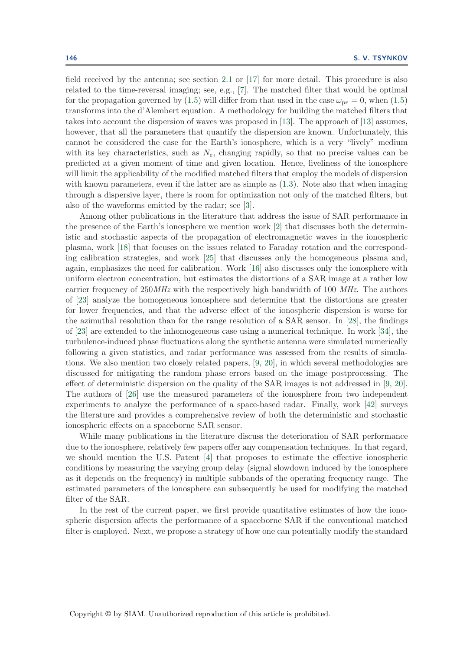field received by the antenna; see section [2.1](#page-10-0) or [\[17\]](#page-41-2) for more detail. This procedure is also related to the time-reversal imaging; see, e.g., [\[7\]](#page-41-8). The matched filter that would be optimal for the propagation governed by [\(1.5\)](#page-1-1) will differ from that used in the case  $\omega_{\text{pe}} = 0$ , when (1.5) transforms into the d'Alembert equation. A methodology for building the matched filters that takes into account the dispersion of waves was proposed in [\[13\]](#page-41-9). The approach of [\[13\]](#page-41-9) assumes, however, that all the parameters that quantify the dispersion are known. Unfortunately, this cannot be considered the case for the Earth's ionosphere, which is a very "lively" medium with its key characteristics, such as  $N_e$ , changing rapidly, so that no precise values can be predicted at a given moment of time and given location. Hence, liveliness of the ionosphere will limit the applicability of the modified matched filters that employ the models of dispersion with known parameters, even if the latter are as simple as  $(1.3)$ . Note also that when imaging through a dispersive layer, there is room for optimization not only of the matched filters, but also of the waveforms emitted by the radar; see [\[3\]](#page-41-10).

Among other publications in the literature that address the issue of SAR performance in the presence of the Earth's ionosphere we mention work [\[2\]](#page-41-5) that discusses both the deterministic and stochastic aspects of the propagation of electromagnetic waves in the ionospheric plasma, work [\[18\]](#page-41-11) that focuses on the issues related to Faraday rotation and the corresponding calibration strategies, and work [\[25\]](#page-42-7) that discusses only the homogeneous plasma and, again, emphasizes the need for calibration. Work [\[16\]](#page-41-12) also discusses only the ionosphere with uniform electron concentration, but estimates the distortions of a SAR image at a rather low carrier frequency of 250*MHz* with the respectively high bandwidth of 100 *MHz*. The authors of [\[23\]](#page-42-8) analyze the homogeneous ionosphere and determine that the distortions are greater for lower frequencies, and that the adverse effect of the ionospheric dispersion is worse for the azimuthal resolution than for the range resolution of a SAR sensor. In [\[28\]](#page-42-9), the findings of [\[23\]](#page-42-8) are extended to the inhomogeneous case using a numerical technique. In work [\[34\]](#page-42-10), the turbulence-induced phase fluctuations along the synthetic antenna were simulated numerically following a given statistics, and radar performance was assessed from the results of simulations. We also mention two closely related papers, [\[9,](#page-41-6) [20\]](#page-41-13), in which several methodologies are discussed for mitigating the random phase errors based on the image postprocessing. The effect of deterministic dispersion on the quality of the SAR images is not addressed in [\[9,](#page-41-6) [20\]](#page-41-13). The authors of [\[26\]](#page-42-11) use the measured parameters of the ionosphere from two independent experiments to analyze the performance of a space-based radar. Finally, work [\[42\]](#page-42-12) surveys the literature and provides a comprehensive review of both the deterministic and stochastic ionospheric effects on a spaceborne SAR sensor.

While many publications in the literature discuss the deterioration of SAR performance due to the ionosphere, relatively few papers offer any compensation techniques. In that regard, we should mention the U.S. Patent [\[4\]](#page-41-14) that proposes to estimate the effective ionospheric conditions by measuring the varying group delay (signal slowdown induced by the ionosphere as it depends on the frequency) in multiple subbands of the operating frequency range. The estimated parameters of the ionosphere can subsequently be used for modifying the matched filter of the SAR.

In the rest of the current paper, we first provide quantitative estimates of how the ionospheric dispersion affects the performance of a spaceborne SAR if the conventional matched filter is employed. Next, we propose a strategy of how one can potentially modify the standard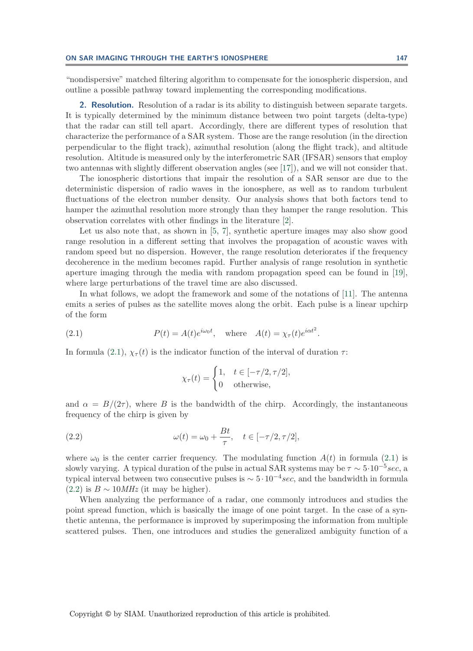"nondispersive" matched filtering algorithm to compensate for the ionospheric dispersion, and outline a possible pathway toward implementing the corresponding modifications.

<span id="page-7-2"></span>**2. Resolution.** Resolution of a radar is its ability to distinguish between separate targets. It is typically determined by the minimum distance between two point targets (delta-type) that the radar can still tell apart. Accordingly, there are different types of resolution that characterize the performance of a SAR system. Those are the range resolution (in the direction perpendicular to the flight track), azimuthal resolution (along the flight track), and altitude resolution. Altitude is measured only by the interferometric SAR (IFSAR) sensors that employ two antennas with slightly different observation angles (see [\[17\]](#page-41-2)), and we will not consider that.

The ionospheric distortions that impair the resolution of a SAR sensor are due to the deterministic dispersion of radio waves in the ionosphere, as well as to random turbulent fluctuations of the electron number density. Our analysis shows that both factors tend to hamper the azimuthal resolution more strongly than they hamper the range resolution. This observation correlates with other findings in the literature [\[2\]](#page-41-5).

Let us also note that, as shown in [\[5,](#page-41-15) [7\]](#page-41-8), synthetic aperture images may also show good range resolution in a different setting that involves the propagation of acoustic waves with random speed but no dispersion. However, the range resolution deteriorates if the frequency decoherence in the medium becomes rapid. Further analysis of range resolution in synthetic aperture imaging through the media with random propagation speed can be found in [\[19\]](#page-41-16), where large perturbations of the travel time are also discussed.

In what follows, we adopt the framework and some of the notations of [\[11\]](#page-41-7). The antenna emits a series of pulses as the satellite moves along the orbit. Each pulse is a linear upchirp of the form

<span id="page-7-0"></span>(2.1) 
$$
P(t) = A(t)e^{i\omega_0 t}, \text{ where } A(t) = \chi_\tau(t)e^{i\alpha t^2}.
$$

In formula [\(2.1\)](#page-7-0),  $\chi_{\tau}(t)$  is the indicator function of the interval of duration  $\tau$ :

<span id="page-7-1"></span>
$$
\chi_{\tau}(t) = \begin{cases} 1, & t \in [-\tau/2, \tau/2], \\ 0 & \text{otherwise}, \end{cases}
$$

and  $\alpha = B/(2\tau)$ , where B is the bandwidth of the chirp. Accordingly, the instantaneous frequency of the chirp is given by

(2.2) 
$$
\omega(t) = \omega_0 + \frac{Bt}{\tau}, \quad t \in [-\tau/2, \tau/2],
$$

where  $\omega_0$  is the center carrier frequency. The modulating function  $A(t)$  in formula [\(2.1\)](#page-7-0) is slowly varying. A typical duration of the pulse in actual SAR systems may be  $\tau \sim 5 \cdot 10^{-5} sec$ , a typical interval between two consecutive pulses is  $\sim 5 \cdot 10^{-4} sec$ , and the bandwidth in formula  $(2.2)$  is  $B \sim 10 MHz$  (it may be higher).

When analyzing the performance of a radar, one commonly introduces and studies the point spread function, which is basically the image of one point target. In the case of a synthetic antenna, the performance is improved by superimposing the information from multiple scattered pulses. Then, one introduces and studies the generalized ambiguity function of a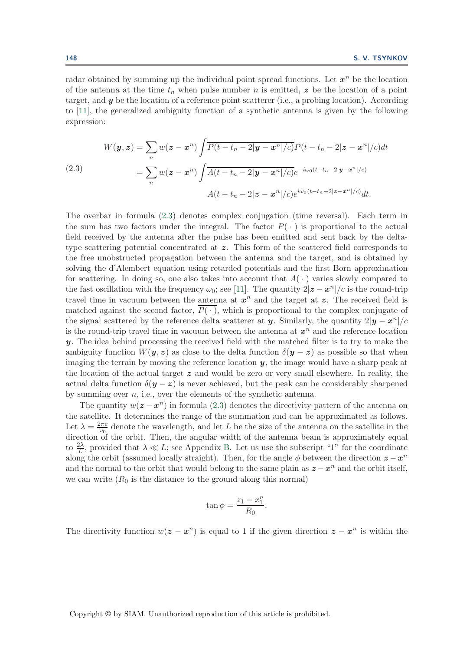radar obtained by summing up the individual point spread functions. Let  $x^n$  be the location of the antenna at the time  $t_n$  when pulse number n is emitted, z be the location of a point target, and *y* be the location of a reference point scatterer (i.e., a probing location). According to [\[11\]](#page-41-7), the generalized ambiguity function of a synthetic antenna is given by the following expression:

<span id="page-8-0"></span>(2.3)  

$$
W(y, z) = \sum_{n} w(z - x^{n}) \int \overline{P(t - t_{n} - 2|y - x^{n}|/c)} P(t - t_{n} - 2|z - x^{n}|/c) dt
$$

$$
= \sum_{n} w(z - x^{n}) \int \overline{A(t - t_{n} - 2|y - x^{n}|/c)} e^{-i\omega_{0}(t - t_{n} - 2|y - x^{n}|/c)}
$$

$$
A(t - t_{n} - 2|z - x^{n}|/c) e^{i\omega_{0}(t - t_{n} - 2|z - x^{n}|/c)} dt.
$$

The overbar in formula [\(2.3\)](#page-8-0) denotes complex conjugation (time reversal). Each term in the sum has two factors under the integral. The factor  $P(\cdot)$  is proportional to the actual field received by the antenna after the pulse has been emitted and sent back by the deltatype scattering potential concentrated at z. This form of the scattered field corresponds to the free unobstructed propagation between the antenna and the target, and is obtained by solving the d'Alembert equation using retarded potentials and the first Born approximation for scattering. In doing so, one also takes into account that  $A(\cdot)$  varies slowly compared to the fast oscillation with the frequency  $\omega_0$ ; see [\[11\]](#page-41-7). The quantity  $2|\mathbf{z}-\mathbf{x}^n|/c$  is the round-trip travel time in vacuum between the antenna at  $x^n$  and the target at  $z$ . The received field is matched against the second factor,  $P(\cdot)$ , which is proportional to the complex conjugate of the signal scattered by the reference delta scatterer at *y*. Similarly, the quantity  $2|y - x^n|/c$ is the round-trip travel time in vacuum between the antenna at  $x^n$  and the reference location *y*. The idea behind processing the received field with the matched filter is to try to make the ambiguity function  $W(y, z)$  as close to the delta function  $\delta(y - z)$  as possible so that when imaging the terrain by moving the reference location *y*, the image would have a sharp peak at the location of the actual target *z* and would be zero or very small elsewhere. In reality, the actual delta function  $\delta(y-z)$  is never achieved, but the peak can be considerably sharpened by summing over  $n$ , i.e., over the elements of the synthetic antenna.

The quantity  $w(z - x^n)$  in formula [\(2.3\)](#page-8-0) denotes the directivity pattern of the antenna on the satellite. It determines the range of the summation and can be approximated as follows. Let  $\lambda = \frac{2\pi c}{\omega_0}$  denote the wavelength, and let L be the size of the antenna on the satellite in the direction of the orbit. Then, the angular width of the antenna beam is approximately equal to  $\frac{2\lambda}{L}$ , provided that  $\lambda \ll L$ ; see Appendix [B.](#page-33-0) Let us use the subscript "1" for the coordinate along the orbit (assumed locally straight). Then, for the angle  $\phi$  between the direction  $z - x^n$ and the normal to the orbit that would belong to the same plain as  $z - x^n$  and the orbit itself, we can write  $(R_0$  is the distance to the ground along this normal)

$$
\tan \phi = \frac{z_1 - x_1^n}{R_0}.
$$

The directivity function  $w(z - x^n)$  is equal to 1 if the given direction  $z - x^n$  is within the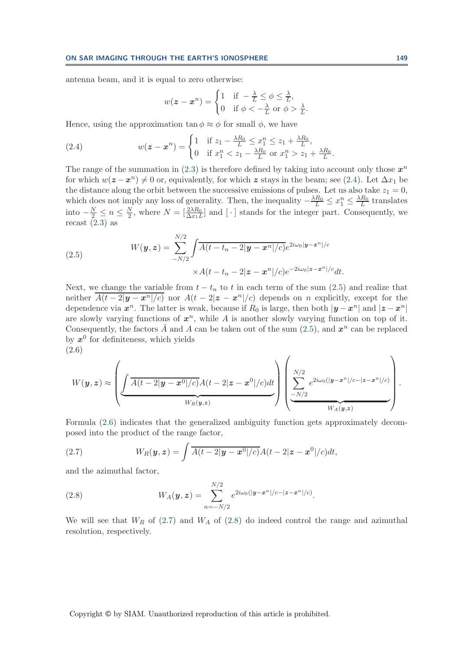antenna beam, and it is equal to zero otherwise:

<span id="page-9-0"></span>
$$
w(\mathbf{z} - \mathbf{x}^n) = \begin{cases} 1 & \text{if } -\frac{\lambda}{L} \le \phi \le \frac{\lambda}{L}, \\ 0 & \text{if } \phi < -\frac{\lambda}{L} \text{ or } \phi > \frac{\lambda}{L}. \end{cases}
$$

Hence, using the approximation  $\tan \phi \approx \phi$  for small  $\phi$ , we have

(2.4) 
$$
w(z - x^{n}) = \begin{cases} 1 & \text{if } z_{1} - \frac{\lambda R_{0}}{L} \leq x_{1}^{n} \leq z_{1} + \frac{\lambda R_{0}}{L}, \\ 0 & \text{if } x_{1}^{n} < z_{1} - \frac{\lambda R_{0}}{L} \text{ or } x_{1}^{n} > z_{1} + \frac{\lambda R_{0}}{L}. \end{cases}
$$

The range of the summation in  $(2.3)$  is therefore defined by taking into account only those  $x^n$ for which  $w(z-x^n) \neq 0$  or, equivalently, for which *z* stays in the beam; see [\(2.4\)](#page-9-0). Let  $\Delta x_1$  be the distance along the orbit between the successive emissions of pulses. Let us also take  $z_1 = 0$ , which does not imply any loss of generality. Then, the inequality  $-\frac{\lambda R_0}{L} \le x_1^n \le \frac{\lambda R_0}{L}$  translates into  $-\frac{N}{2} \le n \le \frac{N}{2}$ , where  $N = \left[\frac{2\lambda R_0}{\Delta x_1 L}\right]$  and  $\left[\cdot\right]$  stands for the integer part. Consequently, we recast  $(2.3)$  as

<span id="page-9-1"></span>(2.5) 
$$
W(\mathbf{y}, \mathbf{z}) = \sum_{-N/2}^{N/2} \int \overline{A(t - t_n - 2|\mathbf{y} - \mathbf{x}^n|/c)} e^{2i\omega_0|\mathbf{y} - \mathbf{x}^n|/c} \times A(t - t_n - 2|\mathbf{z} - \mathbf{x}^n|/c) e^{-2i\omega_0|\mathbf{z} - \mathbf{x}^n|/c} dt.
$$

Next, we change the variable from  $t - t_n$  to t in each term of the sum [\(2.5\)](#page-9-1) and realize that neither  $\overline{A(t-2|y-x^n|/c)}$  nor  $A(t-2|z-x^n|/c)$  depends on n explicitly, except for the dependence via  $x^n$ . The latter is weak, because if  $R_0$  is large, then both  $|y - x^n|$  and  $|z - x^n|$ are slowly varying functions of  $x^n$ , while A is another slowly varying function on top of it. Consequently, the factors  $\overline{A}$  and A can be taken out of the sum [\(2.5\)](#page-9-1), and  $x^n$  can be replaced by  $x^0$  for definiteness, which yields (2.6)

<span id="page-9-2"></span>
$$
W(\boldsymbol{y},\boldsymbol{z}) \approx \left(\underbrace{\int \overbrace{A(t-2|\boldsymbol{y}-\boldsymbol{x}^{0}|/c)} A(t-2|\boldsymbol{z}-\boldsymbol{x}^{0}|/c)dt}_{W_{R}(\boldsymbol{y},\boldsymbol{z})}\right)\left(\underbrace{\sum_{-N/2}^{N/2} e^{2i\omega_{0}(|\boldsymbol{y}-\boldsymbol{x}^{n}|/c-|\boldsymbol{z}-\boldsymbol{x}^{n}|/c)}_{W_{A}(\boldsymbol{y},\boldsymbol{z})}\right).
$$

Formula [\(2.6\)](#page-9-2) indicates that the generalized ambiguity function gets approximately decomposed into the product of the range factor,

<span id="page-9-3"></span>(2.7) 
$$
W_R(\boldsymbol{y}, \boldsymbol{z}) = \int \overline{A(t-2|\boldsymbol{y}-\boldsymbol{x}^0|/c)} A(t-2|\boldsymbol{z}-\boldsymbol{x}^0|/c) dt,
$$

<span id="page-9-4"></span>and the azimuthal factor,

(2.8) 
$$
W_A(\mathbf{y}, \mathbf{z}) = \sum_{n=-N/2}^{N/2} e^{2i\omega_0(|\mathbf{y}-\mathbf{x}^n|/c-|\mathbf{z}-\mathbf{x}^n|/c)}.
$$

We will see that  $W_R$  of [\(2.7\)](#page-9-3) and  $W_A$  of [\(2.8\)](#page-9-4) do indeed control the range and azimuthal resolution, respectively.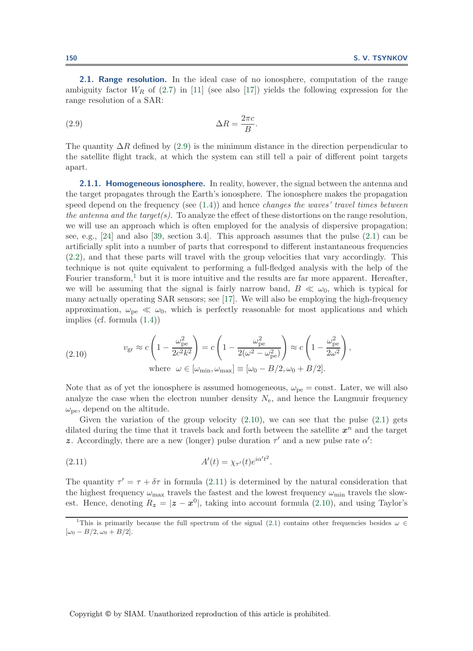<span id="page-10-0"></span>**2.1. Range resolution.** In the ideal case of no ionosphere, computation of the range ambiguity factor  $W_R$  of [\(2.7\)](#page-9-3) in [\[11\]](#page-41-7) (see also [\[17\]](#page-41-2)) yields the following expression for the range resolution of a SAR:

<span id="page-10-1"></span>
$$
\Delta R = \frac{2\pi c}{B}.
$$

The quantity  $\Delta R$  defined by [\(2.9\)](#page-10-1) is the minimum distance in the direction perpendicular to the satellite flight track, at which the system can still tell a pair of different point targets apart.

<span id="page-10-5"></span>**2.1.1. Homogeneous ionosphere.** In reality, however, the signal between the antenna and the target propagates through the Earth's ionosphere. The ionosphere makes the propagation speed depend on the frequency (see [\(1.4\)](#page-1-4)) and hence *changes the waves' travel times between the antenna and the target(s)*. To analyze the effect of these distortions on the range resolution, we will use an approach which is often employed for the analysis of dispersive propagation; see, e.g., [\[24\]](#page-42-13) and also [\[39,](#page-42-14) section 3.4]. This approach assumes that the pulse [\(2.1\)](#page-7-0) can be artificially split into a number of parts that correspond to different instantaneous frequencies [\(2.2\)](#page-7-1), and that these parts will travel with the group velocities that vary accordingly. This technique is not quite equivalent to performing a full-fledged analysis with the help of the Fourier transform,<sup>[1](#page-10-2)</sup> but it is more intuitive and the results are far more apparent. Hereafter, we will be assuming that the signal is fairly narrow band,  $B \ll \omega_0$ , which is typical for many actually operating SAR sensors; see [\[17\]](#page-41-2). We will also be employing the high-frequency approximation,  $\omega_{pe} \ll \omega_0$ , which is perfectly reasonable for most applications and which implies (cf. formula [\(1.4\)](#page-1-4))

<span id="page-10-3"></span>(2.10) 
$$
v_{\rm gr} \approx c \left( 1 - \frac{\omega_{\rm pe}^2}{2c^2 k^2} \right) = c \left( 1 - \frac{\omega_{\rm pe}^2}{2(\omega^2 - \omega_{\rm pe}^2)} \right) \approx c \left( 1 - \frac{\omega_{\rm pe}^2}{2\omega^2} \right),
$$
  
where  $\omega \in [\omega_{\rm min}, \omega_{\rm max}] \equiv [\omega_0 - B/2, \omega_0 + B/2].$ 

Note that as of yet the ionosphere is assumed homogeneous,  $\omega_{pe} = \text{const.}$  Later, we will also analyze the case when the electron number density  $N_{e}$ , and hence the Langmuir frequency  $\omega_{\rm{pe}}$ , depend on the altitude.

Given the variation of the group velocity  $(2.10)$ , we can see that the pulse  $(2.1)$  gets dilated during the time that it travels back and forth between the satellite  $x^n$  and the target **z**. Accordingly, there are a new (longer) pulse duration  $\tau'$  and a new pulse rate  $\alpha'$ :

<span id="page-10-4"></span>
$$
(2.11) \t\t A'(t) = \chi_{\tau'}(t)e^{i\alpha't^2}.
$$

The quantity  $\tau' = \tau + \delta \tau$  in formula [\(2.11\)](#page-10-4) is determined by the natural consideration that the highest frequency  $\omega_{\text{max}}$  travels the fastest and the lowest frequency  $\omega_{\text{min}}$  travels the slowest. Hence, denoting  $R_z = |z - x^0|$ , taking into account formula [\(2.10\)](#page-10-3), and using Taylor's

<span id="page-10-2"></span><sup>&</sup>lt;sup>1</sup>This is primarily because the full spectrum of the signal [\(2.1\)](#page-7-0) contains other frequencies besides  $\omega \in$  $[\omega_0 - B/2, \omega_0 + B/2].$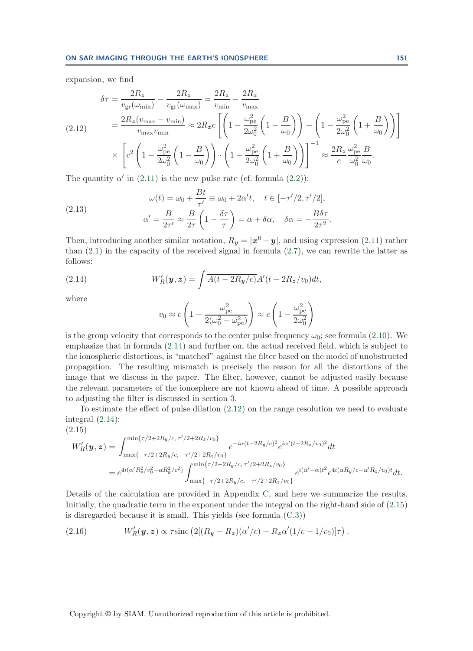<span id="page-11-1"></span>expansion, we find

$$
\delta \tau = \frac{2R_z}{v_{\text{gr}}(\omega_{\text{min}})} - \frac{2R_z}{v_{\text{gr}}(\omega_{\text{max}})} = \frac{2R_z}{v_{\text{min}}} - \frac{2R_z}{v_{\text{max}}}
$$
\n
$$
(2.12) \qquad = \frac{2R_z(v_{\text{max}} - v_{\text{min}})}{v_{\text{max}}v_{\text{min}}} \approx 2R_z c \left[ \left( 1 - \frac{\omega_{\text{pe}}^2}{2\omega_0^2} \left( 1 - \frac{B}{\omega_0} \right) \right) - \left( 1 - \frac{\omega_{\text{pe}}^2}{2\omega_0^2} \left( 1 + \frac{B}{\omega_0} \right) \right) \right]
$$
\n
$$
\times \left[ c^2 \left( 1 - \frac{\omega_{\text{pe}}^2}{2\omega_0^2} \left( 1 - \frac{B}{\omega_0} \right) \right) \cdot \left( 1 - \frac{\omega_{\text{pe}}^2}{2\omega_0^2} \left( 1 + \frac{B}{\omega_0} \right) \right) \right]^{-1} \approx \frac{2R_z}{c} \frac{\omega_{\text{pe}}^2}{\omega_0^2} \frac{B}{\omega_0}.
$$

The quantity  $\alpha'$  in [\(2.11\)](#page-10-4) is the new pulse rate (cf. formula [\(2.2\)](#page-7-1)):

(2.13) 
$$
\omega(t) = \omega_0 + \frac{Bt}{\tau'} \equiv \omega_0 + 2\alpha' t, \quad t \in [-\tau'/2, \tau'/2],
$$

$$
\alpha' = \frac{B}{2\tau'} \approx \frac{B}{2\tau} \left(1 - \frac{\delta\tau}{\tau}\right) = \alpha + \delta\alpha, \quad \delta\alpha = -\frac{B\delta\tau}{2\tau^2}.
$$

Then, introducing another similar notation,  $R_y = |\mathbf{x}^0 - \mathbf{y}|$ , and using expression [\(2.11\)](#page-10-4) rather than [\(2.1\)](#page-7-0) in the capacity of the received signal in formula [\(2.7\)](#page-9-3), we can rewrite the latter as follows:

<span id="page-11-0"></span>(2.14) 
$$
W'_{R}(\boldsymbol{y}, \boldsymbol{z}) = \int \overline{A(t - 2R_{\boldsymbol{y}}/c)} A'(t - 2R_{\boldsymbol{z}}/v_0) dt,
$$

where

<span id="page-11-4"></span>
$$
v_0 \approx c \left( 1 - \frac{\omega_{\text{pe}}^2}{2(\omega_0^2 - \omega_{\text{pe}}^2)} \right) \approx c \left( 1 - \frac{\omega_{\text{pe}}^2}{2\omega_0^2} \right)
$$

is the group velocity that corresponds to the center pulse frequency  $\omega_0$ ; see formula [\(2.10\)](#page-10-3). We emphasize that in formula [\(2.14\)](#page-11-0) and further on, the actual received field, which is subject to the ionospheric distortions, is "matched" against the filter based on the model of unobstructed propagation. The resulting mismatch is precisely the reason for all the distortions of the image that we discuss in the paper. The filter, however, cannot be adjusted easily because the relevant parameters of the ionosphere are not known ahead of time. A possible approach to adjusting the filter is discussed in section [3.](#page-27-0)

To estimate the effect of pulse dilation [\(2.12\)](#page-11-1) on the range resolution we need to evaluate integral [\(2.14\)](#page-11-0):

<span id="page-11-2"></span>
$$
(2.15)
$$
\n
$$
W'_{R}(\mathbf{y}, \mathbf{z}) = \int_{\max\{-\tau/2+2R_{\mathbf{y}}/c, \tau'/2+2R_{z}/v_0\}}^{\min\{\tau/2+2R_{\mathbf{y}}/c, \tau'/2+2R_{z}/v_0\}} e^{-i\alpha(t-2R_{\mathbf{y}}/c)^2} e^{i\alpha'(t-2R_{z}/v_0)^2} dt
$$
\n
$$
= e^{4i(\alpha'R_{z}^{2}/v_{0}^{2}-\alpha R_{\mathbf{y}}^{2}/c^{2})} \int_{\max\{-\tau/2+2R_{\mathbf{y}}/c, \tau'/2+2R_{z}/v_0\}}^{\min\{\tau/2+2R_{\mathbf{y}}/c, \tau'/2+2R_{z}/v_0\}} e^{i(\alpha'-\alpha)t^{2}} e^{4i(\alpha R_{\mathbf{y}}/c-\alpha'R_{z}/v_0)t} dt.
$$

Details of the calculation are provided in Appendix [C,](#page-34-0) and here we summarize the results. Initially, the quadratic term in the exponent under the integral on the right-hand side of [\(2.15\)](#page-11-2) is disregarded because it is small. This yields (see formula [\(C.3\)](#page-35-0))

<span id="page-11-3"></span>(2.16) 
$$
W'_{R}(\mathbf{y}, \mathbf{z}) \propto \tau \operatorname{sinc} (2[(R_{\mathbf{y}} - R_{\mathbf{z}})(\alpha'/c) + R_{\mathbf{z}}\alpha'(1/c - 1/v_0)]\tau).
$$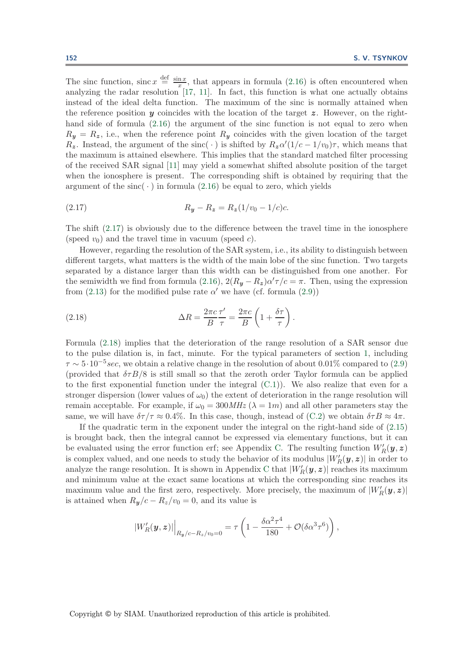The sinc function, sinc  $x \stackrel{\text{def}}{=} \frac{\sin x}{x}$ , that appears in formula [\(2.16\)](#page-11-3) is often encountered when analyzing the radar resolution [\[17,](#page-41-2) [11\]](#page-41-7). In fact, this function is what one actually obtains instead of the ideal delta function. The maximum of the sinc is normally attained when the reference position  $y$  coincides with the location of the target  $z$ . However, on the righthand side of formula  $(2.16)$  the argument of the sinc function is not equal to zero when  $R_y = R_z$ , i.e., when the reference point  $R_y$  coincides with the given location of the target  $R_z$ . Instead, the argument of the sinc( · ) is shifted by  $R_z \alpha'(1/c - 1/v_0)\tau$ , which means that the maximum is attained elsewhere. This implies that the standard matched filter processing of the received SAR signal [\[11\]](#page-41-7) may yield a somewhat shifted absolute position of the target when the ionosphere is present. The corresponding shift is obtained by requiring that the argument of the sinc( $\cdot$ ) in formula [\(2.16\)](#page-11-3) be equal to zero, which yields

<span id="page-12-0"></span>(2.17) 
$$
R_y - R_z = R_z (1/v_0 - 1/c)c.
$$

The shift [\(2.17\)](#page-12-0) is obviously due to the difference between the travel time in the ionosphere (speed  $v_0$ ) and the travel time in vacuum (speed c).

However, regarding the resolution of the SAR system, i.e., its ability to distinguish between different targets, what matters is the width of the main lobe of the sinc function. Two targets separated by a distance larger than this width can be distinguished from one another. For the semiwidth we find from formula [\(2.16\)](#page-11-3),  $2(R_y - R_z)\alpha' \tau/c = \pi$ . Then, using the expression from [\(2.13\)](#page-11-4) for the modified pulse rate  $\alpha'$  we have (cf. formula [\(2.9\)](#page-10-1))

<span id="page-12-1"></span>(2.18) 
$$
\Delta R = \frac{2\pi c}{B} \frac{\tau'}{\tau} = \frac{2\pi c}{B} \left( 1 + \frac{\delta \tau}{\tau} \right).
$$

Formula [\(2.18\)](#page-12-1) implies that the deterioration of the range resolution of a SAR sensor due to the pulse dilation is, in fact, minute. For the typical parameters of section [1,](#page-0-1) including  $\tau \sim 5 \cdot 10^{-5}$  sec, we obtain a relative change in the resolution of about 0.01% compared to [\(2.9\)](#page-10-1) (provided that  $\delta\tau B/8$  is still small so that the zeroth order Taylor formula can be applied to the first exponential function under the integral  $(C.1)$ ). We also realize that even for a stronger dispersion (lower values of  $\omega_0$ ) the extent of deterioration in the range resolution will remain acceptable. For example, if  $\omega_0 = 300 MHz$  ( $\lambda = 1m$ ) and all other parameters stay the same, we will have  $\delta\tau/\tau \approx 0.4\%$ . In this case, though, instead of [\(C.2\)](#page-35-2) we obtain  $\delta\tau B \approx 4\pi$ .

If the quadratic term in the exponent under the integral on the right-hand side of [\(2.15\)](#page-11-2) is brought back, then the integral cannot be expressed via elementary functions, but it can be evaluated using the error function erf; see Appendix [C.](#page-34-0) The resulting function  $W_R'(\mathbf{y}, \mathbf{z})$ is complex valued, and one needs to study the behavior of its modulus  $|W'_{R}(\bm{y}, \bm{z})|$  in order to analyze the range resolution. It is shown in Appendix [C](#page-34-0) that  $|W_R'(\bm{y}, \bm{z})|$  reaches its maximum and minimum value at the exact same locations at which the corresponding sinc reaches its maximum value and the first zero, respectively. More precisely, the maximum of  $|W_R'(\boldsymbol{y}, \boldsymbol{z})|$ is attained when  $R_y/c - R_z/v_0 = 0$ , and its value is

$$
|W_R'(y,z)|\Big|_{R_y/c-R_z/v_0=0} = \tau \left(1 - \frac{\delta \alpha^2 \tau^4}{180} + \mathcal{O}(\delta \alpha^3 \tau^6)\right),
$$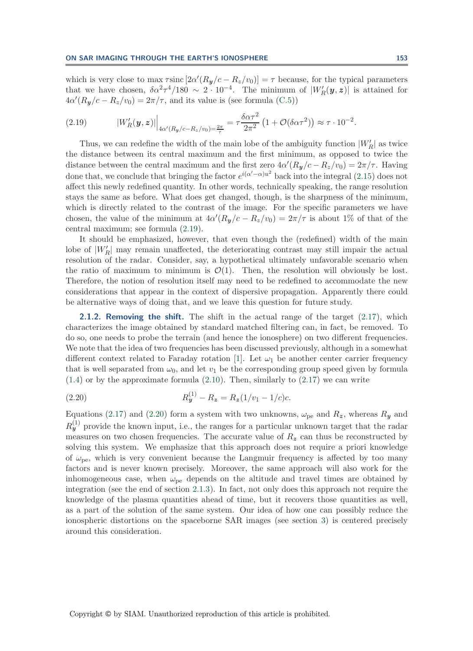which is very close to max  $\tau \text{sinc} [2\alpha'(R_y/c - R_z/v_0)] = \tau$  because, for the typical parameters that we have chosen,  $\delta \alpha^2 \tau^4 / 180 \sim 2 \cdot 10^{-4}$ . The minimum of  $|W_R'(y, z)|$  is attained for  $4\alpha'(R_y/c - R_z/v_0) = 2\pi/\tau$ , and its value is (see formula [\(C.5\)](#page-37-0))

<span id="page-13-0"></span>(2.19) 
$$
|W'_{R}(\bm{y}, \bm{z})| \Big|_{4\alpha'(R_{\bm{y}}/c - R_{\bm{z}}/v_0) = \frac{2\pi}{\tau}} = \tau \frac{\delta \alpha \tau^2}{2\pi^2} \left(1 + \mathcal{O}(\delta \alpha \tau^2)\right) \approx \tau \cdot 10^{-2}.
$$

Thus, we can redefine the width of the main lobe of the ambiguity function  $|W'_R|$  as twice the distance between its central maximum and the first minimum, as opposed to twice the distance between the central maximum and the first zero  $4\alpha'(R_y/c - R_z/v_0) = 2\pi/\tau$ . Having done that, we conclude that bringing the factor  $e^{i(\alpha'-\alpha)u^2}$  back into the integral [\(2.15\)](#page-11-2) does not affect this newly redefined quantity. In other words, technically speaking, the range resolution stays the same as before. What does get changed, though, is the sharpness of the minimum, which is directly related to the contrast of the image. For the specific parameters we have chosen, the value of the minimum at  $4\alpha'(R_y/c - R_z/v_0) = 2\pi/\tau$  is about 1% of that of the central maximum; see formula [\(2.19\)](#page-13-0).

It should be emphasized, however, that even though the (redefined) width of the main lobe of  $|W'_R|$  may remain unaffected, the deteriorating contrast may still impair the actual resolution of the radar. Consider, say, a hypothetical ultimately unfavorable scenario when the ratio of maximum to minimum is  $\mathcal{O}(1)$ . Then, the resolution will obviously be lost. Therefore, the notion of resolution itself may need to be redefined to accommodate the new considerations that appear in the context of dispersive propagation. Apparently there could be alternative ways of doing that, and we leave this question for future study.

<span id="page-13-2"></span>**2.1.2. Removing the shift.** The shift in the actual range of the target [\(2.17\)](#page-12-0), which characterizes the image obtained by standard matched filtering can, in fact, be removed. To do so, one needs to probe the terrain (and hence the ionosphere) on two different frequencies. We note that the idea of two frequencies has been discussed previously, although in a somewhat different context related to Faraday rotation [\[1\]](#page-41-17). Let  $\omega_1$  be another center carrier frequency that is well separated from  $\omega_0$ , and let  $v_1$  be the corresponding group speed given by formula  $(1.4)$  or by the approximate formula  $(2.10)$ . Then, similarly to  $(2.17)$  we can write

<span id="page-13-1"></span>(2.20) 
$$
R_{\mathbf{y}}^{(1)} - R_{\mathbf{z}} = R_{\mathbf{z}}(1/v_1 - 1/c)c.
$$

Equations [\(2.17\)](#page-12-0) and [\(2.20\)](#page-13-1) form a system with two unknowns,  $\omega_{\text{pe}}$  and  $R_z$ , whereas  $R_y$  and  $R_{\bm{y}}^{(1)}$  provide the known input, i.e., the ranges for a particular unknown target that the radar measures on two chosen frequencies. The accurate value of  $R<sub>z</sub>$  can thus be reconstructed by solving this system. We emphasize that this approach does not require a priori knowledge of  $\omega_{\rm pe}$ , which is very convenient because the Langmuir frequency is affected by too many factors and is never known precisely. Moreover, the same approach will also work for the inhomogeneous case, when  $\omega_{\rm pe}$  depends on the altitude and travel times are obtained by integration (see the end of section [2.1.3\)](#page-14-0). In fact, not only does this approach not require the knowledge of the plasma quantities ahead of time, but it recovers those quantities as well, as a part of the solution of the same system. Our idea of how one can possibly reduce the ionospheric distortions on the spaceborne SAR images (see section [3\)](#page-27-0) is centered precisely around this consideration.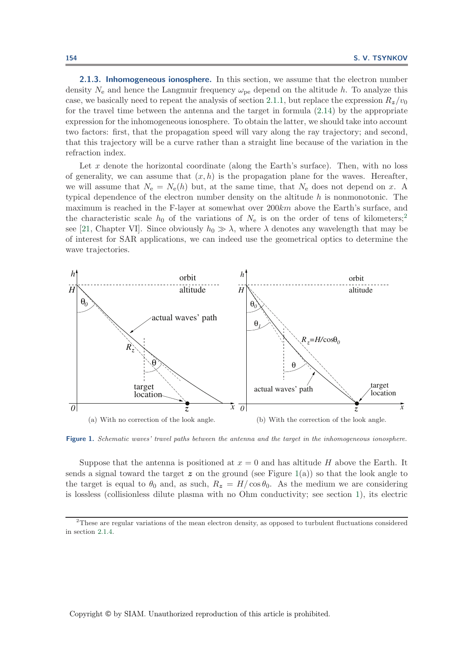<span id="page-14-0"></span>**2.1.3. Inhomogeneous ionosphere.** In this section, we assume that the electron number density  $N_e$  and hence the Langmuir frequency  $\omega_{pe}$  depend on the altitude h. To analyze this case, we basically need to repeat the analysis of section [2.1.1,](#page-10-5) but replace the expression  $R_z/v_0$ for the travel time between the antenna and the target in formula [\(2.14\)](#page-11-0) by the appropriate expression for the inhomogeneous ionosphere. To obtain the latter, we should take into account two factors: first, that the propagation speed will vary along the ray trajectory; and second, that this trajectory will be a curve rather than a straight line because of the variation in the refraction index.

Let x denote the horizontal coordinate (along the Earth's surface). Then, with no loss of generality, we can assume that  $(x, h)$  is the propagation plane for the waves. Hereafter, we will assume that  $N_e = N_e(h)$  but, at the same time, that  $N_e$  does not depend on x. A typical dependence of the electron number density on the altitude h is nonmonotonic. The maximum is reached in the F-layer at somewhat over 200km above the Earth's surface, and the characteristic scale  $h_0$  of the variations of  $N_e$  is on the order of tens of kilometers;<sup>[2](#page-14-1)</sup> see [\[21,](#page-42-3) Chapter VI]. Since obviously  $h_0 \gg \lambda$ , where  $\lambda$  denotes any wavelength that may be of interest for SAR applications, we can indeed use the geometrical optics to determine the wave trajectories.



<span id="page-14-2"></span>**Figure 1.** Schematic waves' travel paths between the antenna and the target in the inhomogeneous ionosphere.

Suppose that the antenna is positioned at  $x = 0$  and has altitude H above the Earth. It sends a signal toward the target  $z$  on the ground (see Figure [1\(](#page-14-2)a)) so that the look angle to the target is equal to  $\theta_0$  and, as such,  $R_z = H/\cos\theta_0$ . As the medium we are considering is lossless (collisionless dilute plasma with no Ohm conductivity; see section [1\)](#page-0-1), its electric

<span id="page-14-1"></span><sup>&</sup>lt;sup>2</sup>These are regular variations of the mean electron density, as opposed to turbulent fluctuations considered in section [2.1.4.](#page-17-0)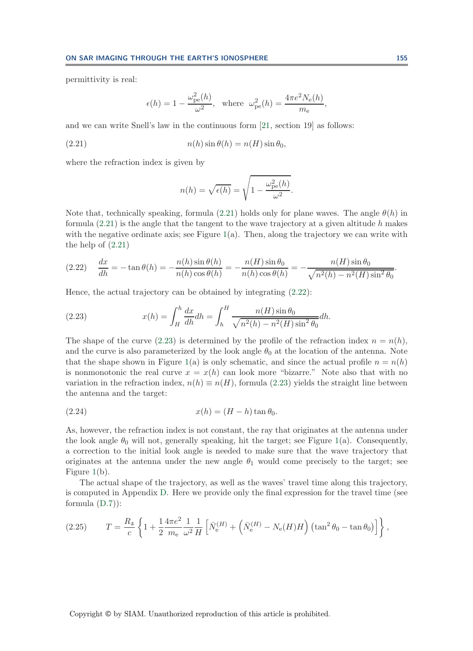permittivity is real:

$$
\epsilon(h) = 1 - \frac{\omega_{\rm pe}^2(h)}{\omega^2}, \text{ where } \omega_{\rm pe}^2(h) = \frac{4\pi e^2 N_{\rm e}(h)}{m_{\rm e}},
$$

and we can write Snell's law in the continuous form [\[21,](#page-42-3) section 19] as follows:

(2.21) 
$$
n(h)\sin\theta(h) = n(H)\sin\theta_0,
$$

where the refraction index is given by

<span id="page-15-2"></span><span id="page-15-0"></span>
$$
n(h) = \sqrt{\epsilon(h)} = \sqrt{1 - \frac{\omega_{\rm pe}^2(h)}{\omega^2}}.
$$

Note that, technically speaking, formula [\(2.21\)](#page-15-0) holds only for plane waves. The angle  $\theta(h)$  in formula  $(2.21)$  is the angle that the tangent to the wave trajectory at a given altitude h makes with the negative ordinate axis; see Figure  $1(a)$  $1(a)$ . Then, along the trajectory we can write with the help of [\(2.21\)](#page-15-0)

<span id="page-15-1"></span>
$$
(2.22) \quad \frac{dx}{dh} = -\tan\theta(h) = -\frac{n(h)\sin\theta(h)}{n(h)\cos\theta(h)} = -\frac{n(H)\sin\theta_0}{n(h)\cos\theta(h)} = -\frac{n(H)\sin\theta_0}{\sqrt{n^2(h) - n^2(H)\sin^2\theta_0}}.
$$

Hence, the actual trajectory can be obtained by integrating [\(2.22\)](#page-15-1):

(2.23) 
$$
x(h) = \int_H^h \frac{dx}{dh} dh = \int_h^H \frac{n(H) \sin \theta_0}{\sqrt{n^2(h) - n^2(H) \sin^2 \theta_0}} dh.
$$

The shape of the curve [\(2.23\)](#page-15-2) is determined by the profile of the refraction index  $n = n(h)$ , and the curve is also parameterized by the look angle  $\theta_0$  at the location of the antenna. Note that the shape shown in Figure [1\(](#page-14-2)a) is only schematic, and since the actual profile  $n = n(h)$ is nonmonotonic the real curve  $x = x(h)$  can look more "bizarre." Note also that with no variation in the refraction index,  $n(h) \equiv n(H)$ , formula [\(2.23\)](#page-15-2) yields the straight line between the antenna and the target:

<span id="page-15-4"></span>
$$
(2.24) \t\t x(h) = (H - h) \tan \theta_0.
$$

As, however, the refraction index is not constant, the ray that originates at the antenna under the look angle  $\theta_0$  will not, generally speaking, hit the target; see Figure [1\(](#page-14-2)a). Consequently, a correction to the initial look angle is needed to make sure that the wave trajectory that originates at the antenna under the new angle  $\theta_1$  would come precisely to the target; see Figure [1\(](#page-14-2)b).

The actual shape of the trajectory, as well as the waves' travel time along this trajectory, is computed in Appendix [D.](#page-37-1) Here we provide only the final expression for the travel time (see formula  $(D.7)$ :

<span id="page-15-3"></span>(2.25) 
$$
T = \frac{R_z}{c} \left\{ 1 + \frac{1}{2} \frac{4\pi e^2}{m_e} \frac{1}{\omega^2} \frac{1}{H} \left[ \bar{N}_e^{(H)} + \left( \bar{N}_e^{(H)} - N_e(H)H \right) \left( \tan^2 \theta_0 - \tan \theta_0 \right) \right] \right\},
$$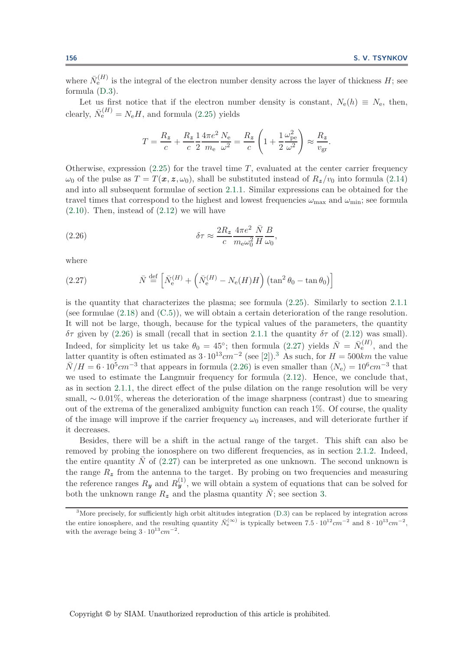where  $\bar{N}_{e}^{(H)}$  is the integral of the electron number density across the layer of thickness H; see formula [\(D.3\)](#page-37-2).

Let us first notice that if the electron number density is constant,  $N_e(h) \equiv N_e$ , then, clearly,  $\bar{N}_e^{(H)} = N_e H$ , and formula [\(2.25\)](#page-15-3) yields

<span id="page-16-0"></span>
$$
T = \frac{R_z}{c} + \frac{R_z}{c} \frac{1}{2} \frac{4\pi e^2}{m_e} \frac{N_e}{\omega^2} = \frac{R_z}{c} \left( 1 + \frac{1}{2} \frac{\omega_{\text{pe}}^2}{\omega^2} \right) \approx \frac{R_z}{v_{\text{gr}}}.
$$

Otherwise, expression  $(2.25)$  for the travel time T, evaluated at the center carrier frequency  $\omega_0$  of the pulse as  $T = T(\mathbf{x}, \mathbf{z}, \omega_0)$ , shall be substituted instead of  $R_z/v_0$  into formula [\(2.14\)](#page-11-0) and into all subsequent formulae of section [2.1.1.](#page-10-5) Similar expressions can be obtained for the travel times that correspond to the highest and lowest frequencies  $\omega_{\text{max}}$  and  $\omega_{\text{min}}$ ; see formula  $(2.10)$ . Then, instead of  $(2.12)$  we will have

(2.26) 
$$
\delta \tau \approx \frac{2R_z}{c} \frac{4\pi e^2}{m_{\rm e}\omega_0^2} \frac{\bar{N}}{H} \frac{B}{\omega_0},
$$

<span id="page-16-1"></span>where

(2.27) 
$$
\bar{N} \stackrel{\text{def}}{=} \left[ \bar{N}_e^{(H)} + \left( \bar{N}_e^{(H)} - N_e(H)H \right) \left( \tan^2 \theta_0 - \tan \theta_0 \right) \right]
$$

is the quantity that characterizes the plasma; see formula [\(2.25\)](#page-15-3). Similarly to section [2.1.1](#page-10-5) (see formulae [\(2.18\)](#page-12-1) and [\(C.5\)](#page-37-0)), we will obtain a certain deterioration of the range resolution. It will not be large, though, because for the typical values of the parameters, the quantity δτ given by [\(2.26\)](#page-16-0) is small (recall that in section [2.1.1](#page-10-5) the quantity δτ of [\(2.12\)](#page-11-1) was small). Indeed, for simplicity let us take  $\theta_0 = 45^\circ$ ; then formula [\(2.27\)](#page-16-1) yields  $\bar{N} = \bar{N}_e^{(H)}$ , and the latter quantity is often estimated as  $3 \cdot 10^{13}$  $3 \cdot 10^{13}$ cm<sup>-2</sup> (see [\[2\]](#page-41-5)).<sup>3</sup> As such, for  $H = 500$ km the value  $\bar{N}/H = 6 \cdot 10^5 cm^{-3}$  that appears in formula [\(2.26\)](#page-16-0) is even smaller than  $\langle N_e \rangle = 10^6 cm^{-3}$  that we used to estimate the Langmuir frequency for formula [\(2.12\)](#page-11-1). Hence, we conclude that, as in section [2.1.1,](#page-10-5) the direct effect of the pulse dilation on the range resolution will be very small, ∼ 0.01%, whereas the deterioration of the image sharpness (contrast) due to smearing out of the extrema of the generalized ambiguity function can reach 1%. Of course, the quality of the image will improve if the carrier frequency  $\omega_0$  increases, and will deteriorate further if it decreases.

Besides, there will be a shift in the actual range of the target. This shift can also be removed by probing the ionosphere on two different frequencies, as in section [2.1.2.](#page-13-2) Indeed, the entire quantity  $\bar{N}$  of [\(2.27\)](#page-16-1) can be interpreted as one unknown. The second unknown is the range  $R<sub>z</sub>$  from the antenna to the target. By probing on two frequencies and measuring the reference ranges  $R_y$  and  $R_y^{(1)}$ , we will obtain a system of equations that can be solved for both the unknown range  $R_z$  and the plasma quantity  $\bar{N}$ ; see section [3.](#page-27-0)

<span id="page-16-2"></span><sup>&</sup>lt;sup>3</sup>More precisely, for sufficiently high orbit altitudes integration [\(D.3\)](#page-37-2) can be replaced by integration across the entire ionosphere, and the resulting quantity  $\bar{N}_{e}^{(\infty)}$  is typically between  $7.5 \cdot 10^{12} cm^{-2}$  and  $8 \cdot 10^{13} cm^{-2}$ . with the average being  $3 \cdot 10^{13} cm^{-2}$ .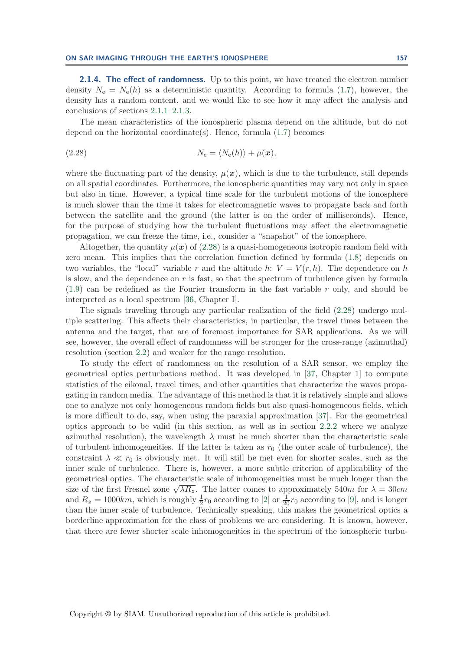<span id="page-17-0"></span>**2.1.4. The effect of randomness.** Up to this point, we have treated the electron number density  $N_e = N_e(h)$  as a deterministic quantity. According to formula [\(1.7\)](#page-4-4), however, the density has a random content, and we would like to see how it may affect the analysis and conclusions of sections [2.1.1–](#page-10-5)[2.1.3.](#page-14-0)

<span id="page-17-1"></span>The mean characteristics of the ionospheric plasma depend on the altitude, but do not depend on the horizontal coordinate(s). Hence, formula [\(1.7\)](#page-4-4) becomes

(2.28) 
$$
N_{\rm e} = \langle N_{\rm e}(h) \rangle + \mu(\boldsymbol{x}),
$$

where the fluctuating part of the density,  $\mu(x)$ , which is due to the turbulence, still depends on all spatial coordinates. Furthermore, the ionospheric quantities may vary not only in space but also in time. However, a typical time scale for the turbulent motions of the ionosphere is much slower than the time it takes for electromagnetic waves to propagate back and forth between the satellite and the ground (the latter is on the order of milliseconds). Hence, for the purpose of studying how the turbulent fluctuations may affect the electromagnetic propagation, we can freeze the time, i.e., consider a "snapshot" of the ionosphere.

Altogether, the quantity  $\mu(x)$  of [\(2.28\)](#page-17-1) is a quasi-homogeneous isotropic random field with zero mean. This implies that the correlation function defined by formula [\(1.8\)](#page-4-5) depends on two variables, the "local" variable r and the altitude h:  $V = V(r, h)$ . The dependence on h is slow, and the dependence on  $r$  is fast, so that the spectrum of turbulence given by formula  $(1.9)$  can be redefined as the Fourier transform in the fast variable r only, and should be interpreted as a local spectrum [\[36,](#page-42-4) Chapter I].

The signals traveling through any particular realization of the field [\(2.28\)](#page-17-1) undergo multiple scattering. This affects their characteristics, in particular, the travel times between the antenna and the target, that are of foremost importance for SAR applications. As we will see, however, the overall effect of randomness will be stronger for the cross-range (azimuthal) resolution (section [2.2\)](#page-21-0) and weaker for the range resolution.

To study the effect of randomness on the resolution of a SAR sensor, we employ the geometrical optics perturbations method. It was developed in [\[37,](#page-42-2) Chapter 1] to compute statistics of the eikonal, travel times, and other quantities that characterize the waves propagating in random media. The advantage of this method is that it is relatively simple and allows one to analyze not only homogeneous random fields but also quasi-homogeneous fields, which is more difficult to do, say, when using the paraxial approximation [\[37\]](#page-42-2). For the geometrical optics approach to be valid (in this section, as well as in section [2.2.2](#page-23-0) where we analyze azimuthal resolution), the wavelength  $\lambda$  must be much shorter than the characteristic scale of turbulent inhomogeneities. If the latter is taken as  $r_0$  (the outer scale of turbulence), the constraint  $\lambda \ll r_0$  is obviously met. It will still be met even for shorter scales, such as the inner scale of turbulence. There is, however, a more subtle criterion of applicability of the geometrical optics. The characteristic scale of inhomogeneities must be much longer than the size of the first Fresnel zone  $\sqrt{\lambda R_z}$ . The latter comes to approximately 540m for  $\lambda = 30$ cm and  $R_z = 1000km$ , which is roughly  $\frac{1}{2}r_0$  according to [\[2\]](#page-41-5) or  $\frac{1}{20}r_0$  according to [\[9\]](#page-41-6), and is longer than the inner scale of turbulence. Technically speaking, this makes the geometrical optics a borderline approximation for the class of problems we are considering. It is known, however, that there are fewer shorter scale inhomogeneities in the spectrum of the ionospheric turbu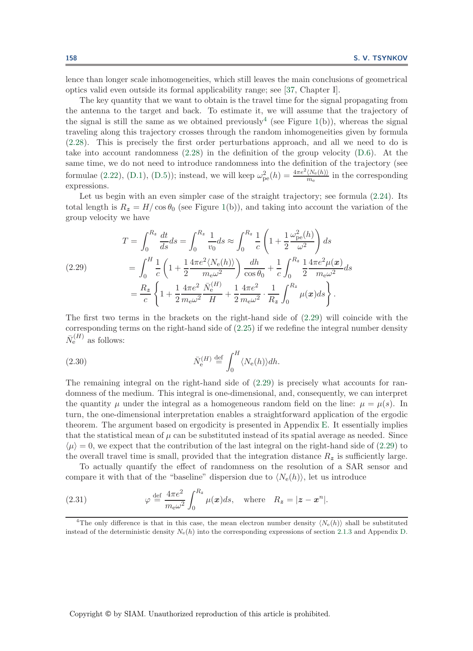lence than longer scale inhomogeneities, which still leaves the main conclusions of geometrical optics valid even outside its formal applicability range; see [\[37,](#page-42-2) Chapter I].

The key quantity that we want to obtain is the travel time for the signal propagating from the antenna to the target and back. To estimate it, we will assume that the trajectory of the signal is still the same as we obtained previously<sup>[4](#page-18-0)</sup> (see Figure [1\(](#page-14-2)b)), whereas the signal traveling along this trajectory crosses through the random inhomogeneities given by formula [\(2.28\)](#page-17-1). This is precisely the first order perturbations approach, and all we need to do is take into account randomness  $(2.28)$  in the definition of the group velocity  $(D.6)$ . At the same time, we do not need to introduce randomness into the definition of the trajectory (see formulae [\(2.22\)](#page-15-1), [\(D.1\)](#page-37-3), [\(D.5\)](#page-38-1)); instead, we will keep  $\omega_{pe}^2(h) = \frac{4\pi e^2 \langle N_e(h) \rangle}{m_e}$  in the corresponding expressions.

Let us begin with an even simpler case of the straight trajectory; see formula  $(2.24)$ . Its total length is  $R_z = H/\cos\theta_0$  (see Figure [1\(](#page-14-2)b)), and taking into account the variation of the group velocity we have

<span id="page-18-1"></span>(2.29) 
$$
T = \int_0^{R_z} \frac{dt}{ds} ds = \int_0^{R_z} \frac{1}{v_0} ds \approx \int_0^{R_z} \frac{1}{c} \left( 1 + \frac{1}{2} \frac{\omega_{\text{pe}}^2(h)}{\omega^2} \right) ds
$$

$$
= \int_0^H \frac{1}{c} \left( 1 + \frac{1}{2} \frac{4\pi e^2 \langle N_e(h) \rangle}{m_e \omega^2} \right) \frac{dh}{\cos \theta_0} + \frac{1}{c} \int_0^{R_z} \frac{1}{2} \frac{4\pi e^2 \mu(x)}{m_e \omega^2} ds
$$

$$
= \frac{R_z}{c} \left\{ 1 + \frac{1}{2} \frac{4\pi e^2}{m_e \omega^2} \frac{\bar{N}_e^{(H)}}{H} + \frac{1}{2} \frac{4\pi e^2}{m_e \omega^2} \cdot \frac{1}{R_z} \int_0^{R_z} \mu(x) ds \right\}.
$$

The first two terms in the brackets on the right-hand side of [\(2.29\)](#page-18-1) will coincide with the corresponding terms on the right-hand side of [\(2.25\)](#page-15-3) if we redefine the integral number density  $\bar{N}_{\rm e}^{(H)}$  as follows:

(2.30) 
$$
\bar{N}_{\rm e}^{(H)} \stackrel{\text{def}}{=} \int_0^H \langle N_{\rm e}(h) \rangle dh.
$$

The remaining integral on the right-hand side of  $(2.29)$  is precisely what accounts for randomness of the medium. This integral is one-dimensional, and, consequently, we can interpret the quantity  $\mu$  under the integral as a homogeneous random field on the line:  $\mu = \mu(s)$ . In turn, the one-dimensional interpretation enables a straightforward application of the ergodic theorem. The argument based on ergodicity is presented in Appendix [E.](#page-39-1) It essentially implies that the statistical mean of  $\mu$  can be substituted instead of its spatial average as needed. Since  $\langle \mu \rangle = 0$ , we expect that the contribution of the last integral on the right-hand side of [\(2.29\)](#page-18-1) to the overall travel time is small, provided that the integration distance  $R_z$  is sufficiently large.

To actually quantify the effect of randomness on the resolution of a SAR sensor and compare it with that of the "baseline" dispersion due to  $\langle N_e(h) \rangle$ , let us introduce

<span id="page-18-2"></span>(2.31) 
$$
\varphi \stackrel{\text{def}}{=} \frac{4\pi e^2}{m_e \omega^2} \int_0^{R_z} \mu(x) ds, \text{ where } R_z = |z - x^n|.
$$

<span id="page-18-0"></span><sup>4</sup>The only difference is that in this case, the mean electron number density  $\langle N_e(h) \rangle$  shall be substituted instead of the deterministic density  $N_e(h)$  into the corresponding expressions of section [2.1.3](#page-14-0) and Appendix [D.](#page-37-1)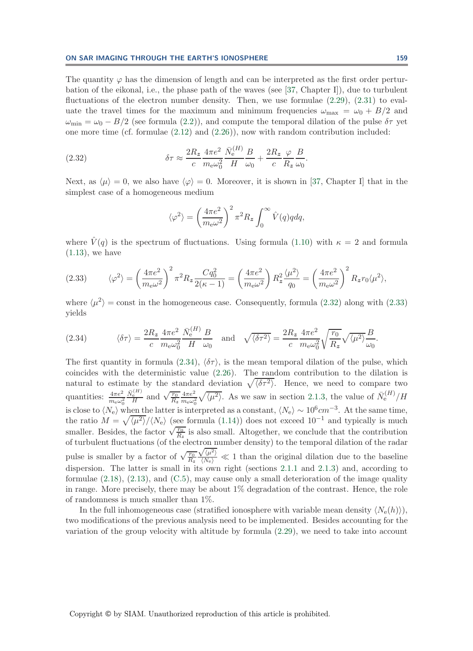The quantity  $\varphi$  has the dimension of length and can be interpreted as the first order perturbation of the eikonal, i.e., the phase path of the waves (see [\[37,](#page-42-2) Chapter I]), due to turbulent fluctuations of the electron number density. Then, we use formulae  $(2.29)$ ,  $(2.31)$  to evaluate the travel times for the maximum and minimum frequencies  $\omega_{\text{max}} = \omega_0 + B/2$  and  $\omega_{\rm min} = \omega_0 - B/2$  (see formula [\(2.2\)](#page-7-1)), and compute the temporal dilation of the pulse  $\delta \tau$  yet one more time (cf. formulae  $(2.12)$  and  $(2.26)$ ), now with random contribution included:

(2.32) 
$$
\delta \tau \approx \frac{2R_z}{c} \frac{4\pi e^2}{m_e \omega_0^2} \frac{\bar{N}_e^{(H)}}{H} \frac{B}{\omega_0} + \frac{2R_z}{c} \frac{\varphi}{R_z} \frac{B}{\omega_0}.
$$

Next, as  $\langle \mu \rangle = 0$ , we also have  $\langle \varphi \rangle = 0$ . Moreover, it is shown in [\[37,](#page-42-2) Chapter I] that in the simplest case of a homogeneous medium

<span id="page-19-0"></span>
$$
\langle \varphi^2 \rangle = \left(\frac{4\pi e^2}{m_e \omega^2}\right)^2 \pi^2 R_z \int_0^\infty \hat{V}(q) q dq,
$$

<span id="page-19-1"></span>where  $\hat{V}(q)$  is the spectrum of fluctuations. Using formula [\(1.10\)](#page-4-2) with  $\kappa = 2$  and formula [\(1.13\)](#page-5-0), we have

(2.33) 
$$
\langle \varphi^2 \rangle = \left(\frac{4\pi e^2}{m_e \omega^2}\right)^2 \pi^2 R_z \frac{Cq_0^2}{2(\kappa - 1)} = \left(\frac{4\pi e^2}{m_e \omega^2}\right) R_z^2 \frac{\langle \mu^2 \rangle}{q_0} = \left(\frac{4\pi e^2}{m_e \omega^2}\right)^2 R_z r_0 \langle \mu^2 \rangle,
$$

<span id="page-19-2"></span>where  $\langle \mu^2 \rangle$  = const in the homogeneous case. Consequently, formula [\(2.32\)](#page-19-0) along with [\(2.33\)](#page-19-1) yields

(2.34) 
$$
\langle \delta \tau \rangle = \frac{2R_z}{c} \frac{4\pi e^2}{m_e \omega_0^2} \frac{\bar{N}_e^{(H)}}{H} \frac{B}{\omega_0} \quad \text{and} \quad \sqrt{\langle \delta \tau^2 \rangle} = \frac{2R_z}{c} \frac{4\pi e^2}{m_e \omega_0^2} \sqrt{\frac{r_0}{R_z}} \sqrt{\langle \mu^2 \rangle} \frac{B}{\omega_0}.
$$

The first quantity in formula [\(2.34\)](#page-19-2),  $\langle \delta \tau \rangle$ , is the mean temporal dilation of the pulse, which coincides with the deterministic value [\(2.26\)](#page-16-0). The random contribution to the dilation is natural to estimate by the standard deviation  $\sqrt{\langle \delta \tau^2 \rangle}$ . Hence, we need to compare two quantities:  $\frac{4\pi e^2}{m_e\omega_0^2}$  $\frac{\bar{N}_{\rm e}^{(H)}}{H}$  and  $\sqrt{\frac{r_0}{R_z}}$  $4\pi e^2$  $\frac{4\pi e^2}{m_e\omega_0^2}\sqrt{\langle\mu^2\rangle}$ . As we saw in section [2.1.3,](#page-14-0) the value of  $\bar{N}_e^{(H)}/H$ is close to  $\langle N_e \rangle$  when the latter is interpreted as a constant,  $\langle N_e \rangle \sim 10^6 cm^{-3}$ . At the same time, the ratio  $M = \sqrt{\langle \mu^2 \rangle}/\langle N_e \rangle$  (see formula [\(1.14\)](#page-5-1)) does not exceed 10<sup>-1</sup> and typically is much smaller. Besides, the factor  $\sqrt{\frac{r_0}{R_z}}$  is also small. Altogether, we conclude that the contribution of turbulent fluctuations (of the electron number density) to the temporal dilation of the radar pulse is smaller by a factor of  $\sqrt{\frac{r_0}{R_z}}$  $\sqrt{\langle \mu^2 \rangle}$  $\sqrt{\frac{N_e}{N_e}} \ll 1$  than the original dilation due to the baseline dispersion. The latter is small in its own right (sections [2.1.1](#page-10-5) and [2.1.3\)](#page-14-0) and, according to formulae  $(2.18)$ ,  $(2.13)$ , and  $(C.5)$ , may cause only a small deterioration of the image quality in range. More precisely, there may be about 1% degradation of the contrast. Hence, the role of randomness is much smaller than 1%.

In the full inhomogeneous case (stratified ionosphere with variable mean density  $\langle N_e(h) \rangle$ ), two modifications of the previous analysis need to be implemented. Besides accounting for the variation of the group velocity with altitude by formula [\(2.29\)](#page-18-1), we need to take into account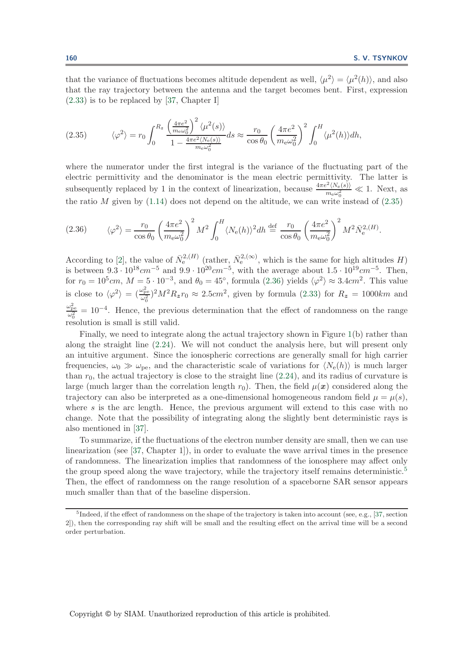<span id="page-20-0"></span>that the variance of fluctuations becomes altitude dependent as well,  $\langle \mu^2 \rangle = \langle \mu^2(h) \rangle$ , and also that the ray trajectory between the antenna and the target becomes bent. First, expression [\(2.33\)](#page-19-1) is to be replaced by [\[37,](#page-42-2) Chapter I]

(2.35) 
$$
\langle \varphi^2 \rangle = r_0 \int_0^{R_z} \frac{\left(\frac{4\pi e^2}{m_e \omega_0^2}\right)^2 \langle \mu^2(s) \rangle}{1 - \frac{4\pi e^2 \langle N_e(s) \rangle}{m_e \omega_0^2}} ds \approx \frac{r_0}{\cos \theta_0} \left(\frac{4\pi e^2}{m_e \omega_0^2}\right)^2 \int_0^H \langle \mu^2(h) \rangle dh,
$$

where the numerator under the first integral is the variance of the fluctuating part of the electric permittivity and the denominator is the mean electric permittivity. The latter is subsequently replaced by 1 in the context of linearization, because  $\frac{4\pi e^2 \langle N_e(s) \rangle}{m_e \omega_0^2} \ll 1$ . Next, as the ratio M given by  $(1.14)$  does not depend on the altitude, we can write instead of  $(2.35)$ 

<span id="page-20-1"></span>(2.36) 
$$
\langle \varphi^2 \rangle = \frac{r_0}{\cos \theta_0} \left( \frac{4\pi e^2}{m_e \omega_0^2} \right)^2 M^2 \int_0^H \langle N_e(h) \rangle^2 dh \stackrel{\text{def}}{=} \frac{r_0}{\cos \theta_0} \left( \frac{4\pi e^2}{m_e \omega_0^2} \right)^2 M^2 \bar{N}_e^{2,(H)}.
$$

According to [\[2\]](#page-41-5), the value of  $\bar{N}_{e}^{2,(H)}$  (rather,  $\bar{N}_{e}^{2,(\infty)}$ , which is the same for high altitudes H) is between  $9.3 \cdot 10^{18}$ cm<sup>-5</sup> and  $9.9 \cdot 10^{20}$ cm<sup>-5</sup>, with the average about  $1.5 \cdot 10^{19}$ cm<sup>-5</sup>. Then, for  $r_0 = 10^5 cm$ ,  $M = 5 \cdot 10^{-3}$ , and  $\theta_0 = 45^{\circ}$ , formula [\(2.36\)](#page-20-1) yields  $\langle \varphi^2 \rangle \approx 3.4 cm^2$ . This value is close to  $\langle \varphi^2 \rangle = \left(\frac{\omega_{\rm pe}^2}{\omega_0^2}\right)^2 M^2 R_z r_0 \approx 2.5 \text{cm}^2$ , given by formula [\(2.33\)](#page-19-1) for  $R_z = 1000 \text{km}$  and  $\frac{\omega_{\text{pe}}^2}{\omega_0^2} = 10^{-4}$ . Hence, the previous determination that the effect of randomness on the range resolution is small is still valid.

Finally, we need to integrate along the actual trajectory shown in Figure [1\(](#page-14-2)b) rather than along the straight line [\(2.24\)](#page-15-4). We will not conduct the analysis here, but will present only an intuitive argument. Since the ionospheric corrections are generally small for high carrier frequencies,  $\omega_0 \gg \omega_{\text{pe}}$ , and the characteristic scale of variations for  $\langle N_e(h) \rangle$  is much larger than  $r_0$ , the actual trajectory is close to the straight line  $(2.24)$ , and its radius of curvature is large (much larger than the correlation length  $r_0$ ). Then, the field  $\mu(\boldsymbol{x})$  considered along the trajectory can also be interpreted as a one-dimensional homogeneous random field  $\mu = \mu(s)$ , where  $s$  is the arc length. Hence, the previous argument will extend to this case with no change. Note that the possibility of integrating along the slightly bent deterministic rays is also mentioned in [\[37\]](#page-42-2).

To summarize, if the fluctuations of the electron number density are small, then we can use linearization (see [\[37,](#page-42-2) Chapter 1]), in order to evaluate the wave arrival times in the presence of randomness. The linearization implies that randomness of the ionosphere may affect only the group speed along the wave trajectory, while the trajectory itself remains deterministic.<sup>[5](#page-20-2)</sup> Then, the effect of randomness on the range resolution of a spaceborne SAR sensor appears much smaller than that of the baseline dispersion.

<span id="page-20-2"></span><sup>&</sup>lt;sup>5</sup>Indeed, if the effect of randomness on the shape of the trajectory is taken into account (see, e.g., [\[37,](#page-42-2) section 2]), then the corresponding ray shift will be small and the resulting effect on the arrival time will be a second order perturbation.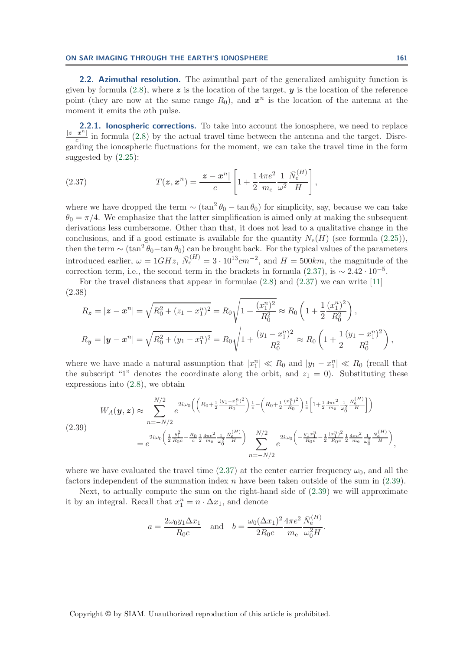<span id="page-21-0"></span>**2.2. Azimuthal resolution.** The azimuthal part of the generalized ambiguity function is given by formula [\(2.8\)](#page-9-4), where  $\boldsymbol{z}$  is the location of the target,  $\boldsymbol{y}$  is the location of the reference point (they are now at the same range  $R_0$ ), and  $x^n$  is the location of the antenna at the moment it emits the *n*<sup>th</sup> pulse.

<span id="page-21-4"></span>**2.2.1. Ionospheric corrections.** To take into account the ionosphere, we need to replace  $\frac{|z-x^n|}{c}$  in formula [\(2.8\)](#page-9-4) by the actual travel time between the antenna and the target. Disregarding the ionospheric fluctuations for the moment, we can take the travel time in the form suggested by  $(2.25)$ :

<span id="page-21-1"></span>(2.37) 
$$
T(z, x^n) = \frac{|z - x^n|}{c} \left[ 1 + \frac{1}{2} \frac{4\pi e^2}{m_e} \frac{1}{\omega^2} \frac{\bar{N}_e^{(H)}}{H} \right],
$$

where we have dropped the term  $\sim (\tan^2 \theta_0 - \tan \theta_0)$  for simplicity, say, because we can take  $\theta_0 = \pi/4$ . We emphasize that the latter simplification is aimed only at making the subsequent derivations less cumbersome. Other than that, it does not lead to a qualitative change in the conclusions, and if a good estimate is available for the quantity  $N_e(H)$  (see formula [\(2.25\)](#page-15-3)), then the term  $\sim (\tan^2 \theta_0 - \tan \theta_0)$  can be brought back. For the typical values of the parameters introduced earlier,  $\omega = 1GHz$ ,  $\bar{N}_e^{(H)} = 3 \cdot 10^{13}$  cm<sup>-2</sup>, and  $H = 500$  km, the magnitude of the correction term, i.e., the second term in the brackets in formula [\(2.37\)](#page-21-1), is  $\sim 2.42 \cdot 10^{-5}$ .

For the travel distances that appear in formulae [\(2.8\)](#page-9-4) and [\(2.37\)](#page-21-1) we can write [\[11\]](#page-41-7) (2.38)

<span id="page-21-3"></span>
$$
R_{\mathbf{z}} = |\mathbf{z} - \mathbf{x}^{n}| = \sqrt{R_{0}^{2} + (z_{1} - x_{1}^{n})^{2}} = R_{0} \sqrt{1 + \frac{(x_{1}^{n})^{2}}{R_{0}^{2}}} \approx R_{0} \left(1 + \frac{1}{2} \frac{(x_{1}^{n})^{2}}{R_{0}^{2}}\right),
$$
  
\n
$$
R_{\mathbf{y}} = |\mathbf{y} - \mathbf{x}^{n}| = \sqrt{R_{0}^{2} + (y_{1} - x_{1}^{n})^{2}} = R_{0} \sqrt{1 + \frac{(y_{1} - x_{1}^{n})^{2}}{R_{0}^{2}}} \approx R_{0} \left(1 + \frac{1}{2} \frac{(y_{1} - x_{1}^{n})^{2}}{R_{0}^{2}}\right),
$$

where we have made a natural assumption that  $|x_1^n| \ll R_0$  and  $|y_1 - x_1^n| \ll R_0$  (recall that the subscript "1" denotes the coordinate along the orbit, and  $z_1 = 0$ ). Substituting these expressions into [\(2.8\)](#page-9-4), we obtain

<span id="page-21-2"></span>
$$
(2.39)
$$
\n
$$
W_A(\mathbf{y}, \mathbf{z}) \approx \sum_{n=-N/2}^{N/2} e^{2i\omega_0 \left( \left( R_0 + \frac{1}{2} \frac{(y_1 - x_1^n)^2}{R_0} \right) \frac{1}{c} - \left( R_0 + \frac{1}{2} \frac{(x_1^n)^2}{R_0} \right) \frac{1}{c} \left[ 1 + \frac{1}{2} \frac{4\pi e^2}{m_e} \frac{1}{\omega_0^2} \frac{\bar{N}_e^{(H)}}{H} \right] \right)}
$$
\n
$$
= e^{2i\omega_0 \left( \frac{1}{2} \frac{y_1^2}{R_0 c} - \frac{R_0}{c} \frac{1}{2} \frac{4\pi e^2}{m_e} \frac{1}{\omega_0^2} \frac{\bar{N}_e^{(H)}}{H} \right)} \sum_{n=-N/2}^{N/2} e^{2i\omega_0 \left( -\frac{y_1 x_1^n}{R_0 c} - \frac{1}{2} \frac{(x_1^n)^2}{R_0 c} \frac{1}{2} \frac{4\pi e^2}{m_e} \frac{1}{\omega_0^2} \frac{\bar{N}_e^{(H)}}{H} \right)},
$$

where we have evaluated the travel time [\(2.37\)](#page-21-1) at the center carrier frequency  $\omega_0$ , and all the factors independent of the summation index n have been taken outside of the sum in  $(2.39)$ .

Next, to actually compute the sum on the right-hand side of [\(2.39\)](#page-21-2) we will approximate it by an integral. Recall that  $x_1^n = n \cdot \Delta x_1$ , and denote

$$
a = \frac{2\omega_0 y_1 \Delta x_1}{R_0 c}
$$
 and  $b = \frac{\omega_0 (\Delta x_1)^2 4\pi e^2 \bar{N}_e^{(H)}}{2R_0 c} \frac{\bar{N}_e^{(H)}}{m_e} \frac{\omega_0^2 H}{\omega_0^2 H}.$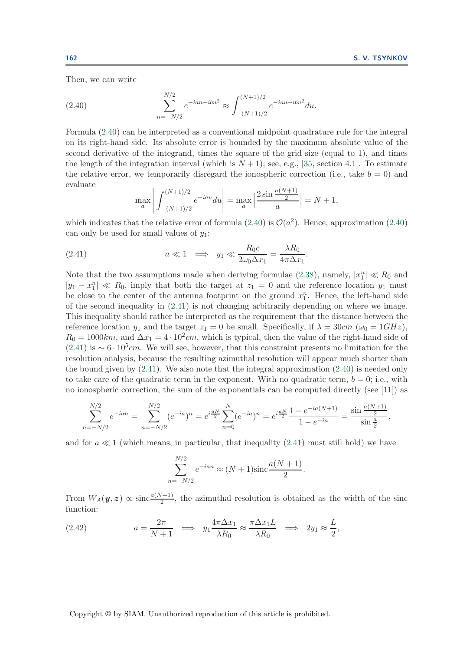<span id="page-22-0"></span>Then, we can write

(2.40) 
$$
\sum_{n=-N/2}^{N/2} e^{-ian - ibn^2} \approx \int_{-(N+1)/2}^{(N+1)/2} e^{-iau - ibu^2} du.
$$

Formula [\(2.40\)](#page-22-0) can be interpreted as a conventional midpoint quadrature rule for the integral on its right-hand side. Its absolute error is bounded by the maximum absolute value of the second derivative of the integrand, times the square of the grid size (equal to 1), and times the length of the integration interval (which is  $N + 1$ ); see, e.g., [\[35,](#page-42-15) section 4.1]. To estimate the relative error, we temporarily disregard the ionospheric correction (i.e., take  $b = 0$ ) and evaluate

<span id="page-22-1"></span>
$$
\max_{a} \left| \int_{-(N+1)/2}^{(N+1)/2} e^{-iau} du \right| = \max_{a} \left| \frac{2 \sin \frac{a(N+1)}{2}}{a} \right| = N+1,
$$

which indicates that the relative error of formula [\(2.40\)](#page-22-0) is  $\mathcal{O}(a^2)$ . Hence, approximation (2.40) can only be used for small values of  $y_1$ :

(2.41) 
$$
a \ll 1 \implies y_1 \ll \frac{R_0 c}{2\omega_0 \Delta x_1} = \frac{\lambda R_0}{4\pi \Delta x_1}.
$$

Note that the two assumptions made when deriving formulae [\(2.38\)](#page-21-3), namely,  $|x_1^n| \ll R_0$  and  $|y_1 - x_1^n| \ll R_0$ , imply that both the target at  $z_1 = 0$  and the reference location  $y_1$  must be close to the center of the antenna footprint on the ground  $x_1^n$ . Hence, the left-hand side of the second inequality in [\(2.41\)](#page-22-1) is not changing arbitrarily depending on where we image. This inequality should rather be interpreted as the requirement that the distance between the reference location  $y_1$  and the target  $z_1 = 0$  be small. Specifically, if  $\lambda = 30$ cm ( $\omega_0 = 1$ GHz),  $R_0 = 1000km$ , and  $\Delta x_1 = 4 \cdot 10^2 cm$ , which is typical, then the value of the right-hand side of  $(2.41)$  is ~ 6 · 10<sup>5</sup>cm. We will see, however, that this constraint presents no limitation for the resolution analysis, because the resulting azimuthal resolution will appear much shorter than the bound given by  $(2.41)$ . We also note that the integral approximation  $(2.40)$  is needed only to take care of the quadratic term in the exponent. With no quadratic term,  $b = 0$ ; i.e., with no ionospheric correction, the sum of the exponentials can be computed directly (see [\[11\]](#page-41-7)) as

$$
\sum_{n=-N/2}^{N/2} e^{-ian} = \sum_{n=-N/2}^{N/2} (e^{-ia})^n = e^{i\frac{aN}{2}} \sum_{n=0}^{N} (e^{-ia})^n = e^{i\frac{aN}{2}} \frac{1 - e^{-ia(N+1)}}{1 - e^{-ia}} = \frac{\sin \frac{a(N+1)}{2}}{\sin \frac{a}{2}},
$$

and for  $a \ll 1$  (which means, in particular, that inequality [\(2.41\)](#page-22-1) must still hold) we have

$$
\sum_{n=-N/2}^{N/2} e^{-ian} \approx (N+1)\text{sinc}\frac{a(N+1)}{2}.
$$

<span id="page-22-2"></span>From  $W_A(\bm{y}, \bm{z}) \propto \text{sinc} \frac{a(N+1)}{2}$ , the azimuthal resolution is obtained as the width of the sinc function:

(2.42) 
$$
a = \frac{2\pi}{N+1} \implies y_1 \frac{4\pi \Delta x_1}{\lambda R_0} \approx \frac{\pi \Delta x_1 L}{\lambda R_0} \implies 2y_1 \approx \frac{L}{2},
$$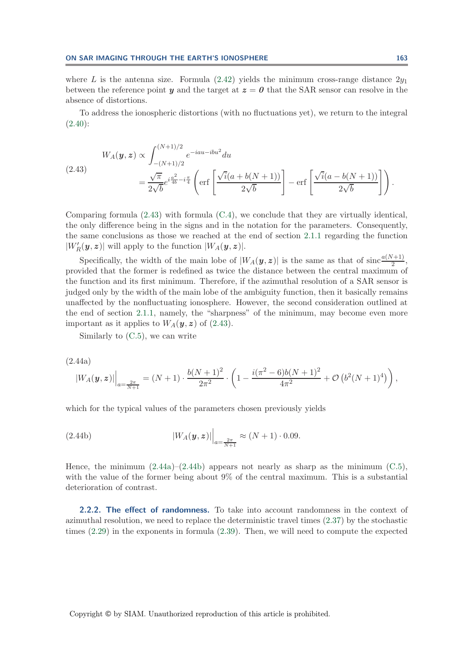where L is the antenna size. Formula  $(2.42)$  yields the minimum cross-range distance  $2y_1$ between the reference point *y* and the target at  $z = 0$  that the SAR sensor can resolve in the absence of distortions.

<span id="page-23-1"></span>To address the ionospheric distortions (with no fluctuations yet), we return to the integral  $(2.40):$  $(2.40):$ 

$$
(2.43) \tW_A(\mathbf{y}, \mathbf{z}) \propto \int_{-(N+1)/2}^{(N+1)/2} e^{-iau - ibu^2} du = \frac{\sqrt{\pi}}{2\sqrt{b}} e^{i\frac{a^2}{4b} - i\frac{\pi}{4}} \left( \text{erf}\left[ \frac{\sqrt{i}(a + b(N+1))}{2\sqrt{b}} \right] - \text{erf}\left[ \frac{\sqrt{i}(a - b(N+1))}{2\sqrt{b}} \right] \right).
$$

Comparing formula [\(2.43\)](#page-23-1) with formula [\(C.4\)](#page-35-3), we conclude that they are virtually identical, the only difference being in the signs and in the notation for the parameters. Consequently, the same conclusions as those we reached at the end of section [2.1.1](#page-10-5) regarding the function  $|W'_{R}(\boldsymbol{y},\boldsymbol{z})|$  will apply to the function  $|W_{A}(\boldsymbol{y},\boldsymbol{z})|$ .

Specifically, the width of the main lobe of  $|W_A(\bm{y}, \bm{z})|$  is the same as that of sinc $\frac{a(N+1)}{2}$ , provided that the former is redefined as twice the distance between the central maximum of the function and its first minimum. Therefore, if the azimuthal resolution of a SAR sensor is judged only by the width of the main lobe of the ambiguity function, then it basically remains unaffected by the nonfluctuating ionosphere. However, the second consideration outlined at the end of section [2.1.1,](#page-10-5) namely, the "sharpness" of the minimum, may become even more important as it applies to  $W_A(\mathbf{y}, \mathbf{z})$  of [\(2.43\)](#page-23-1).

<span id="page-23-2"></span>Similarly to [\(C.5\)](#page-37-0), we can write

(2.44a)

$$
|W_A(\boldsymbol{y},\boldsymbol{z})| \Big|_{a=\frac{2\pi}{N+1}} = (N+1) \cdot \frac{b(N+1)^2}{2\pi^2} \cdot \left(1 - \frac{i(\pi^2 - 6)b(N+1)^2}{4\pi^2} + \mathcal{O}\left(b^2(N+1)^4\right)\right),
$$

which for the typical values of the parameters chosen previously yields

(2.44b) 
$$
|W_A(\bm{y}, \bm{z})| \Big|_{a = \frac{2\pi}{N+1}} \approx (N+1) \cdot 0.09.
$$

Hence, the minimum  $(2.44a)$ – $(2.44b)$  appears not nearly as sharp as the minimum  $(C.5)$ , with the value of the former being about 9% of the central maximum. This is a substantial deterioration of contrast.

<span id="page-23-0"></span>**2.2.2. The effect of randomness.** To take into account randomness in the context of azimuthal resolution, we need to replace the deterministic travel times [\(2.37\)](#page-21-1) by the stochastic times [\(2.29\)](#page-18-1) in the exponents in formula [\(2.39\)](#page-21-2). Then, we will need to compute the expected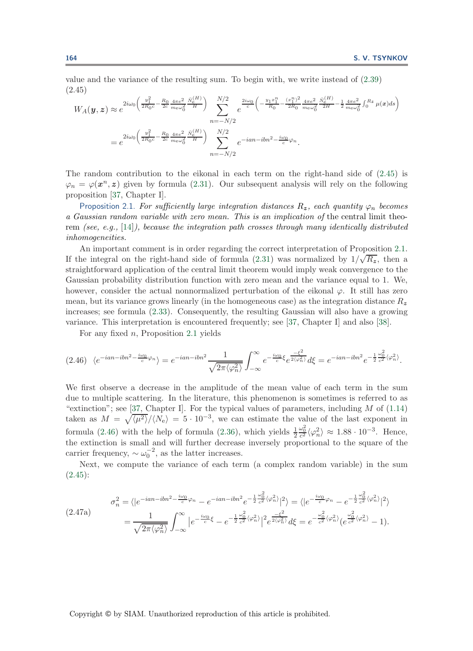value and the variance of the resulting sum. To begin with, we write instead of [\(2.39\)](#page-21-2) (2.45)

<span id="page-24-0"></span>
$$
W_A(\mathbf{y}, \mathbf{z}) \approx e^{2i\omega_0 \left(\frac{y_1^2}{2R_0c} - \frac{R_0}{2c} \frac{4\pi e^2}{m_e\omega_0^2} \frac{\bar{N}_e^{(H)}}{H}\right)} \sum_{n=-N/2}^{N/2} e^{\frac{2i\omega_0}{c} \left(-\frac{y_1 x_1^n}{R_0} - \frac{(x_1^n)^2}{2R_0} \frac{4\pi e^2}{m_e\omega_0^2} \frac{\bar{N}_e^{(H)}}{2H} - \frac{1}{2} \frac{4\pi e^2}{m_e\omega_0^2} \int_0^{R_z} \mu(\mathbf{x}) ds\right)}
$$
  

$$
= e^{2i\omega_0 \left(\frac{y_1^2}{2R_0c} - \frac{R_0}{2c} \frac{4\pi e^2}{m_e\omega_0^2} \frac{\bar{N}_e^{(H)}}{H}\right)} \sum_{n=-N/2}^{N/2} e^{-ian - ibn^2 - \frac{i\omega_0}{c} \varphi_n}.
$$

The random contribution to the eikonal in each term on the right-hand side of [\(2.45\)](#page-24-0) is  $\varphi_n = \varphi(\mathbf{x}^n, \mathbf{z})$  given by formula [\(2.31\)](#page-18-2). Our subsequent analysis will rely on the following proposition [\[37,](#page-42-2) Chapter I].

<span id="page-24-1"></span>Proposition 2.1. For sufficiently large integration distances  $R_z$ , each quantity  $\varphi_n$  becomes *a Gaussian random variable with zero mean. This is an implication of* the central limit theorem *(see, e.g.,* [\[14\]](#page-41-18)*), because the integration path crosses through many identically distributed inhomogeneities.*

An important comment is in order regarding the correct interpretation of Proposition [2.1.](#page-24-1) If the integral on the right-hand side of formula  $(2.31)$  was normalized by  $1/\sqrt{R_z}$ , then a straightforward application of the central limit theorem would imply weak convergence to the Gaussian probability distribution function with zero mean and the variance equal to 1. We, however, consider the actual nonnormalized perturbation of the eikonal  $\varphi$ . It still has zero mean, but its variance grows linearly (in the homogeneous case) as the integration distance R*<sup>z</sup>* increases; see formula [\(2.33\)](#page-19-1). Consequently, the resulting Gaussian will also have a growing variance. This interpretation is encountered frequently; see [\[37,](#page-42-2) Chapter I] and also [\[38\]](#page-42-16).

<span id="page-24-2"></span>For any fixed  $n$ , Proposition [2.1](#page-24-1) yields

$$
(2.46)\ \langle e^{-ian - ibn^2 - \frac{i\omega_0}{c}\varphi_n} \rangle = e^{-ian - ibn^2} \frac{1}{\sqrt{2\pi \langle \varphi_n^2 \rangle}} \int_{-\infty}^{\infty} e^{-\frac{i\omega_0}{c} \xi} e^{\frac{-\xi^2}{2\langle \varphi_n^2 \rangle}} d\xi = e^{-ian - ibn^2} e^{-\frac{1}{2} \frac{\omega_0^2}{c^2} \langle \varphi_n^2 \rangle}.
$$

We first observe a decrease in the amplitude of the mean value of each term in the sum due to multiple scattering. In the literature, this phenomenon is sometimes is referred to as "extinction"; see [\[37,](#page-42-2) Chapter I]. For the typical values of parameters, including  $M$  of  $(1.14)$ taken as  $M = \sqrt{\langle \mu^2 \rangle}/\langle N_e \rangle = 5 \cdot 10^{-3}$ , we can estimate the value of the last exponent in formula [\(2.46\)](#page-24-2) with the help of formula [\(2.36\)](#page-20-1), which yields  $\frac{1}{2}$  $\frac{\omega_0^2}{c^2} \langle \varphi_n^2 \rangle \approx 1.88 \cdot 10^{-3}$ . Hence, the extinction is small and will further decrease inversely proportional to the square of the carrier frequency,  $\sim \omega_0^{-2}$ , as the latter increases.

<span id="page-24-3"></span>Next, we compute the variance of each term (a complex random variable) in the sum [\(2.45\)](#page-24-0):

$$
(2.47a) \quad \sigma_n^2 = \langle |e^{-ian - ibn^2 - \frac{i\omega_0}{c}\varphi_n} - e^{-ian - ibn^2}e^{-\frac{1}{2}\frac{\omega_0^2}{c^2}\langle\varphi_n^2\rangle}|^2 \rangle = \langle |e^{-\frac{i\omega_0}{c}\varphi_n} - e^{-\frac{1}{2}\frac{\omega_0^2}{c^2}\langle\varphi_n^2\rangle}|^2 \rangle
$$
\n
$$
= \frac{1}{\sqrt{2\pi\langle\varphi_n^2\rangle}} \int_{-\infty}^{\infty} |e^{-\frac{i\omega_0}{c}\xi} - e^{-\frac{1}{2}\frac{\omega_0^2}{c^2}\langle\varphi_n^2\rangle}|^2 e^{\frac{-\xi^2}{2\langle\varphi_n^2\rangle}} d\xi = e^{-\frac{\omega_0^2}{c^2}\langle\varphi_n^2\rangle} (e^{\frac{\omega_0^2}{c^2}\langle\varphi_n^2\rangle} - 1).
$$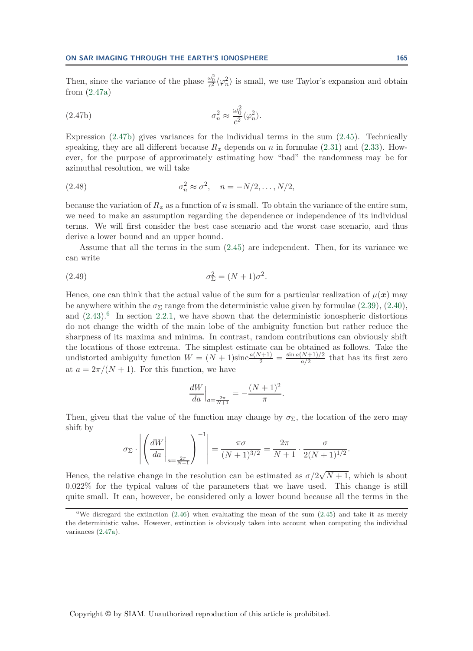Then, since the variance of the phase  $\frac{\omega_0^2}{c^2} \langle \varphi_n^2 \rangle$  is small, we use Taylor's expansion and obtain from [\(2.47a\)](#page-24-3)

(2.47b) 
$$
\sigma_n^2 \approx \frac{\omega_0^2}{c^2} \langle \varphi_n^2 \rangle.
$$

Expression [\(2.47b\)](#page-24-3) gives variances for the individual terms in the sum [\(2.45\)](#page-24-0). Technically speaking, they are all different because  $R_z$  depends on n in formulae [\(2.31\)](#page-18-2) and [\(2.33\)](#page-19-1). However, for the purpose of approximately estimating how "bad" the randomness may be for azimuthal resolution, we will take

<span id="page-25-1"></span>(2.48) 
$$
\sigma_n^2 \approx \sigma^2, \quad n = -N/2, \dots, N/2,
$$

because the variation of  $R_z$  as a function of n is small. To obtain the variance of the entire sum, we need to make an assumption regarding the dependence or independence of its individual terms. We will first consider the best case scenario and the worst case scenario, and thus derive a lower bound and an upper bound.

<span id="page-25-2"></span>Assume that all the terms in the sum [\(2.45\)](#page-24-0) are independent. Then, for its variance we can write

$$
\sigma_{\Sigma}^2 = (N+1)\sigma^2.
$$

Hence, one can think that the actual value of the sum for a particular realization of  $\mu(x)$  may be anywhere within the  $\sigma_{\Sigma}$  range from the deterministic value given by formulae [\(2.39\)](#page-21-2), [\(2.40\)](#page-22-0), and  $(2.43).<sup>6</sup>$  $(2.43).<sup>6</sup>$  $(2.43).<sup>6</sup>$  $(2.43).<sup>6</sup>$  In section [2.2.1,](#page-21-4) we have shown that the deterministic ionospheric distortions do not change the width of the main lobe of the ambiguity function but rather reduce the sharpness of its maxima and minima. In contrast, random contributions can obviously shift the locations of those extrema. The simplest estimate can be obtained as follows. Take the undistorted ambiguity function  $W = (N+1)\text{sinc}\frac{a(N+1)}{2} = \frac{\sin a(N+1)/2}{a/2}$  that has its first zero at  $a = 2\pi/(N+1)$ . For this function, we have

$$
\left. \frac{dW}{da} \right|_{a = \frac{2\pi}{N+1}} = -\frac{(N+1)^2}{\pi}.
$$

Then, given that the value of the function may change by  $\sigma_{\Sigma}$ , the location of the zero may shift by

$$
\sigma_{\Sigma} \cdot \left| \left( \frac{dW}{da} \Big|_{a = \frac{2\pi}{N+1}} \right)^{-1} \right| = \frac{\pi \sigma}{(N+1)^{3/2}} = \frac{2\pi}{N+1} \cdot \frac{\sigma}{2(N+1)^{1/2}}.
$$

Hence, the relative change in the resolution can be estimated as  $\sigma/2\sqrt{N+1}$ , which is about 0.022% for the typical values of the parameters that we have used. This change is still quite small. It can, however, be considered only a lower bound because all the terms in the

<span id="page-25-0"></span><sup>&</sup>lt;sup>6</sup>We disregard the extinction  $(2.46)$  when evaluating the mean of the sum  $(2.45)$  and take it as merely the deterministic value. However, extinction is obviously taken into account when computing the individual variances [\(2.47a\)](#page-24-3).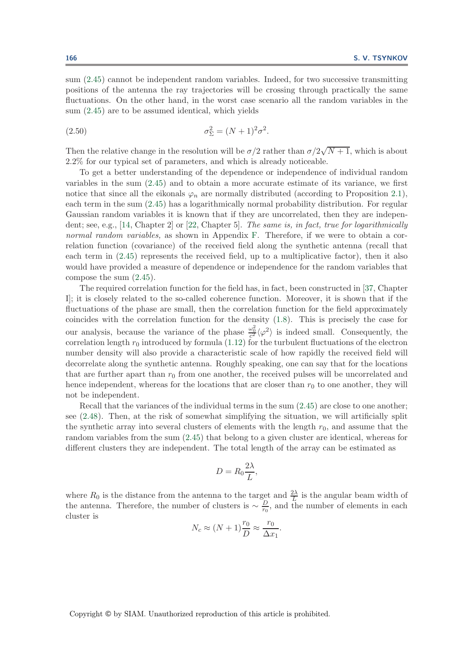sum [\(2.45\)](#page-24-0) cannot be independent random variables. Indeed, for two successive transmitting positions of the antenna the ray trajectories will be crossing through practically the same fluctuations. On the other hand, in the worst case scenario all the random variables in the sum [\(2.45\)](#page-24-0) are to be assumed identical, which yields

<span id="page-26-0"></span>(2.50) 
$$
\sigma_{\Sigma}^2 = (N+1)^2 \sigma^2.
$$

Then the relative change in the resolution will be  $\sigma/2$  rather than  $\sigma/2\sqrt{N+1}$ , which is about 2.2% for our typical set of parameters, and which is already noticeable.

To get a better understanding of the dependence or independence of individual random variables in the sum [\(2.45\)](#page-24-0) and to obtain a more accurate estimate of its variance, we first notice that since all the eikonals  $\varphi_n$  are normally distributed (according to Proposition [2.1\)](#page-24-1), each term in the sum [\(2.45\)](#page-24-0) has a logarithmically normal probability distribution. For regular Gaussian random variables it is known that if they are uncorrelated, then they are independent; see, e.g., [\[14,](#page-41-18) Chapter 2] or [\[22,](#page-42-17) Chapter 5]. *The same is, in fact, true for logarithmically normal random variables,* as shown in Appendix [F.](#page-40-0) Therefore, if we were to obtain a correlation function (covariance) of the received field along the synthetic antenna (recall that each term in [\(2.45\)](#page-24-0) represents the received field, up to a multiplicative factor), then it also would have provided a measure of dependence or independence for the random variables that compose the sum [\(2.45\)](#page-24-0).

The required correlation function for the field has, in fact, been constructed in [\[37,](#page-42-2) Chapter I]; it is closely related to the so-called coherence function. Moreover, it is shown that if the fluctuations of the phase are small, then the correlation function for the field approximately coincides with the correlation function for the density [\(1.8\)](#page-4-5). This is precisely the case for our analysis, because the variance of the phase  $\frac{\omega_0^2}{c^2} \langle \varphi^2 \rangle$  is indeed small. Consequently, the correlation length  $r_0$  introduced by formula [\(1.12\)](#page-4-0) for the turbulent fluctuations of the electron number density will also provide a characteristic scale of how rapidly the received field will decorrelate along the synthetic antenna. Roughly speaking, one can say that for the locations that are further apart than  $r_0$  from one another, the received pulses will be uncorrelated and hence independent, whereas for the locations that are closer than  $r_0$  to one another, they will not be independent.

Recall that the variances of the individual terms in the sum  $(2.45)$  are close to one another; see [\(2.48\)](#page-25-1). Then, at the risk of somewhat simplifying the situation, we will artificially split the synthetic array into several clusters of elements with the length  $r_0$ , and assume that the random variables from the sum [\(2.45\)](#page-24-0) that belong to a given cluster are identical, whereas for different clusters they are independent. The total length of the array can be estimated as

$$
D=R_0\frac{2\lambda}{L},
$$

where  $R_0$  is the distance from the antenna to the target and  $\frac{2\lambda}{L}$  is the angular beam width of the antenna. Therefore, the number of clusters is  $\sim \frac{D}{r_0}$ , and the number of elements in each cluster is

$$
N_c \approx (N+1)\frac{r_0}{D} \approx \frac{r_0}{\Delta x_1}.
$$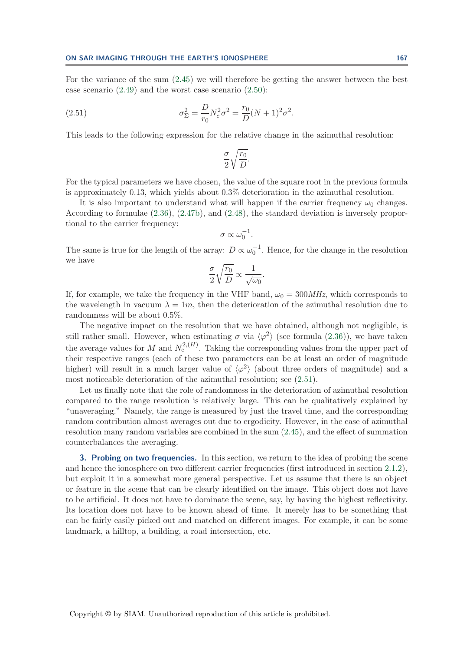For the variance of the sum [\(2.45\)](#page-24-0) we will therefore be getting the answer between the best case scenario [\(2.49\)](#page-25-2) and the worst case scenario [\(2.50\)](#page-26-0):

(2.51) 
$$
\sigma_{\Sigma}^{2} = \frac{D}{r_{0}} N_{c}^{2} \sigma^{2} = \frac{r_{0}}{D} (N+1)^{2} \sigma^{2}.
$$

This leads to the following expression for the relative change in the azimuthal resolution:

<span id="page-27-1"></span>
$$
\frac{\sigma}{2} \sqrt{\frac{r_0}{D}}.
$$

For the typical parameters we have chosen, the value of the square root in the previous formula is approximately 0.13, which yields about 0.3% deterioration in the azimuthal resolution.

It is also important to understand what will happen if the carrier frequency  $\omega_0$  changes. According to formulae [\(2.36\)](#page-20-1), [\(2.47b\)](#page-24-3), and [\(2.48\)](#page-25-1), the standard deviation is inversely proportional to the carrier frequency:

$$
\sigma \propto \omega_0^{-1}.
$$

The same is true for the length of the array:  $D \propto \omega_0^{-1}$ . Hence, for the change in the resolution we have

$$
\frac{\sigma}{2}\sqrt{\frac{r_0}{D}} \propto \frac{1}{\sqrt{\omega_0}}.
$$

If, for example, we take the frequency in the VHF band,  $\omega_0 = 300 MHz$ , which corresponds to the wavelength in vacuum  $\lambda = 1m$ , then the deterioration of the azimuthal resolution due to randomness will be about 0.5%.

The negative impact on the resolution that we have obtained, although not negligible, is still rather small. However, when estimating  $\sigma$  via  $\langle \varphi^2 \rangle$  (see formula [\(2.36\)](#page-20-1)), we have taken the average values for M and  $N_e^{2,(H)}$ . Taking the corresponding values from the upper part of their respective ranges (each of these two parameters can be at least an order of magnitude higher) will result in a much larger value of  $\langle \varphi^2 \rangle$  (about three orders of magnitude) and a most noticeable deterioration of the azimuthal resolution; see [\(2.51\)](#page-27-1).

Let us finally note that the role of randomness in the deterioration of azimuthal resolution compared to the range resolution is relatively large. This can be qualitatively explained by "unaveraging." Namely, the range is measured by just the travel time, and the corresponding random contribution almost averages out due to ergodicity. However, in the case of azimuthal resolution many random variables are combined in the sum [\(2.45\)](#page-24-0), and the effect of summation counterbalances the averaging.

<span id="page-27-0"></span>**3. Probing on two frequencies.** In this section, we return to the idea of probing the scene and hence the ionosphere on two different carrier frequencies (first introduced in section [2.1.2\)](#page-13-2), but exploit it in a somewhat more general perspective. Let us assume that there is an object or feature in the scene that can be clearly identified on the image. This object does not have to be artificial. It does not have to dominate the scene, say, by having the highest reflectivity. Its location does not have to be known ahead of time. It merely has to be something that can be fairly easily picked out and matched on different images. For example, it can be some landmark, a hilltop, a building, a road intersection, etc.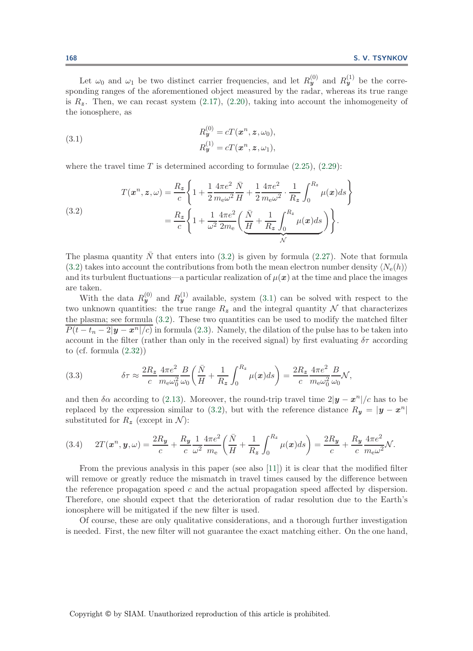Let  $\omega_0$  and  $\omega_1$  be two distinct carrier frequencies, and let  $R_y^{(0)}$  and  $R_y^{(1)}$  be the corresponding ranges of the aforementioned object measured by the radar, whereas its true range is  $R_z$ . Then, we can recast system  $(2.17)$ ,  $(2.20)$ , taking into account the inhomogeneity of the ionosphere, as

<span id="page-28-1"></span>(3.1) 
$$
R_{\mathbf{y}}^{(0)} = cT(\mathbf{x}^n, \mathbf{z}, \omega_0),
$$

$$
R_{\mathbf{y}}^{(1)} = cT(\mathbf{x}^n, \mathbf{z}, \omega_1),
$$

<span id="page-28-0"></span>where the travel time T is determined according to formulae  $(2.25)$ ,  $(2.29)$ :

(3.2)  

$$
T(\mathbf{x}^n, \mathbf{z}, \omega) = \frac{R_z}{c} \left\{ 1 + \frac{1}{2} \frac{4\pi e^2}{m_e \omega^2} \frac{\bar{N}}{H} + \frac{1}{2} \frac{4\pi e^2}{m_e \omega^2} \cdot \frac{1}{R_z} \int_0^{R_z} \mu(\mathbf{x}) ds \right\}
$$

$$
= \frac{R_z}{c} \left\{ 1 + \frac{1}{\omega^2} \frac{4\pi e^2}{2m_e} \left( \underbrace{\frac{\bar{N}}{H} + \frac{1}{R_z} \int_0^{R_z} \mu(\mathbf{x}) ds}_{\mathcal{N}} \right) \right\}.
$$

The plasma quantity  $\overline{N}$  that enters into [\(3.2\)](#page-28-0) is given by formula [\(2.27\)](#page-16-1). Note that formula  $(3.2)$  takes into account the contributions from both the mean electron number density  $\langle N_e(h) \rangle$ and its turbulent fluctuations—a particular realization of  $\mu(x)$  at the time and place the images are taken.

With the data  $R_y^{(0)}$  and  $R_y^{(1)}$  available, system [\(3.1\)](#page-28-1) can be solved with respect to the two unknown quantities: the true range  $R_z$  and the integral quantity N that characterizes the plasma; see formula [\(3.2\)](#page-28-0). These two quantities can be used to modify the matched filter  $P(t - t_n - 2|\mathbf{y} - \mathbf{x}^n|/c)$  in formula [\(2.3\)](#page-8-0). Namely, the dilation of the pulse has to be taken into account in the filter (rather than only in the received signal) by first evaluating  $\delta\tau$  according to (cf. formula [\(2.32\)](#page-19-0))

<span id="page-28-2"></span>(3.3) 
$$
\delta \tau \approx \frac{2R_z}{c} \frac{4\pi e^2}{m_e \omega_0^2} \frac{B}{\omega_0} \left( \frac{\bar{N}}{H} + \frac{1}{R_z} \int_0^{R_z} \mu(x) ds \right) = \frac{2R_z}{c} \frac{4\pi e^2}{m_e \omega_0^2} \frac{B}{\omega_0} \mathcal{N},
$$

and then  $\delta \alpha$  according to [\(2.13\)](#page-11-4). Moreover, the round-trip travel time  $2|\mathbf{y}-\mathbf{x}^{n}|/c$  has to be replaced by the expression similar to [\(3.2\)](#page-28-0), but with the reference distance  $R_y = |y - x^n|$ substituted for  $R_z$  (except in  $\mathcal{N}$ ):

<span id="page-28-3"></span>
$$
(3.4) \quad 2T(\pmb{x}^n, \pmb{y}, \omega) = \frac{2R_{\pmb{y}}}{c} + \frac{R_{\pmb{y}}}{c} \frac{1}{\omega^2} \frac{4\pi e^2}{m_e} \left( \frac{\bar{N}}{H} + \frac{1}{R_{\pmb{z}}} \int_0^{R_{\pmb{z}}} \mu(\pmb{x}) ds \right) = \frac{2R_{\pmb{y}}}{c} + \frac{R_{\pmb{y}}}{c} \frac{4\pi e^2}{m_e \omega^2} \mathcal{N}.
$$

From the previous analysis in this paper (see also [\[11\]](#page-41-7)) it is clear that the modified filter will remove or greatly reduce the mismatch in travel times caused by the difference between the reference propagation speed  $c$  and the actual propagation speed affected by dispersion. Therefore, one should expect that the deterioration of radar resolution due to the Earth's ionosphere will be mitigated if the new filter is used.

Of course, these are only qualitative considerations, and a thorough further investigation is needed. First, the new filter will not guarantee the exact matching either. On the one hand,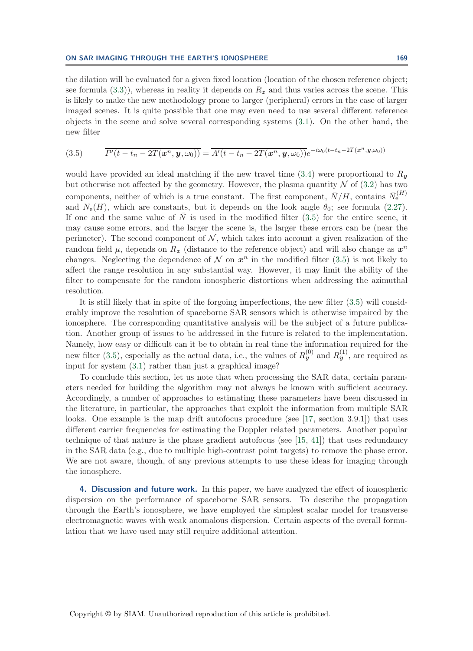the dilation will be evaluated for a given fixed location (location of the chosen reference object; see formula  $(3.3)$ , whereas in reality it depends on  $R_z$  and thus varies across the scene. This is likely to make the new methodology prone to larger (peripheral) errors in the case of larger imaged scenes. It is quite possible that one may even need to use several different reference objects in the scene and solve several corresponding systems [\(3.1\)](#page-28-1). On the other hand, the new filter

<span id="page-29-0"></span>
$$
(3.5) \qquad \overline{P'(t-t_n-2T(\boldsymbol{x}^n,\boldsymbol{y},\omega_0))}=\overline{A'(t-t_n-2T(\boldsymbol{x}^n,\boldsymbol{y},\omega_0))}e^{-i\omega_0(t-t_n-2T(\boldsymbol{x}^n,\boldsymbol{y},\omega_0))}
$$

would have provided an ideal matching if the new travel time  $(3.4)$  were proportional to  $R_y$ but otherwise not affected by the geometry. However, the plasma quantity  $N$  of [\(3.2\)](#page-28-0) has two components, neither of which is a true constant. The first component,  $\bar{N}/H$ , contains  $\bar{N}_{e}^{(H)}$ and  $N_e(H)$ , which are constants, but it depends on the look angle  $\theta_0$ ; see formula [\(2.27\)](#page-16-1). If one and the same value of  $\overline{N}$  is used in the modified filter [\(3.5\)](#page-29-0) for the entire scene, it may cause some errors, and the larger the scene is, the larger these errors can be (near the perimeter). The second component of  $N$ , which takes into account a given realization of the random field  $\mu$ , depends on  $R_z$  (distance to the reference object) and will also change as  $x^n$ changes. Neglecting the dependence of  $\mathcal N$  on  $x^n$  in the modified filter [\(3.5\)](#page-29-0) is not likely to affect the range resolution in any substantial way. However, it may limit the ability of the filter to compensate for the random ionospheric distortions when addressing the azimuthal resolution.

It is still likely that in spite of the forgoing imperfections, the new filter [\(3.5\)](#page-29-0) will considerably improve the resolution of spaceborne SAR sensors which is otherwise impaired by the ionosphere. The corresponding quantitative analysis will be the subject of a future publication. Another group of issues to be addressed in the future is related to the implementation. Namely, how easy or difficult can it be to obtain in real time the information required for the new filter [\(3.5\)](#page-29-0), especially as the actual data, i.e., the values of  $R_{\bm{y}}^{(0)}$  and  $R_{\bm{y}}^{(1)}$ , are required as input for system [\(3.1\)](#page-28-1) rather than just a graphical image?

To conclude this section, let us note that when processing the SAR data, certain parameters needed for building the algorithm may not always be known with sufficient accuracy. Accordingly, a number of approaches to estimating these parameters have been discussed in the literature, in particular, the approaches that exploit the information from multiple SAR looks. One example is the map drift autofocus procedure (see [\[17,](#page-41-2) section 3.9.1]) that uses different carrier frequencies for estimating the Doppler related parameters. Another popular technique of that nature is the phase gradient autofocus (see [\[15,](#page-41-19) [41\]](#page-42-18)) that uses redundancy in the SAR data (e.g., due to multiple high-contrast point targets) to remove the phase error. We are not aware, though, of any previous attempts to use these ideas for imaging through the ionosphere.

**4. Discussion and future work.** In this paper, we have analyzed the effect of ionospheric dispersion on the performance of spaceborne SAR sensors. To describe the propagation through the Earth's ionosphere, we have employed the simplest scalar model for transverse electromagnetic waves with weak anomalous dispersion. Certain aspects of the overall formulation that we have used may still require additional attention.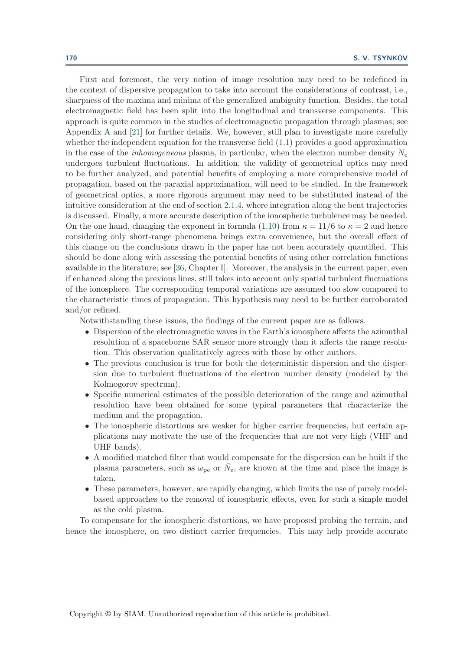First and foremost, the very notion of image resolution may need to be redefined in the context of dispersive propagation to take into account the considerations of contrast, i.e., sharpness of the maxima and minima of the generalized ambiguity function. Besides, the total electromagnetic field has been split into the longitudinal and transverse components. This approach is quite common in the studies of electromagnetic propagation through plasmas; see Appendix [A](#page-31-0) and [\[21\]](#page-42-3) for further details. We, however, still plan to investigate more carefully whether the independent equation for the transverse field  $(1.1)$  provides a good approximation in the case of the *inhomogeneous* plasma, in particular, when the electron number density  $N_e$ undergoes turbulent fluctuations. In addition, the validity of geometrical optics may need to be further analyzed, and potential benefits of employing a more comprehensive model of propagation, based on the paraxial approximation, will need to be studied. In the framework of geometrical optics, a more rigorous argument may need to be substituted instead of the intuitive consideration at the end of section [2.1.4,](#page-17-0) where integration along the bent trajectories is discussed. Finally, a more accurate description of the ionospheric turbulence may be needed. On the one hand, changing the exponent in formula [\(1.10\)](#page-4-2) from  $\kappa = 11/6$  to  $\kappa = 2$  and hence considering only short-range phenomena brings extra convenience, but the overall effect of this change on the conclusions drawn in the paper has not been accurately quantified. This should be done along with assessing the potential benefits of using other correlation functions available in the literature; see [\[36,](#page-42-4) Chapter I]. Moreover, the analysis in the current paper, even if enhanced along the previous lines, still takes into account only spatial turbulent fluctuations of the ionosphere. The corresponding temporal variations are assumed too slow compared to the characteristic times of propagation. This hypothesis may need to be further corroborated and/or refined.

Notwithstanding these issues, the findings of the current paper are as follows.

- Dispersion of the electromagnetic waves in the Earth's ionosphere affects the azimuthal resolution of a spaceborne SAR sensor more strongly than it affects the range resolution. This observation qualitatively agrees with those by other authors.
- The previous conclusion is true for both the deterministic dispersion and the dispersion due to turbulent fluctuations of the electron number density (modeled by the Kolmogorov spectrum).
- Specific numerical estimates of the possible deterioration of the range and azimuthal resolution have been obtained for some typical parameters that characterize the medium and the propagation.
- The ionospheric distortions are weaker for higher carrier frequencies, but certain applications may motivate the use of the frequencies that are not very high (VHF and UHF bands).
- A modified matched filter that would compensate for the dispersion can be built if the plasma parameters, such as  $\omega_{pe}$  or  $N_e$ , are known at the time and place the image is taken.
- These parameters, however, are rapidly changing, which limits the use of purely modelbased approaches to the removal of ionospheric effects, even for such a simple model as the cold plasma.

To compensate for the ionospheric distortions, we have proposed probing the terrain, and hence the ionosphere, on two distinct carrier frequencies. This may help provide accurate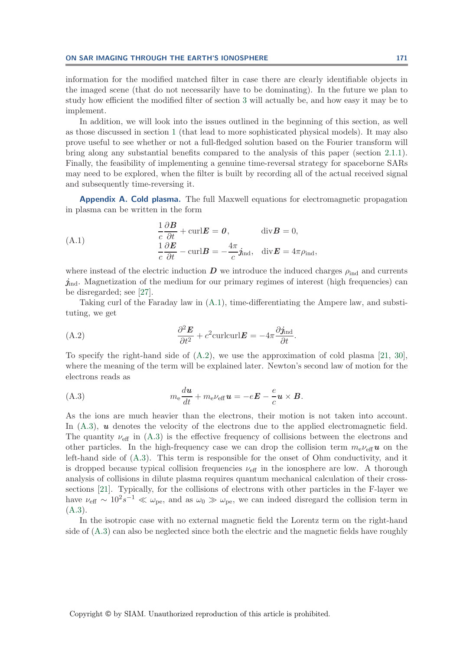information for the modified matched filter in case there are clearly identifiable objects in the imaged scene (that do not necessarily have to be dominating). In the future we plan to study how efficient the modified filter of section [3](#page-27-0) will actually be, and how easy it may be to implement.

In addition, we will look into the issues outlined in the beginning of this section, as well as those discussed in section [1](#page-0-1) (that lead to more sophisticated physical models). It may also prove useful to see whether or not a full-fledged solution based on the Fourier transform will bring along any substantial benefits compared to the analysis of this paper (section [2.1.1\)](#page-10-5). Finally, the feasibility of implementing a genuine time-reversal strategy for spaceborne SARs may need to be explored, when the filter is built by recording all of the actual received signal and subsequently time-reversing it.

<span id="page-31-1"></span><span id="page-31-0"></span>**Appendix A. Cold plasma.** The full Maxwell equations for electromagnetic propagation in plasma can be written in the form

(A.1) 
$$
\frac{1}{c} \frac{\partial \mathbf{B}}{\partial t} + \text{curl} \mathbf{E} = \mathbf{0}, \qquad \text{div} \mathbf{B} = 0,
$$

$$
\frac{1}{c} \frac{\partial \mathbf{E}}{\partial t} - \text{curl} \mathbf{B} = -\frac{4\pi}{c} \mathbf{j}_{\text{ind}}, \quad \text{div} \mathbf{E} = 4\pi \rho_{\text{ind}},
$$

where instead of the electric induction  $\bm{D}$  we introduce the induced charges  $\rho_{\text{ind}}$  and currents *j*<sub>ind</sub>. Magnetization of the medium for our primary regimes of interest (high frequencies) can be disregarded; see [\[27\]](#page-42-6).

<span id="page-31-2"></span>Taking curl of the Faraday law in [\(A.1\)](#page-31-1), time-differentiating the Ampere law, and substituting, we get

(A.2) 
$$
\frac{\partial^2 \mathbf{E}}{\partial t^2} + c^2 \text{curl} \text{curl} \mathbf{E} = -4\pi \frac{\partial \mathbf{j}_{\text{ind}}}{\partial t}.
$$

To specify the right-hand side of [\(A.2\)](#page-31-2), we use the approximation of cold plasma [\[21,](#page-42-3) [30\]](#page-42-19), where the meaning of the term will be explained later. Newton's second law of motion for the electrons reads as

<span id="page-31-3"></span>(A.3) 
$$
m_{\rm e} \frac{du}{dt} + m_{\rm e} \nu_{\rm eff} u = -eE - \frac{e}{c} u \times B.
$$

As the ions are much heavier than the electrons, their motion is not taken into account. In  $(A.3)$ , *u* denotes the velocity of the electrons due to the applied electromagnetic field. The quantity  $\nu_{\text{eff}}$  in [\(A.3\)](#page-31-3) is the effective frequency of collisions between the electrons and other particles. In the high-frequency case we can drop the collision term  $m_e\nu_{\text{eff}}u$  on the left-hand side of [\(A.3\)](#page-31-3). This term is responsible for the onset of Ohm conductivity, and it is dropped because typical collision frequencies  $\nu_{\text{eff}}$  in the ionosphere are low. A thorough analysis of collisions in dilute plasma requires quantum mechanical calculation of their crosssections [\[21\]](#page-42-3). Typically, for the collisions of electrons with other particles in the F-layer we have  $\nu_{\text{eff}} \sim 10^2 s^{-1} \ll \omega_{\text{pe}}$ , and as  $\omega_0 \gg \omega_{\text{pe}}$ , we can indeed disregard the collision term in  $(A.3).$  $(A.3).$ 

In the isotropic case with no external magnetic field the Lorentz term on the right-hand side of [\(A.3\)](#page-31-3) can also be neglected since both the electric and the magnetic fields have roughly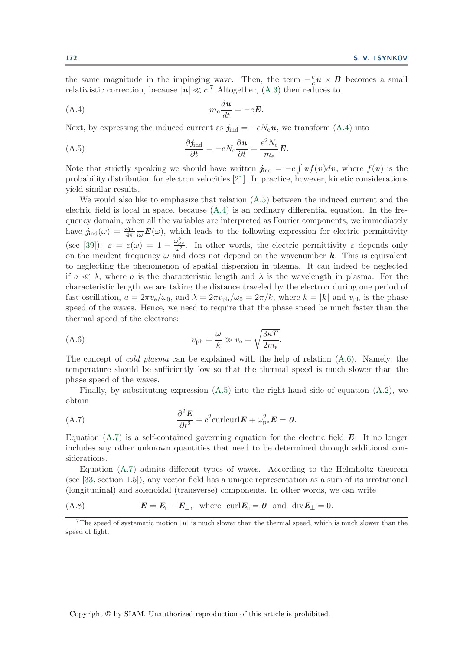<span id="page-32-1"></span>the same magnitude in the impinging wave. Then, the term  $-\frac{e}{c}\mathbf{u} \times \mathbf{B}$  becomes a small relativistic correction, because  $|u| \ll c$ <sup>[7](#page-32-0)</sup> Altogether, [\(A.3\)](#page-31-3) then reduces to

$$
(A.4) \t m_e \frac{du}{dt} = -eE.
$$

<span id="page-32-2"></span>Next, by expressing the induced current as  $j_{\text{ind}} = -eN_e\boldsymbol{u}$ , we transform [\(A.4\)](#page-32-1) into

(A.5) 
$$
\frac{\partial j_{\text{ind}}}{\partial t} = -e N_{\text{e}} \frac{\partial u}{\partial t} = \frac{e^2 N_{\text{e}}}{m_{\text{e}}} E.
$$

Note that strictly speaking we should have written  $j_{ind} = -e \int v f(v) dv$ , where  $f(v)$  is the probability distribution for electron velocities [\[21\]](#page-42-3). In practice, however, kinetic considerations yield similar results.

We would also like to emphasize that relation  $(A.5)$  between the induced current and the electric field is local in space, because  $(A.4)$  is an ordinary differential equation. In the frequency domain, when all the variables are interpreted as Fourier components, we immediately have  $j_{\text{ind}}(\omega) = \frac{\omega_{\text{pe}}}{4\pi} \frac{1}{i\omega} E(\omega)$ , which leads to the following expression for electric permittivity (see [\[39\]](#page-42-14)):  $\varepsilon = \varepsilon(\omega) = 1 - \frac{\omega_{\rm pe}^2}{\omega^2}$ . In other words, the electric permittivity  $\varepsilon$  depends only on the incident frequency  $\omega$  and does not depend on the wavenumber  $k$ . This is equivalent to neglecting the phenomenon of spatial dispersion in plasma. It can indeed be neglected if  $a \ll \lambda$ , where a is the characteristic length and  $\lambda$  is the wavelength in plasma. For the characteristic length we are taking the distance traveled by the electron during one period of fast oscillation,  $a = 2\pi v_e/\omega_0$ , and  $\lambda = 2\pi v_{ph}/\omega_0 = 2\pi/k$ , where  $k = |\mathbf{k}|$  and  $v_{ph}$  is the phase speed of the waves. Hence, we need to require that the phase speed be much faster than the thermal speed of the electrons:

<span id="page-32-3"></span>(A.6) 
$$
v_{\rm ph} = \frac{\omega}{k} \gg v_{\rm e} = \sqrt{\frac{3\kappa T}{2m_{\rm e}}}.
$$

The concept of *cold plasma* can be explained with the help of relation [\(A.6\)](#page-32-3). Namely, the temperature should be sufficiently low so that the thermal speed is much slower than the phase speed of the waves.

<span id="page-32-4"></span>Finally, by substituting expression  $(A.5)$  into the right-hand side of equation  $(A.2)$ , we obtain

(A.7) 
$$
\frac{\partial^2 \boldsymbol{E}}{\partial t^2} + c^2 \text{curl} \text{curl} \boldsymbol{E} + \omega_{\text{pe}}^2 \boldsymbol{E} = \boldsymbol{0}.
$$

Equation [\(A.7\)](#page-32-4) is a self-contained governing equation for the electric field *E*. It no longer includes any other unknown quantities that need to be determined through additional considerations.

Equation [\(A.7\)](#page-32-4) admits different types of waves. According to the Helmholtz theorem (see [\[33,](#page-42-20) section 1.5]), any vector field has a unique representation as a sum of its irrotational (longitudinal) and solenoidal (transverse) components. In other words, we can write

(A.8) *E* = *E*- + *E*⊥, where curl*E*-= *0* and div*E*<sup>⊥</sup> = 0.

<span id="page-32-0"></span><sup>7</sup>The speed of systematic motion  $|u|$  is much slower than the thermal speed, which is much slower than the speed of light.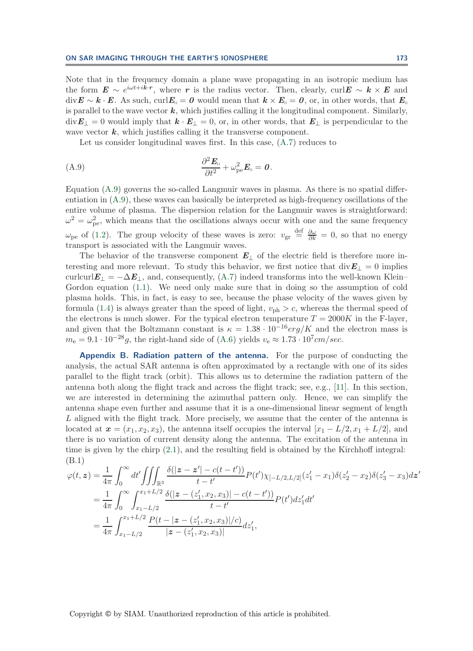Note that in the frequency domain a plane wave propagating in an isotropic medium has the form  $E \sim e^{i\omega t + i k \cdot r}$ , where *r* is the radius vector. Then, clearly, curl $E \sim k \times E$  and  $\text{div}\mathbf{E} \sim \mathbf{k} \cdot \mathbf{E}$ . As such,  $\text{curl}\mathbf{E}_{\shortparallel} = \mathbf{0}$  would mean that  $\mathbf{k} \times \mathbf{E}_{\shortparallel} = \mathbf{0}$ , or, in other words, that  $\mathbf{E}_{\shortparallel}$ is parallel to the wave vector  $k$ , which justifies calling it the longitudinal component. Similarly,  $div E_{\perp} = 0$  would imply that  $\mathbf{k} \cdot \mathbf{E}_{\perp} = 0$ , or, in other words, that  $\mathbf{E}_{\perp}$  is perpendicular to the wave vector  $k$ , which justifies calling it the transverse component.

<span id="page-33-1"></span>Let us consider longitudinal waves first. In this case, [\(A.7\)](#page-32-4) reduces to

$$
\frac{\partial^2 \boldsymbol{E}_{\shortparallel}}{\partial t^2} + \omega_{\text{pe}}^2 \boldsymbol{E}_{\shortparallel} = \boldsymbol{0}.
$$

Equation [\(A.9\)](#page-33-1) governs the so-called Langmuir waves in plasma. As there is no spatial differentiation in [\(A.9\)](#page-33-1), these waves can basically be interpreted as high-frequency oscillations of the entire volume of plasma. The dispersion relation for the Langmuir waves is straightforward:  $\omega^2 = \omega_{\rm pe}^2$ , which means that the oscillations always occur with one and the same frequency  $\omega_{\rm pe}$  of [\(1.2\)](#page-1-2). The group velocity of these waves is zero:  $v_{\rm gr} \stackrel{\rm def}{=} \frac{\partial \omega}{\partial k} = 0$ , so that no energy transport is associated with the Langmuir waves.

The behavior of the transverse component  $E_{\perp}$  of the electric field is therefore more interesting and more relevant. To study this behavior, we first notice that  $div E_{\perp} = 0$  implies curlcurl $E_{\perp} = -\Delta E_{\perp}$ , and, consequently, [\(A.7\)](#page-32-4) indeed transforms into the well-known Klein– Gordon equation [\(1.1\)](#page-0-0). We need only make sure that in doing so the assumption of cold plasma holds. This, in fact, is easy to see, because the phase velocity of the waves given by formula [\(1.4\)](#page-1-4) is always greater than the speed of light,  $v_{\text{ph}} > c$ , whereas the thermal speed of the electrons is much slower. For the typical electron temperature  $T = 2000K$  in the F-layer, and given that the Boltzmann constant is  $\kappa = 1.38 \cdot 10^{-16} erg/K$  and the electron mass is  $m_e = 9.1 \cdot 10^{-28} g$ , the right-hand side of [\(A.6\)](#page-32-3) yields  $v_e \approx 1.73 \cdot 10^7 cm/sec$ .

<span id="page-33-0"></span>**Appendix B. Radiation pattern of the antenna.** For the purpose of conducting the analysis, the actual SAR antenna is often approximated by a rectangle with one of its sides parallel to the flight track (orbit). This allows us to determine the radiation pattern of the antenna both along the flight track and across the flight track; see, e.g., [\[11\]](#page-41-7). In this section, we are interested in determining the azimuthal pattern only. Hence, we can simplify the antenna shape even further and assume that it is a one-dimensional linear segment of length L aligned with the flight track. More precisely, we assume that the center of the antenna is located at  $\mathbf{x} = (x_1, x_2, x_3)$ , the antenna itself occupies the interval  $[x_1 - L/2, x_1 + L/2]$ , and there is no variation of current density along the antenna. The excitation of the antenna in time is given by the chirp [\(2.1\)](#page-7-0), and the resulting field is obtained by the Kirchhoff integral: (B.1)

<span id="page-33-2"></span>
$$
\varphi(t, z) = \frac{1}{4\pi} \int_0^\infty dt' \iiint_{\mathbb{R}^3} \frac{\delta(|z - z'| - c(t - t'))}{t - t'} P(t') \chi_{[-L/2, L/2]}(z'_1 - x_1) \delta(z'_2 - x_2) \delta(z'_3 - x_3) dz'
$$
  
\n
$$
= \frac{1}{4\pi} \int_0^\infty \int_{x_1 - L/2}^{x_1 + L/2} \frac{\delta(|z - (z'_1, x_2, x_3)| - c(t - t'))}{t - t'} P(t') dz'_1 dt'
$$
  
\n
$$
= \frac{1}{4\pi} \int_{x_1 - L/2}^{x_1 + L/2} \frac{P(t - |z - (z'_1, x_2, x_3)|/c)}{|z - (z'_1, x_2, x_3)|} dz'_1,
$$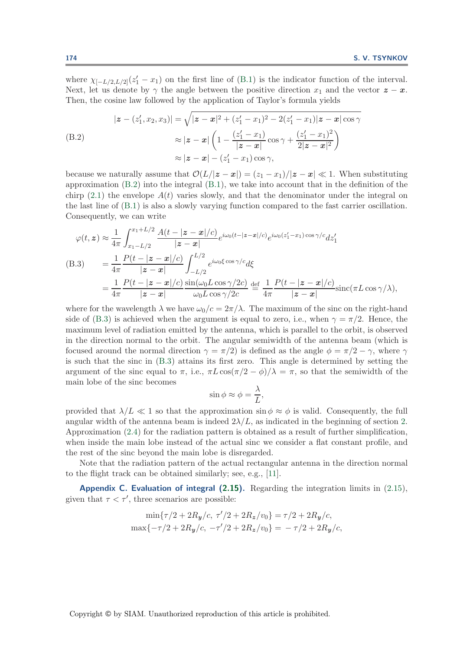where  $\chi_{[-L/2,L/2]}(z_1'-x_1)$  on the first line of [\(B.1\)](#page-33-2) is the indicator function of the interval. Next, let us denote by  $\gamma$  the angle between the positive direction  $x_1$  and the vector  $z - x$ . Then, the cosine law followed by the application of Taylor's formula yields

<span id="page-34-1"></span>
$$
|z - (z'_1, x_2, x_3)| = \sqrt{|z - x|^2 + (z'_1 - x_1)^2 - 2(z'_1 - x_1)|z - x|\cos\gamma}
$$
  
(B.2)  

$$
\approx |z - x| \left(1 - \frac{(z'_1 - x_1)}{|z - x|}\cos\gamma + \frac{(z'_1 - x_1)^2}{2|z - x|^2}\right)
$$
  

$$
\approx |z - x| - (z'_1 - x_1)\cos\gamma,
$$

because we naturally assume that  $\mathcal{O}(L/|z-x|) = (z_1 - x_1)/|z-x| \ll 1$ . When substituting approximation  $(B.2)$  into the integral  $(B.1)$ , we take into account that in the definition of the chirp [\(2.1\)](#page-7-0) the envelope  $A(t)$  varies slowly, and that the denominator under the integral on the last line of [\(B.1\)](#page-33-2) is also a slowly varying function compared to the fast carrier oscillation. Consequently, we can write

<span id="page-34-2"></span>
$$
\varphi(t, z) \approx \frac{1}{4\pi} \int_{x_1 - L/2}^{x_1 + L/2} \frac{A(t - |z - x|/c)}{|z - x|} e^{i\omega_0 (t - |z - x|/c)} e^{i\omega_0 (z'_1 - x_1) \cos \gamma/c} dz'_1
$$
\n(B.3) 
$$
= \frac{1}{4\pi} \frac{P(t - |z - x|/c)}{|z - x|} \int_{-L/2}^{L/2} e^{i\omega_0 \xi \cos \gamma/c} d\xi
$$
\n
$$
= \frac{1}{4\pi} \frac{P(t - |z - x|/c)}{|z - x|} \frac{\sin(\omega_0 L \cos \gamma/2c)}{\omega_0 L \cos \gamma/2c} \stackrel{\text{def}}{=} \frac{1}{4\pi} \frac{P(t - |z - x|/c)}{|z - x|} \text{sinc}(\pi L \cos \gamma/\lambda),
$$

where for the wavelength  $\lambda$  we have  $\omega_0/c = 2\pi/\lambda$ . The maximum of the sinc on the right-hand side of [\(B.3\)](#page-34-2) is achieved when the argument is equal to zero, i.e., when  $\gamma = \pi/2$ . Hence, the maximum level of radiation emitted by the antenna, which is parallel to the orbit, is observed in the direction normal to the orbit. The angular semiwidth of the antenna beam (which is focused around the normal direction  $\gamma = \pi/2$ ) is defined as the angle  $\phi = \pi/2 - \gamma$ , where  $\gamma$ is such that the sinc in [\(B.3\)](#page-34-2) attains its first zero. This angle is determined by setting the argument of the sinc equal to  $\pi$ , i.e.,  $\pi L \cos(\pi/2 - \phi)/\lambda = \pi$ , so that the semiwidth of the main lobe of the sinc becomes

$$
\sin \phi \approx \phi = \frac{\lambda}{L},
$$

provided that  $\lambda/L \ll 1$  so that the approximation sin  $\phi \approx \phi$  is valid. Consequently, the full angular width of the antenna beam is indeed  $2\lambda/L$ , as indicated in the beginning of section [2.](#page-7-2) Approximation [\(2.4\)](#page-9-0) for the radiation pattern is obtained as a result of further simplification, when inside the main lobe instead of the actual sinc we consider a flat constant profile, and the rest of the sinc beyond the main lobe is disregarded.

<span id="page-34-0"></span>Note that the radiation pattern of the actual rectangular antenna in the direction normal to the flight track can be obtained similarly; see, e.g., [\[11\]](#page-41-7).

**Appendix C. Evaluation of integral [\(2.15\)](#page-11-2).** Regarding the integration limits in [\(2.15\)](#page-11-2), given that  $\tau < \tau'$ , three scenarios are possible:

$$
\min\{\tau/2 + 2R_y/c, \ \tau'/2 + 2R_z/v_0\} = \tau/2 + 2R_y/c,
$$
  

$$
\max\{-\tau/2 + 2R_y/c, \ -\tau'/2 + 2R_z/v_0\} = -\tau/2 + 2R_y/c,
$$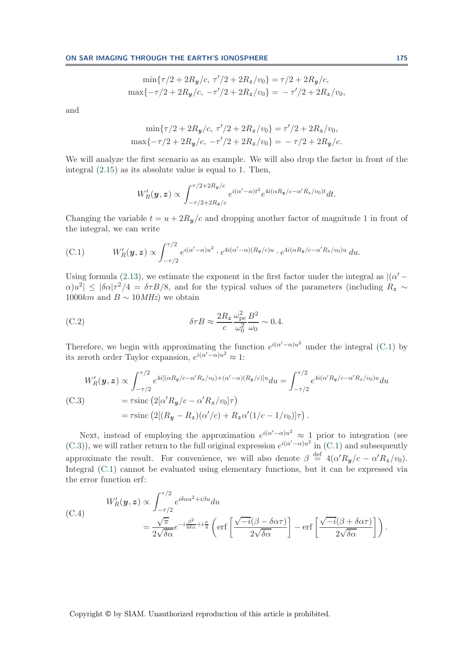$$
\min\{\tau/2 + 2R_y/c, \ \tau'/2 + 2R_z/v_0\} = \tau/2 + 2R_y/c,
$$

$$
\max\{-\tau/2 + 2R_y/c, \ -\tau'/2 + 2R_z/v_0\} = -\tau'/2 + 2R_z/v_0,
$$

and

$$
\min\{\tau/2 + 2R_y/c, \tau'/2 + 2R_z/v_0\} = \tau'/2 + 2R_z/v_0,
$$
  

$$
\max\{-\tau/2 + 2R_y/c, -\tau'/2 + 2R_z/v_0\} = -\tau/2 + 2R_y/c.
$$

We will analyze the first scenario as an example. We will also drop the factor in front of the integral [\(2.15\)](#page-11-2) as its absolute value is equal to 1. Then,

<span id="page-35-2"></span><span id="page-35-1"></span>
$$
W'_R(\boldsymbol{y},\boldsymbol{z}) \propto \int_{-\tau/2+2R_{\boldsymbol{y}}/c}^{\tau/2+2R_{\boldsymbol{y}}/c} e^{i(\alpha'-\alpha)t^2} e^{4i(\alpha R_{\boldsymbol{y}}/c-\alpha'R_{\boldsymbol{z}}/v_0)t} dt.
$$

Changing the variable  $t = u + 2R_y/c$  and dropping another factor of magnitude 1 in front of the integral, we can write

$$
(C.1) \tW'_R(\boldsymbol{y},\boldsymbol{z}) \propto \int_{-\tau/2}^{\tau/2} e^{i(\alpha'-\alpha)u^2} \cdot e^{4i(\alpha'-\alpha)(R_{\boldsymbol{y}}/c)u} \cdot e^{4i(\alpha R_{\boldsymbol{y}}/c-\alpha' R_{\boldsymbol{z}}/v_0)u} du.
$$

Using formula [\(2.13\)](#page-11-4), we estimate the exponent in the first factor under the integral as  $|(\alpha' - \alpha)|$  $|\alpha|u^2|\leq|\delta\alpha|\tau^2/4 = \delta\tau B/8$ , and for the typical values of the parameters (including R<sub>z</sub> ∼ 1000 $km$  and  $B \sim 10 MHz$ ) we obtain

(C.2) 
$$
\delta \tau B \approx \frac{2R_z}{c} \frac{\omega_{\rm pe}^2}{\omega_0^2} \frac{B^2}{\omega_0} \sim 0.4.
$$

Therefore, we begin with approximating the function  $e^{i(\alpha'-\alpha)u^2}$  under the integral [\(C.1\)](#page-35-1) by its zeroth order Taylor expansion,  $e^{i(\alpha'-\alpha)u^2} \approx 1$ :

<span id="page-35-0"></span>
$$
W'_{R}(\boldsymbol{y}, \boldsymbol{z}) \propto \int_{-\tau/2}^{\tau/2} e^{4i[(\alpha R_{\boldsymbol{y}}/c - \alpha' R_{\boldsymbol{z}}/v_{0}) + (\alpha' - \alpha)(R_{\boldsymbol{y}}/c)]u} du = \int_{-\tau/2}^{\tau/2} e^{4i(\alpha' R_{\boldsymbol{y}}/c - \alpha' R_{\boldsymbol{z}}/v_{0})u} du
$$
  
\n(C.3) =  $\tau$ sinc  $(2[\alpha' R_{\boldsymbol{y}}/c - \alpha' R_{\boldsymbol{z}}/v_{0}]\tau)$   
\n=  $\tau$ sinc  $(2[(R_{\boldsymbol{y}} - R_{\boldsymbol{z}})(\alpha'/c) + R_{\boldsymbol{z}}\alpha'(1/c - 1/v_{0})]\tau)$ .

Next, instead of employing the approximation  $e^{i(\alpha'-\alpha)u^2} \approx 1$  prior to integration (see [\(C.3\)](#page-35-0)), we will rather return to the full original expression  $e^{i(\alpha'-\alpha)u^2}$  in [\(C.1\)](#page-35-1) and subsequently approximate the result. For convenience, we will also denote  $\beta \stackrel{\text{def}}{=} 4(\alpha' R_y/c - \alpha' R_z/v_0)$ . Integral [\(C.1\)](#page-35-1) cannot be evaluated using elementary functions, but it can be expressed via the error function erf:

<span id="page-35-3"></span>(C.4)  
\n
$$
W'_{R}(\mathbf{y}, \mathbf{z}) \propto \int_{-\tau/2}^{\tau/2} e^{i\delta \alpha u^{2} + i\beta u} du
$$
\n
$$
= \frac{\sqrt{\pi}}{2\sqrt{\delta \alpha}} e^{-i\frac{\beta^{2}}{4\delta \alpha} + i\frac{\pi}{4}} \left( \text{erf}\left[\frac{\sqrt{-i}(\beta - \delta \alpha \tau)}{2\sqrt{\delta \alpha}}\right] - \text{erf}\left[\frac{\sqrt{-i}(\beta + \delta \alpha \tau)}{2\sqrt{\delta \alpha}}\right] \right).
$$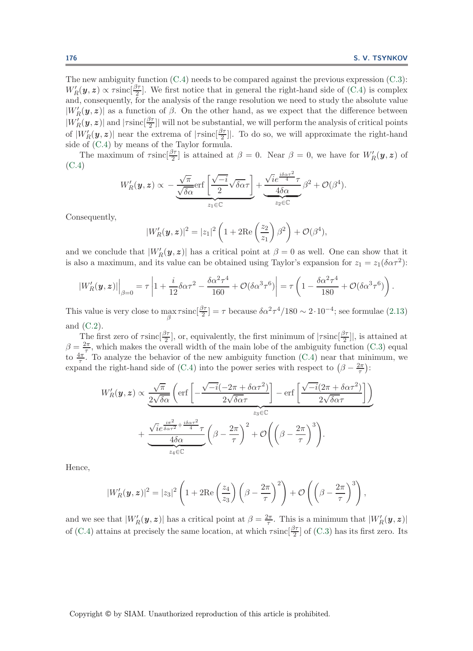The new ambiguity function  $(C.4)$  needs to be compared against the previous expression  $(C.3)$ :  $W'_R(\bm{y}, \bm{z}) \propto \tau \sin\left(\frac{\beta\tau}{2}\right]$ . We first notice that in general the right-hand side of [\(C.4\)](#page-35-3) is complex and, consequently, for the analysis of the range resolution we need to study the absolute value  $|W'_{R}(y, z)|$  as a function of  $\beta$ . On the other hand, as we expect that the difference between  $|W_R'(\bm{y}, \bm{z})|$  and  $|\tau \text{sinc}[\frac{\beta \tau}{2}]|$  will not be substantial, we will perform the analysis of critical points of  $|W'_R(\bm{y}, \bm{z})|$  near the extrema of  $|\tau \text{sinc}[\frac{\beta \tau}{2}]|$ . To do so, we will approximate the right-hand side of [\(C.4\)](#page-35-3) by means of the Taylor formula.

The maximum of  $\tau \operatorname{sinc}(\frac{\beta \tau}{2}]$  is attained at  $\beta = 0$ . Near  $\beta = 0$ , we have for  $W_R'(\bm{y}, \bm{z})$  of [\(C.4\)](#page-35-3)

$$
W'_{R}(\boldsymbol{y}, \boldsymbol{z}) \propto -\frac{\sqrt{\pi}}{\sqrt{\delta \alpha}} \text{erf}\left[\frac{\sqrt{-i}}{2} \sqrt{\delta \alpha} \tau \right] + \frac{\sqrt{i} e^{\frac{i\delta \alpha \tau^2}{4}} \tau}{4 \delta \alpha} \beta^2 + \mathcal{O}(\beta^4).
$$

Consequently,

$$
|W'_{R}(\boldsymbol{y},\boldsymbol{z})|^2=|z_1|^2\left(1+2\mathrm{Re}\left(\frac{z_2}{z_1}\right)\beta^2\right)+\mathcal{O}(\beta^4),
$$

and we conclude that  $|W'_{R}(\bm{y}, \bm{z})|$  has a critical point at  $\beta = 0$  as well. One can show that it is also a maximum, and its value can be obtained using Taylor's expansion for  $z_1 = z_1(\delta \alpha \tau^2)$ :

$$
|W_R'(\mathbf{y}, \mathbf{z})|_{\beta=0} = \tau \left| 1 + \frac{i}{12} \delta \alpha \tau^2 - \frac{\delta \alpha^2 \tau^4}{160} + \mathcal{O}(\delta \alpha^3 \tau^6) \right| = \tau \left( 1 - \frac{\delta \alpha^2 \tau^4}{180} + \mathcal{O}(\delta \alpha^3 \tau^6) \right).
$$

This value is very close to  $\max_{\beta} \tau \operatorname{sinc}[\frac{\beta \tau}{2}] = \tau$  because  $\delta \alpha^2 \tau^4 / 180 \sim 2 \cdot 10^{-4}$ ; see formulae [\(2.13\)](#page-11-4) and [\(C.2\)](#page-35-2).

The first zero of  $\tau \text{sinc}[\frac{\beta \tau}{2}]$ , or, equivalently, the first minimum of  $|\tau \text{sinc}[\frac{\beta \tau}{2}]|$ , is attained at  $\beta = \frac{2\pi}{7}$ , which makes the overall width of the main lobe of the ambiguity function [\(C.3\)](#page-35-0) equal to  $\frac{4\pi}{7}$ . To analyze the behavior of the new ambiguity function [\(C.4\)](#page-35-3) near that minimum, we expand the right-hand side of [\(C.4\)](#page-35-3) into the power series with respect to  $(\beta - \frac{2\pi}{\tau})$ :

$$
W'_{R}(\mathbf{y}, \mathbf{z}) \propto \underbrace{\frac{\sqrt{\pi}}{2\sqrt{\delta\alpha}} \left( \text{erf}\left[ -\frac{\sqrt{-i}(-2\pi + \delta\alpha\tau^{2})}{2\sqrt{\delta\alpha}\tau} \right] - \text{erf}\left[ \frac{\sqrt{-i}(2\pi + \delta\alpha\tau^{2})}{2\sqrt{\delta\alpha}\tau} \right] \right)}_{z_{3} \in \mathbb{C}} + \underbrace{\frac{\sqrt{i}e^{\frac{i\pi^{2}}{\delta\alpha\tau^{2}} + \frac{i\delta\alpha\tau^{2}}{4}}}{4\delta\alpha}\tau}_{z_{4} \in \mathbb{C}} \left( \beta - \frac{2\pi}{\tau} \right)^{2} + \mathcal{O}\left( \left( \beta - \frac{2\pi}{\tau} \right)^{3} \right).
$$

Hence,

$$
|W'_{R}(\boldsymbol{y},\boldsymbol{z})|^2=|z_3|^2\left(1+2\mathrm{Re}\left(\frac{z_4}{z_3}\right)\left(\beta-\frac{2\pi}{\tau}\right)^2\right)+\mathcal{O}\left(\left(\beta-\frac{2\pi}{\tau}\right)^3\right),\,
$$

and we see that  $|W_R'(\bm{y}, \bm{z})|$  has a critical point at  $\beta = \frac{2\pi}{\tau}$ . This is a minimum that  $|W_R'(\bm{y}, \bm{z})|$ of [\(C.4\)](#page-35-3) attains at precisely the same location, at which  $\tau \text{sinc}[\frac{\beta \tau}{2}]$  of [\(C.3\)](#page-35-0) has its first zero. Its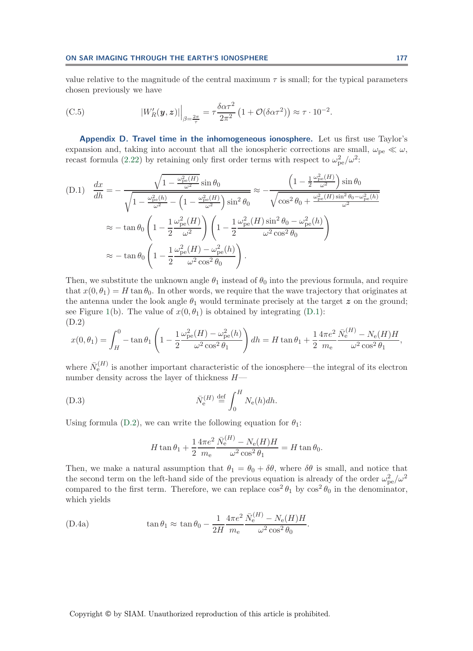<span id="page-37-0"></span>value relative to the magnitude of the central maximum  $\tau$  is small; for the typical parameters chosen previously we have

(C.5) 
$$
|W'_{R}(\boldsymbol{y}, \boldsymbol{z})| \Big|_{\beta = \frac{2\pi}{\tau}} = \tau \frac{\delta \alpha \tau^2}{2\pi^2} \left( 1 + \mathcal{O}(\delta \alpha \tau^2) \right) \approx \tau \cdot 10^{-2}.
$$

<span id="page-37-1"></span>**Appendix D. Travel time in the inhomogeneous ionosphere.** Let us first use Taylor's expansion and, taking into account that all the ionospheric corrections are small,  $\omega_{pe} \ll \omega$ , recast formula [\(2.22\)](#page-15-1) by retaining only first order terms with respect to  $\omega_{\rm pe}^2/\omega^2$ :

<span id="page-37-3"></span>(D.1) 
$$
\frac{dx}{dh} = -\frac{\sqrt{1 - \frac{\omega_{pe}^2(H)}{\omega^2}} \sin \theta_0}{\sqrt{1 - \frac{\omega_{pe}^2(h)}{\omega^2} - \left(1 - \frac{\omega_{pe}^2(H)}{\omega^2}\right) \sin^2 \theta_0}} \approx -\frac{\left(1 - \frac{1}{2} \frac{\omega_{pe}^2(H)}{\omega^2}\right) \sin \theta_0}{\sqrt{\cos^2 \theta_0 + \frac{\omega_{pe}^2(H) \sin^2 \theta_0 - \omega_{pe}^2(h)}{\omega^2}}}
$$

$$
\approx -\tan \theta_0 \left(1 - \frac{1}{2} \frac{\omega_{pe}^2(H)}{\omega^2}\right) \left(1 - \frac{1}{2} \frac{\omega_{pe}^2(H) \sin^2 \theta_0 - \omega_{pe}^2(h)}{\omega^2 \cos^2 \theta_0}\right)
$$

$$
\approx -\tan \theta_0 \left(1 - \frac{1}{2} \frac{\omega_{pe}^2(H) - \omega_{pe}^2(h)}{\omega^2 \cos^2 \theta_0}\right).
$$

Then, we substitute the unknown angle  $\theta_1$  instead of  $\theta_0$  into the previous formula, and require that  $x(0, \theta_1) = H \tan \theta_0$ . In other words, we require that the wave trajectory that originates at the antenna under the look angle  $\theta_1$  would terminate precisely at the target z on the ground; see Figure [1\(](#page-14-2)b). The value of  $x(0, \theta_1)$  is obtained by integrating [\(D.1\)](#page-37-3): (D.2)

$$
x(0,\theta_1) = \int_H^0 -\tan\theta_1 \left(1 - \frac{1}{2} \frac{\omega_{\rm pe}^2(H) - \omega_{\rm pe}^2(h)}{\omega^2 \cos^2\theta_1}\right) dh = H \tan\theta_1 + \frac{1}{2} \frac{4\pi e^2}{m_{\rm e}} \frac{\bar{N}_{\rm e}^{(H)} - N_{\rm e}(H)H}{\omega^2 \cos^2\theta_1},
$$

where  $\bar{N}_{e}^{(H)}$  is another important characteristic of the ionosphere—the integral of its electron number density across the layer of thickness  $H-$ 

(D.3) 
$$
\bar{N}_e^{(H)} \stackrel{\text{def}}{=} \int_0^H N_e(h) dh.
$$

Using formula [\(D.2\)](#page-37-4), we can write the following equation for  $\theta_1$ :

<span id="page-37-4"></span><span id="page-37-2"></span>
$$
H \tan \theta_1 + \frac{1}{2} \frac{4\pi e^2}{m_e} \frac{\bar{N}_e^{(H)} - N_e(H)H}{\omega^2 \cos^2 \theta_1} = H \tan \theta_0.
$$

Then, we make a natural assumption that  $\theta_1 = \theta_0 + \delta\theta$ , where  $\delta\theta$  is small, and notice that the second term on the left-hand side of the previous equation is already of the order  $\omega_{\rm pe}^2/\omega^2$ compared to the first term. Therefore, we can replace  $\cos^2\theta_1$  by  $\cos^2\theta_0$  in the denominator, which yields

<span id="page-37-5"></span>(D.4a) 
$$
\tan \theta_1 \approx \tan \theta_0 - \frac{1}{2H} \frac{4\pi e^2}{m_e} \frac{\bar{N}_e^{(H)} - N_e(H)H}{\omega^2 \cos^2 \theta_0}.
$$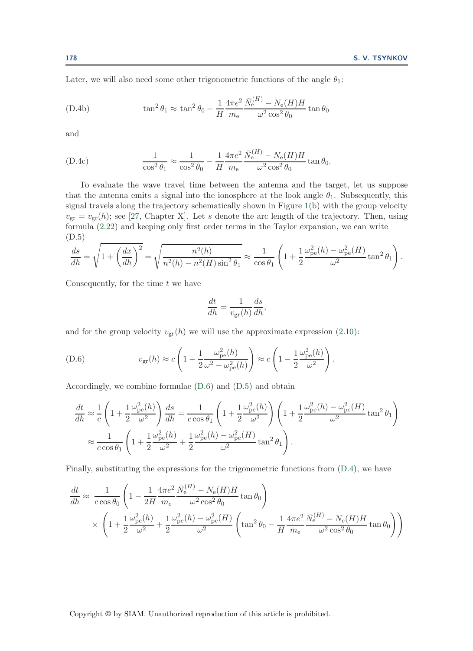Later, we will also need some other trigonometric functions of the angle  $\theta_1$ :

(D.4b) 
$$
\tan^2 \theta_1 \approx \tan^2 \theta_0 - \frac{1}{H} \frac{4\pi e^2}{m_e} \frac{\bar{N}_e^{(H)} - N_e(H)H}{\omega^2 \cos^2 \theta_0} \tan \theta_0
$$

and

(D.4c) 
$$
\frac{1}{\cos^2 \theta_1} \approx \frac{1}{\cos^2 \theta_0} - \frac{1}{H} \frac{4\pi e^2}{m_e} \frac{\bar{N}_e^{(H)} - N_e(H)H}{\omega^2 \cos^2 \theta_0} \tan \theta_0.
$$

To evaluate the wave travel time between the antenna and the target, let us suppose that the antenna emits a signal into the ionosphere at the look angle  $\theta_1$ . Subsequently, this signal travels along the trajectory schematically shown in Figure [1\(](#page-14-2)b) with the group velocity  $v_{\rm gr} = v_{\rm gr}(h)$ ; see [\[27,](#page-42-6) Chapter X]. Let s denote the arc length of the trajectory. Then, using formula [\(2.22\)](#page-15-1) and keeping only first order terms in the Taylor expansion, we can write (D.5)

$$
\frac{ds}{dh} = \sqrt{1 + \left(\frac{dx}{dh}\right)^2} = \sqrt{\frac{n^2(h)}{n^2(h) - n^2(H)\sin^2\theta_1}} \approx \frac{1}{\cos\theta_1} \left(1 + \frac{1}{2} \frac{\omega_{\text{pe}}^2(h) - \omega_{\text{pe}}^2(H)}{\omega^2} \tan^2\theta_1\right).
$$

Consequently, for the time  $t$  we have

<span id="page-38-1"></span><span id="page-38-0"></span>
$$
\frac{dt}{dh} = \frac{1}{v_{\rm gr}(h)} \frac{ds}{dh},
$$

and for the group velocity  $v_{\rm gr}(h)$  we will use the approximate expression [\(2.10\)](#page-10-3):

(D.6) 
$$
v_{\rm gr}(h) \approx c \left(1 - \frac{1}{2} \frac{\omega_{\rm pe}^2(h)}{\omega^2 - \omega_{\rm pe}^2(h)}\right) \approx c \left(1 - \frac{1}{2} \frac{\omega_{\rm pe}^2(h)}{\omega^2}\right).
$$

Accordingly, we combine formulae [\(D.6\)](#page-38-0) and [\(D.5\)](#page-38-1) and obtain

$$
\frac{dt}{dh} \approx \frac{1}{c} \left( 1 + \frac{1}{2} \frac{\omega_{\rm pe}^2(h)}{\omega^2} \right) \frac{ds}{dh} = \frac{1}{c \cos \theta_1} \left( 1 + \frac{1}{2} \frac{\omega_{\rm pe}^2(h)}{\omega^2} \right) \left( 1 + \frac{1}{2} \frac{\omega_{\rm pe}^2(h) - \omega_{\rm pe}^2(H)}{\omega^2} \tan^2 \theta_1 \right)
$$

$$
\approx \frac{1}{c \cos \theta_1} \left( 1 + \frac{1}{2} \frac{\omega_{\rm pe}^2(h)}{\omega^2} + \frac{1}{2} \frac{\omega_{\rm pe}^2(h) - \omega_{\rm pe}^2(H)}{\omega^2} \tan^2 \theta_1 \right).
$$

Finally, substituting the expressions for the trigonometric functions from [\(D.4\)](#page-37-5), we have

$$
\frac{dt}{dh} \approx \frac{1}{c\cos\theta_0} \left( 1 - \frac{1}{2H} \frac{4\pi e^2}{m_e} \frac{\bar{N}_e^{(H)} - N_e(H)H}{\omega^2 \cos^2\theta_0} \tan\theta_0 \right)
$$

$$
\times \left( 1 + \frac{1}{2} \frac{\omega_{\text{pe}}^2(h)}{\omega^2} + \frac{1}{2} \frac{\omega_{\text{pe}}^2(h) - \omega_{\text{pe}}^2(H)}{\omega^2} \left( \tan^2\theta_0 - \frac{1}{H} \frac{4\pi e^2}{m_e} \frac{\bar{N}_e^{(H)} - N_e(H)H}{\omega^2 \cos^2\theta_0} \tan\theta_0 \right) \right)
$$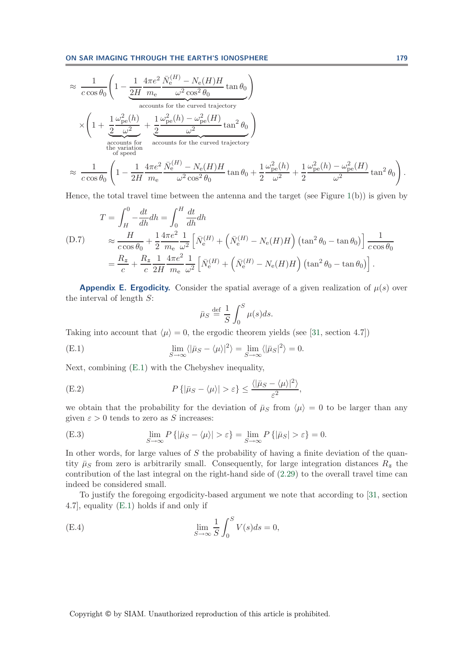**ON SAR IMAGING THROUGH THE EARTH'S IONOSPHERE 179**

$$
\approx \frac{1}{c \cos \theta_0} \left( 1 - \frac{1}{2H} \frac{4\pi e^2}{m_e} \frac{\bar{N}_e^{(H)} - N_e(H)H}{\omega^2 \cos^2 \theta_0} \tan \theta_0 \right)
$$
  
\n
$$
\times \left( 1 + \frac{1}{2} \frac{\omega_{pe}^2(h)}{\omega^2} + \frac{1}{2} \frac{\omega_{pe}^2(h) - \omega_{pe}^2(H)}{\omega^2} \tan^2 \theta_0 \right)
$$
  
\n
$$
\approx \frac{1}{c \cos \theta_0} \left( 1 - \frac{1}{2H} \frac{4\pi e^2}{m_e} \frac{\bar{N}_e^{(H)} - N_e(H)H}{\omega^2 \cos^2 \theta_0} \tan \theta_0 + \frac{1}{2} \frac{\omega_{pe}^2(h)}{\omega^2} + \frac{1}{2} \frac{\omega_{pe}^2(h) - \omega_{pe}^2(H)}{\omega^2} \tan^2 \theta_0 \right).
$$

Hence, the total travel time between the antenna and the target (see Figure [1\(](#page-14-2)b)) is given by

$$
T = \int_{H}^{0} -\frac{dt}{dh} dh = \int_{0}^{H} \frac{dt}{dh} dh
$$
  
(D.7) 
$$
\approx \frac{H}{c \cos \theta_{0}} + \frac{1}{2} \frac{4\pi e^{2}}{m_{e}} \frac{1}{\omega^{2}} \left[ \bar{N}_{e}^{(H)} + \left( \bar{N}_{e}^{(H)} - N_{e}(H)H \right) (\tan^{2} \theta_{0} - \tan \theta_{0}) \right] \frac{1}{c \cos \theta_{0}}
$$

$$
= \frac{R_{z}}{c} + \frac{R_{z}}{c} \frac{1}{2H} \frac{4\pi e^{2}}{m_{e}} \frac{1}{\omega^{2}} \left[ \bar{N}_{e}^{(H)} + \left( \bar{N}_{e}^{(H)} - N_{e}(H)H \right) (\tan^{2} \theta_{0} - \tan \theta_{0}) \right].
$$

<span id="page-39-1"></span>**Appendix E. Ergodicity.** Consider the spatial average of a given realization of  $\mu(s)$  over the interval of length S:

<span id="page-39-4"></span><span id="page-39-2"></span><span id="page-39-0"></span>
$$
\bar{\mu}_S \stackrel{\text{def}}{=} \frac{1}{S} \int_0^S \mu(s) ds.
$$

Taking into account that  $\langle \mu \rangle = 0$ , the ergodic theorem yields (see [\[31,](#page-42-21) section 4.7])

(E.1) 
$$
\lim_{S \to \infty} \langle |\bar{\mu}_S - \langle \mu \rangle|^2 \rangle = \lim_{S \to \infty} \langle |\bar{\mu}_S|^2 \rangle = 0.
$$

Next, combining [\(E.1\)](#page-39-2) with the Chebyshev inequality,

(E.2) 
$$
P\left\{|\bar{\mu}_S - \langle \mu \rangle| > \varepsilon\right\} \leq \frac{\langle|\bar{\mu}_S - \langle \mu \rangle|^2\rangle}{\varepsilon^2},
$$

we obtain that the probability for the deviation of  $\bar{\mu}_S$  from  $\langle \mu \rangle = 0$  to be larger than any given  $\varepsilon > 0$  tends to zero as S increases:

(E.3) 
$$
\lim_{S \to \infty} P\{|\bar{\mu}_S - \langle \mu \rangle| > \varepsilon\} = \lim_{S \to \infty} P\{|\bar{\mu}_S| > \varepsilon\} = 0.
$$

In other words, for large values of  $S$  the probability of having a finite deviation of the quantity  $\bar{\mu}_S$  from zero is arbitrarily small. Consequently, for large integration distances  $R_z$  the contribution of the last integral on the right-hand side of [\(2.29\)](#page-18-1) to the overall travel time can indeed be considered small.

To justify the foregoing ergodicity-based argument we note that according to [\[31,](#page-42-21) section 4.7], equality [\(E.1\)](#page-39-2) holds if and only if

<span id="page-39-3"></span>(E.4) 
$$
\lim_{S \to \infty} \frac{1}{S} \int_0^S V(s) ds = 0,
$$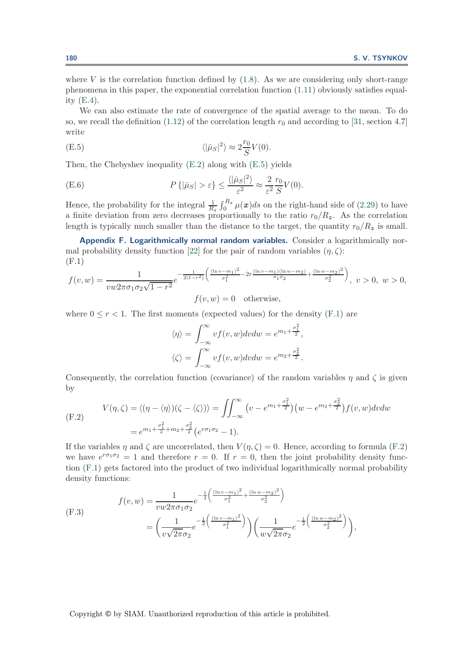where  $V$  is the correlation function defined by  $(1.8)$ . As we are considering only short-range phenomena in this paper, the exponential correlation function [\(1.11\)](#page-4-3) obviously satisfies equality  $(E.4)$ .

We can also estimate the rate of convergence of the spatial average to the mean. To do so, we recall the definition [\(1.12\)](#page-4-0) of the correlation length  $r_0$  and according to [\[31,](#page-42-21) section 4.7] write

<span id="page-40-1"></span>(E.5) 
$$
\langle |\bar{\mu}_S|^2 \rangle \approx 2 \frac{r_0}{S} V(0).
$$

Then, the Chebyshev inequality [\(E.2\)](#page-39-4) along with [\(E.5\)](#page-40-1) yields

(E.6) 
$$
P\{|\bar{\mu}_S| > \varepsilon\} \leq \frac{\langle |\bar{\mu}_S|^2 \rangle}{\varepsilon^2} \approx \frac{2}{\varepsilon^2} \frac{r_0}{S} V(0).
$$

Hence, the probability for the integral  $\frac{1}{R_z} \int_0^{R_z} \mu(x) ds$  on the right-hand side of [\(2.29\)](#page-18-1) to have a finite deviation from zero decreases proportionally to the ratio  $r_0/R_z$ . As the correlation length is typically much smaller than the distance to the target, the quantity  $r_0/R_z$  is small.

<span id="page-40-0"></span>**Appendix F. Logarithmically normal random variables.** Consider a logarithmically nor-mal probability density function [\[22\]](#page-42-17) for the pair of random variables  $(\eta, \zeta)$ : (F.1)

$$
f(v, w) = \frac{1}{vw2\pi\sigma_1\sigma_2\sqrt{1-r^2}} e^{-\frac{1}{2(1-r^2)} \left(\frac{(\ln v - m_1)^2}{\sigma_1^2} - 2r\frac{(\ln v - m_1)(\ln w - m_2)}{\sigma_1\sigma_2} + \frac{(\ln w - m_2)^2}{\sigma_2^2}\right)}, \ v > 0, \ w > 0,
$$
  

$$
f(v, w) = 0 \quad \text{otherwise},
$$

where  $0 \leq r < 1$ . The first moments (expected values) for the density [\(F.1\)](#page-40-2) are

<span id="page-40-2"></span>
$$
\langle \eta \rangle = \int_{-\infty}^{\infty} v f(v, w) dv dw = e^{m_1 + \frac{\sigma_1^2}{2}},
$$
  

$$
\langle \zeta \rangle = \int_{-\infty}^{\infty} v f(v, w) dv dw = e^{m_2 + \frac{\sigma_2^2}{2}}.
$$

<span id="page-40-3"></span>Consequently, the correlation function (covariance) of the random variables  $\eta$  and  $\zeta$  is given by

$$
V(\eta,\zeta) = \langle (\eta - \langle \eta \rangle)(\zeta - \langle \zeta \rangle) \rangle = \iint_{-\infty}^{\infty} (v - e^{m_1 + \frac{\sigma_1^2}{2}}) (w - e^{m_2 + \frac{\sigma_2^2}{2}}) f(v,w) dv dw
$$
  
=  $e^{m_1 + \frac{\sigma_1^2}{2} + m_2 + \frac{\sigma_2^2}{2}} (e^{r\sigma_1 \sigma_2} - 1).$ 

If the variables  $\eta$  and  $\zeta$  are uncorrelated, then  $V(\eta, \zeta) = 0$ . Hence, according to formula [\(F.2\)](#page-40-3) we have  $e^{r\sigma_1\sigma_2}=1$  and therefore  $r=0$ . If  $r=0$ , then the joint probability density function [\(F.1\)](#page-40-2) gets factored into the product of two individual logarithmically normal probability density functions:

$$
f(v, w) = \frac{1}{vw2\pi\sigma_1\sigma_2} e^{-\frac{1}{2} \left( \frac{(\ln v - m_1)^2}{\sigma_1^2} + \frac{(\ln w - m_2)^2}{\sigma_2^2} \right)}
$$
  

$$
= \left( \frac{1}{v\sqrt{2\pi}\sigma_2} e^{-\frac{1}{2} \left( \frac{(\ln v - m_1)^2}{\sigma_1^2} \right)} \right) \left( \frac{1}{w\sqrt{2\pi}\sigma_2} e^{-\frac{1}{2} \left( \frac{(\ln w - m_2)^2}{\sigma_2^2} \right)} \right),
$$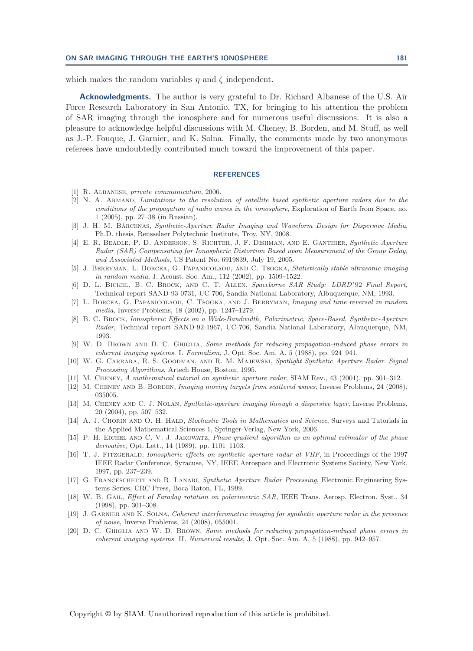which makes the random variables  $\eta$  and  $\zeta$  independent.

**Acknowledgments.** The author is very grateful to Dr. Richard Albanese of the U.S. Air Force Research Laboratory in San Antonio, TX, for bringing to his attention the problem of SAR imaging through the ionosphere and for numerous useful discussions. It is also a pleasure to acknowledge helpful discussions with M. Cheney, B. Borden, and M. Stuff, as well as J.-P. Fouque, J. Garnier, and K. Solna. Finally, the comments made by two anonymous referees have undoubtedly contributed much toward the improvement of this paper.

## **REFERENCES**

- <span id="page-41-17"></span><span id="page-41-5"></span>[1] R. ALBANESE, private communication, 2006.
- [2] N. A. Armand, Limitations to the resolution of satellite based synthetic aperture radars due to the conditions of the propagation of radio waves in the ionosphere, Exploration of Earth from Space, no. 1 (2005), pp. 27–38 (in Russian).
- <span id="page-41-10"></span>[3] J. H. M. BÁRCENAS, Synthetic-Aperture Radar Imaging and Waveform Design for Dispersive Media, Ph.D. thesis, Rensselaer Polytechnic Institute, Troy, NY, 2008.
- <span id="page-41-14"></span>[4] E. R. Beadle, P. D. Anderson, S. Richter, J. F. Dishman, and E. Ganthier, Synthetic Aperture Radar (SAR) Compensating for Ionospheric Distortion Based upon Measurement of the Group Delay, and Associated Methods, US Patent No. 6919839, July 19, 2005.
- <span id="page-41-15"></span>[5] J. Berryman, L. Borcea, G. Papanicolaou, and C. Tsogka, Statistically stable ultrasonic imaging in random media, J. Acoust. Soc. Am., 112 (2002), pp. 1509–1522.
- <span id="page-41-0"></span>[6] D. L. BICKEL, B. C. BROCK, AND C. T. ALLEN, Spaceborne SAR Study: LDRD'92 Final Report, Technical report SAND-93-0731, UC-706, Sandia National Laboratory, Albuquerque, NM, 1993.
- <span id="page-41-8"></span>[7] L. BORCEA, G. PAPANICOLAOU, C. TSOGKA, AND J. BERRYMAN, Imaging and time reversal in random media, Inverse Problems, 18 (2002), pp. 1247–1279.
- <span id="page-41-1"></span>[8] B. C. Brock, Ionospheric Effects on a Wide-Bandwidth, Polarimetric, Space-Based, Synthetic-Aperture Radar, Technical report SAND-92-1967, UC-706, Sandia National Laboratory, Albuquerque, NM, 1993.
- <span id="page-41-6"></span>[9] W. D. Brown and D. C. Ghiglia, Some methods for reducing propagation-induced phase errors in coherent imaging systems. I. Formalism, J. Opt. Soc. Am. A, 5 (1988), pp. 924–941.
- <span id="page-41-4"></span>[10] W. G. Carrara, R. S. Goodman, and R. M. Majewski, Spotlight Synthetic Aperture Radar. Signal Processing Algorithms, Artech House, Boston, 1995.
- <span id="page-41-7"></span><span id="page-41-3"></span>[11] M. CHENEY, A mathematical tutorial on synthetic aperture radar, SIAM Rev., 43 (2001), pp. 301–312.
- [12] M. CHENEY AND B. BORDEN, *Imaging moving targets from scattered waves*, Inverse Problems, 24 (2008), 035005.
- <span id="page-41-9"></span>[13] M. CHENEY AND C. J. NOLAN, Synthetic-aperture imaging through a dispersive layer, Inverse Problems, 20 (2004), pp. 507–532.
- <span id="page-41-18"></span>[14] A. J. CHORIN AND O. H. HALD, Stochastic Tools in Mathematics and Science, Surveys and Tutorials in the Applied Mathematical Sciences 1, Springer-Verlag, New York, 2006.
- <span id="page-41-19"></span>[15] P. H. EICHEL AND C. V. J. JAKOWATZ, *Phase-gradient algorithm as an optimal estimator of the phase* derivative, Opt. Lett., 14 (1989), pp. 1101–1103.
- <span id="page-41-12"></span>[16] T. J. FITZGERALD, Ionospheric effects on synthetic aperture radar at VHF, in Proceedings of the 1997 IEEE Radar Conference, Syracuse, NY, IEEE Aerospace and Electronic Systems Society, New York, 1997, pp. 237–239.
- <span id="page-41-2"></span>[17] G. FRANCESCHETTI AND R. LANARI, Synthetic Aperture Radar Processing, Electronic Engineering Systems Series, CRC Press, Boca Raton, FL, 1999.
- <span id="page-41-11"></span>[18] W. B. GAIL, *Effect of Faraday rotation on polarimetric SAR*, IEEE Trans. Aerosp. Electron. Syst., 34 (1998), pp. 301–308.
- <span id="page-41-16"></span>[19] J. Garnier and K. Solna, Coherent interferometric imaging for synthetic aperture radar in the presence of noise, Inverse Problems, 24 (2008), 055001.
- <span id="page-41-13"></span>[20] D. C. GHIGLIA AND W. D. BROWN, Some methods for reducing propagation-induced phase errors in coherent imaging systems. II. Numerical results, J. Opt. Soc. Am. A, 5 (1988), pp. 942–957.